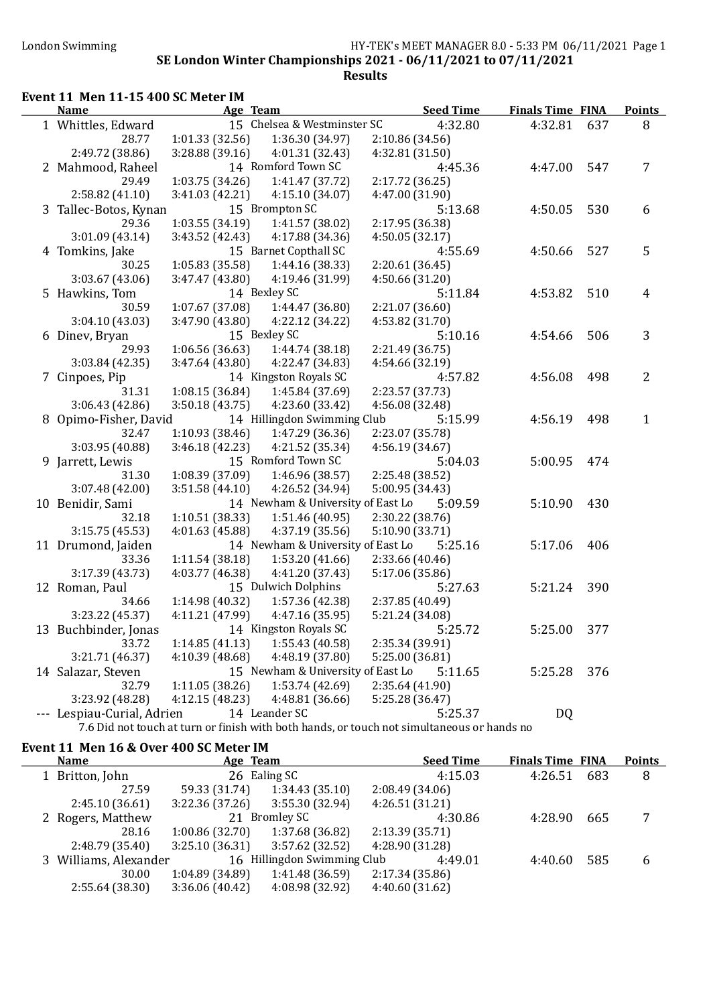#### London Swimming HY-TEK's MEET MANAGER 8.0 - 5:33 PM 06/11/2021 Page 1 SE London Winter Championships 2021 - 06/11/2021 to 07/11/2021 Results

#### Event 11 Men 11-15 400 SC Meter IM

| <b>Name</b>                | Age Team        |                                   | <b>Seed Time</b>                                                                           | <b>Finals Time FINA</b> |     | <b>Points</b>  |
|----------------------------|-----------------|-----------------------------------|--------------------------------------------------------------------------------------------|-------------------------|-----|----------------|
| 1 Whittles, Edward         |                 | 15 Chelsea & Westminster SC       | 4:32.80                                                                                    | 4:32.81                 | 637 | 8              |
| 28.77                      | 1:01.33(32.56)  | 1:36.30 (34.97)                   | 2:10.86 (34.56)                                                                            |                         |     |                |
| 2:49.72 (38.86)            | 3:28.88 (39.16) | 4:01.31 (32.43)                   | 4:32.81 (31.50)                                                                            |                         |     |                |
| 2 Mahmood, Raheel          |                 | 14 Romford Town SC                | 4:45.36                                                                                    | 4:47.00                 | 547 | $\overline{7}$ |
| 29.49                      | 1:03.75(34.26)  | 1:41.47 (37.72)                   | 2:17.72 (36.25)                                                                            |                         |     |                |
| 2:58.82(41.10)             | 3:41.03 (42.21) | 4:15.10(34.07)                    | 4:47.00 (31.90)                                                                            |                         |     |                |
| 3 Tallec-Botos, Kynan      |                 | 15 Brompton SC                    | 5:13.68                                                                                    | 4:50.05                 | 530 | 6              |
| 29.36                      | 1:03.55(34.19)  | 1:41.57 (38.02)                   | 2:17.95 (36.38)                                                                            |                         |     |                |
| 3:01.09(43.14)             | 3:43.52 (42.43) | 4:17.88 (34.36)                   | 4:50.05(32.17)                                                                             |                         |     |                |
| 4 Tomkins, Jake            |                 | 15 Barnet Copthall SC             | 4:55.69                                                                                    | 4:50.66                 | 527 | 5              |
| 30.25                      | 1:05.83 (35.58) | 1:44.16 (38.33)                   | 2:20.61(36.45)                                                                             |                         |     |                |
| 3:03.67(43.06)             | 3:47.47 (43.80) | 4:19.46 (31.99)                   | 4:50.66(31.20)                                                                             |                         |     |                |
| 5 Hawkins, Tom             |                 | 14 Bexley SC                      | 5:11.84                                                                                    | 4:53.82                 | 510 | 4              |
| 30.59                      | 1:07.67 (37.08) | 1:44.47 (36.80)                   | 2:21.07 (36.60)                                                                            |                         |     |                |
| 3:04.10(43.03)             | 3:47.90 (43.80) | 4:22.12 (34.22)                   | 4:53.82 (31.70)                                                                            |                         |     |                |
| 6 Dinev, Bryan             |                 | 15 Bexley SC                      | 5:10.16                                                                                    | 4:54.66                 | 506 | 3              |
| 29.93                      | 1:06.56(36.63)  | 1:44.74 (38.18)                   | 2:21.49 (36.75)                                                                            |                         |     |                |
| 3:03.84(42.35)             | 3:47.64 (43.80) | 4:22.47 (34.83)                   | 4:54.66 (32.19)                                                                            |                         |     |                |
| 7 Cinpoes, Pip             |                 | 14 Kingston Royals SC             | 4:57.82                                                                                    | 4:56.08                 | 498 | $\overline{2}$ |
| 31.31                      | 1:08.15(36.84)  | 1:45.84 (37.69)                   | 2:23.57 (37.73)                                                                            |                         |     |                |
| 3:06.43 (42.86)            | 3:50.18(43.75)  | 4:23.60 (33.42)                   | 4:56.08 (32.48)                                                                            |                         |     |                |
| 8 Opimo-Fisher, David      |                 | 14 Hillingdon Swimming Club       | 5:15.99                                                                                    | 4:56.19                 | 498 | $\mathbf{1}$   |
| 32.47                      | 1:10.93(38.46)  | 1:47.29 (36.36)                   | 2:23.07 (35.78)                                                                            |                         |     |                |
| 3:03.95 (40.88)            | 3:46.18(42.23)  | 4:21.52 (35.34)                   | 4:56.19 (34.67)                                                                            |                         |     |                |
| 9 Jarrett, Lewis           |                 | 15 Romford Town SC                | 5:04.03                                                                                    | 5:00.95                 | 474 |                |
| 31.30                      | 1:08.39 (37.09) | 1:46.96 (38.57)                   | 2:25.48 (38.52)                                                                            |                         |     |                |
| 3:07.48 (42.00)            | 3:51.58 (44.10) | 4:26.52 (34.94)                   | 5:00.95 (34.43)                                                                            |                         |     |                |
| 10 Benidir, Sami           |                 | 14 Newham & University of East Lo | 5:09.59                                                                                    | 5:10.90                 | 430 |                |
| 32.18                      | 1:10.51(38.33)  | 1:51.46 (40.95)                   | 2:30.22 (38.76)                                                                            |                         |     |                |
| 3:15.75 (45.53)            | 4:01.63 (45.88) | 4:37.19 (35.56)                   | 5:10.90 (33.71)                                                                            |                         |     |                |
| 11 Drumond, Jaiden         |                 | 14 Newham & University of East Lo | 5:25.16                                                                                    | 5:17.06                 | 406 |                |
| 33.36                      | 1:11.54 (38.18) | 1:53.20(41.66)                    | 2:33.66 (40.46)                                                                            |                         |     |                |
| 3:17.39 (43.73)            | 4:03.77 (46.38) | 4:41.20 (37.43)                   | 5:17.06 (35.86)                                                                            |                         |     |                |
| 12 Roman, Paul             |                 | 15 Dulwich Dolphins               | 5:27.63                                                                                    | 5:21.24                 | 390 |                |
| 34.66                      | 1:14.98 (40.32) | 1:57.36 (42.38)                   | 2:37.85 (40.49)                                                                            |                         |     |                |
| 3:23.22 (45.37)            | 4:11.21 (47.99) | 4:47.16(35.95)                    | 5:21.24 (34.08)                                                                            |                         |     |                |
| 13 Buchbinder, Jonas       |                 | 14 Kingston Royals SC             | 5:25.72                                                                                    | 5:25.00                 | 377 |                |
| 33.72                      | 1:14.85(41.13)  | 1:55.43 (40.58)                   | 2:35.34 (39.91)                                                                            |                         |     |                |
| 3:21.71 (46.37)            | 4:10.39 (48.68) | 4:48.19 (37.80)                   | 5:25.00 (36.81)                                                                            |                         |     |                |
| 14 Salazar, Steven         |                 | 15 Newham & University of East Lo | 5:11.65                                                                                    | 5:25.28                 | 376 |                |
| 32.79                      | 1:11.05(38.26)  | 1:53.74 (42.69)                   | 2:35.64 (41.90)                                                                            |                         |     |                |
| 3:23.92 (48.28)            | 4:12.15(48.23)  | 4:48.81 (36.66)                   | 5:25.28 (36.47)                                                                            |                         |     |                |
| --- Lespiau-Curial, Adrien |                 | 14 Leander SC                     | 5:25.37                                                                                    | DQ                      |     |                |
|                            |                 |                                   | 7.6 Did not touch at turn or finish with both hands, or touch not simultaneous or hands no |                         |     |                |

#### Event 11 Men 16 & Over 400 SC Meter IM

| <b>Name</b>           | Age Team       |                             | <b>Seed Time</b> | <b>Finals Time FINA</b> |     | <b>Points</b> |
|-----------------------|----------------|-----------------------------|------------------|-------------------------|-----|---------------|
| 1 Britton, John       |                | 26 Ealing SC                | 4:15.03          | 4:26.51                 | 683 | 8             |
| 27.59                 | 59.33 (31.74)  | 1:34.43(35.10)              | 2:08.49(34.06)   |                         |     |               |
| 2:45.10(36.61)        | 3:22.36(37.26) | 3:55.30 (32.94)             | 4:26.51(31.21)   |                         |     |               |
| 2 Rogers, Matthew     |                | 21 Bromley SC               | 4:30.86          | 4:28.90                 | 665 |               |
| 28.16                 | 1:00.86(32.70) | 1:37.68 (36.82)             | 2:13.39(35.71)   |                         |     |               |
| 2:48.79(35.40)        | 3:25.10(36.31) | 3:57.62(32.52)              | 4:28.90 (31.28)  |                         |     |               |
| 3 Williams, Alexander |                | 16 Hillingdon Swimming Club | 4:49.01          | 4:40.60                 | 585 | 6             |
| 30.00                 | 1:04.89(34.89) | 1:41.48(36.59)              | 2:17.34(35.86)   |                         |     |               |
| 2:55.64(38.30)        | 3:36.06(40.42) | 4:08.98 (32.92)             | 4:40.60(31.62)   |                         |     |               |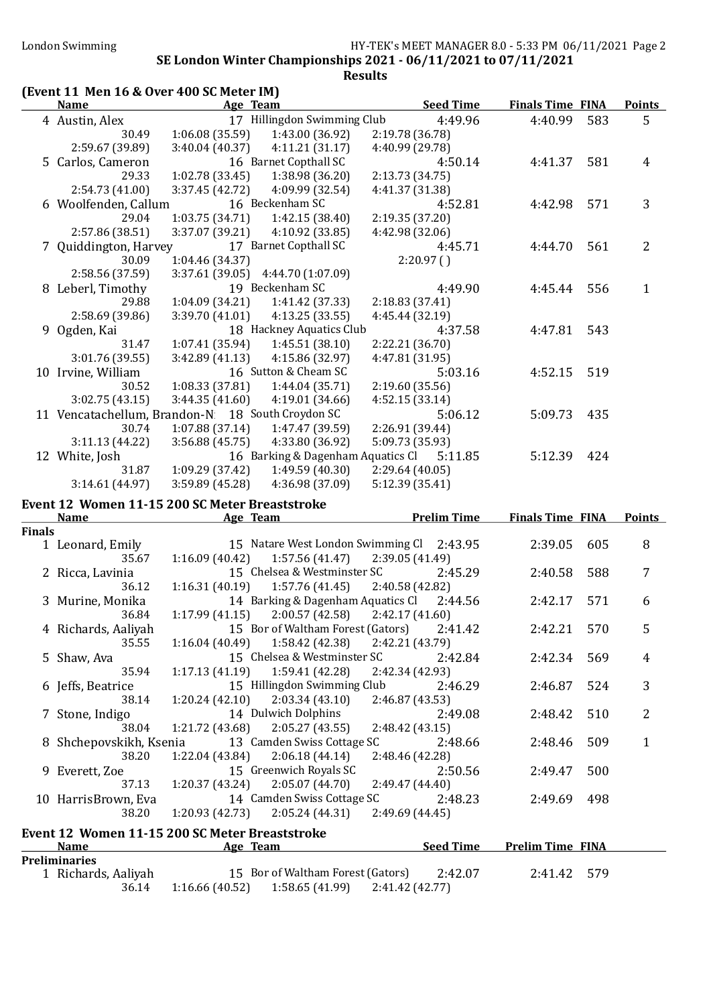## London Swimming HY-TEK's MEET MANAGER 8.0 - 5:33 PM 06/11/2021 Page 2

#### SE London Winter Championships 2021 - 06/11/2021 to 07/11/2021 Results

## (Event 11 Men 16 & Over 400 SC Meter IM)

|               | <b>Name</b>                                       |                 | Age Team                                                                                | <b>Seed Time</b>   | <b>Finals Time FINA</b> |       | <b>Points</b>  |
|---------------|---------------------------------------------------|-----------------|-----------------------------------------------------------------------------------------|--------------------|-------------------------|-------|----------------|
|               | 4 Austin, Alex                                    |                 | 17 Hillingdon Swimming Club                                                             | 4:49.96            | 4:40.99                 | 583   | 5              |
|               | 30.49                                             | 1:06.08(35.59)  | 1:43.00 (36.92)                                                                         | 2:19.78 (36.78)    |                         |       |                |
|               | 2:59.67 (39.89)                                   | 3:40.04 (40.37) | 4:11.21(31.17)                                                                          | 4:40.99 (29.78)    |                         |       |                |
|               | 5 Carlos, Cameron                                 |                 | 16 Barnet Copthall SC                                                                   | 4:50.14            | 4:41.37                 | 581   | 4              |
|               | 29.33                                             | 1:02.78(33.45)  | 1:38.98 (36.20)                                                                         | 2:13.73 (34.75)    |                         |       |                |
|               | 2:54.73 (41.00)                                   | 3:37.45 (42.72) | 4:09.99 (32.54)                                                                         | 4:41.37 (31.38)    |                         |       |                |
|               | 6 Woolfenden, Callum                              |                 | 16 Beckenham SC                                                                         | 4:52.81            | 4:42.98                 | 571   | 3              |
|               | 29.04                                             | 1:03.75(34.71)  | 1:42.15(38.40)                                                                          | 2:19.35 (37.20)    |                         |       |                |
|               | 2:57.86 (38.51)                                   | 3:37.07 (39.21) | 4:10.92(33.85)                                                                          | 4:42.98 (32.06)    |                         |       |                |
|               | 7 Quiddington, Harvey                             |                 | 17 Barnet Copthall SC                                                                   | 4:45.71            | 4:44.70                 | 561   | $\overline{2}$ |
|               | 30.09                                             | 1:04.46 (34.37) |                                                                                         | 2:20.97(           |                         |       |                |
|               | 2:58.56 (37.59)                                   |                 | 3:37.61 (39.05) 4:44.70 (1:07.09)                                                       |                    |                         |       |                |
|               | 8 Leberl, Timothy                                 |                 | 19 Beckenham SC                                                                         | 4:49.90            | 4:45.44                 | 556   | $\mathbf{1}$   |
|               | 29.88                                             | 1:04.09 (34.21) | 1:41.42 (37.33)                                                                         | 2:18.83(37.41)     |                         |       |                |
|               | 2:58.69 (39.86)                                   | 3:39.70 (41.01) | 4:13.25(33.55)                                                                          | 4:45.44 (32.19)    |                         |       |                |
|               | 9 Ogden, Kai                                      |                 | 18 Hackney Aquatics Club                                                                | 4:37.58            | 4:47.81                 | 543   |                |
|               | 31.47                                             | 1:07.41(35.94)  | 1:45.51(38.10)                                                                          | 2:22.21 (36.70)    |                         |       |                |
|               | 3:01.76 (39.55)                                   | 3:42.89(41.13)  | 4:15.86 (32.97)                                                                         | 4:47.81 (31.95)    |                         |       |                |
|               | 10 Irvine, William                                |                 | 16 Sutton & Cheam SC                                                                    | 5:03.16            | 4:52.15                 | 519   |                |
|               | 30.52                                             | 1:08.33(37.81)  | 1:44.04(35.71)                                                                          | 2:19.60(35.56)     |                         |       |                |
|               | 3:02.75(43.15)                                    | 3:44.35(41.60)  | 4:19.01(34.66)                                                                          | 4:52.15(33.14)     |                         |       |                |
|               | 11 Vencatachellum, Brandon-N: 18 South Croydon SC |                 |                                                                                         | 5:06.12            | 5:09.73                 | 435   |                |
|               | 30.74                                             | 1:07.88 (37.14) | 1:47.47 (39.59)                                                                         | 2:26.91 (39.44)    |                         |       |                |
|               | 3:11.13(44.22)                                    | 3:56.88(45.75)  | 4:33.80 (36.92)                                                                         | 5:09.73 (35.93)    |                         |       |                |
|               | 12 White, Josh                                    |                 | 16 Barking & Dagenham Aquatics Cl                                                       | 5:11.85            | 5:12.39                 | 424   |                |
|               | 31.87                                             | 1:09.29 (37.42) | 1:49.59(40.30)                                                                          | 2:29.64(40.05)     |                         |       |                |
|               | 3:14.61(44.97)                                    | 3:59.89 (45.28) | 4:36.98 (37.09)                                                                         | 5:12.39 (35.41)    |                         |       |                |
|               |                                                   |                 |                                                                                         |                    |                         |       |                |
|               | Event 12 Women 11-15 200 SC Meter Breaststroke    |                 |                                                                                         |                    |                         |       |                |
|               | <b>Name</b>                                       |                 | Age Team                                                                                | <b>Prelim Time</b> | <b>Finals Time FINA</b> |       | Points         |
| <b>Finals</b> |                                                   |                 |                                                                                         |                    |                         |       |                |
|               | 1 Leonard, Emily                                  |                 | 15 Natare West London Swimming Cl                                                       | 2:43.95            | 2:39.05                 | 605   | 8              |
|               | 35.67                                             | 1:16.09(40.42)  | 1:57.56(41.47)                                                                          | 2:39.05 (41.49)    |                         |       |                |
|               | 2 Ricca, Lavinia                                  |                 | 15 Chelsea & Westminster SC                                                             | 2:45.29            | 2:40.58                 | 588   | 7              |
|               | 36.12                                             | 1:16.31(40.19)  | 1:57.76(41.45)                                                                          | 2:40.58 (42.82)    |                         |       |                |
|               | 3 Murine, Monika                                  |                 | 14 Barking & Dagenham Aquatics Cl                                                       | 2:44.56            | 2:42.17                 | 571   | 6              |
|               | 36.84                                             | 1:17.99(41.15)  | 2:00.57 (42.58)                                                                         | 2:42.17(41.60)     |                         |       |                |
|               | 4 Richards, Aaliyah                               |                 | 15 Bor of Waltham Forest (Gators)                                                       | 2:41.42            | 2:42.21                 | 570   | 5              |
|               | 35.55                                             | 1:16.04(40.49)  | 1:58.42 (42.38)                                                                         | 2:42.21 (43.79)    |                         |       |                |
|               | 5 Shaw, Ava                                       |                 | 15 Chelsea & Westminster SC                                                             | 2:42.84            | 2:42.34                 | 569   | 4              |
|               | 35.94                                             | 1:17.13(41.19)  | 1:59.41 (42.28)                                                                         | 2:42.34 (42.93)    |                         |       |                |
|               | 6 Jeffs, Beatrice                                 |                 | 15 Hillingdon Swimming Club                                                             | 2:46.29            | 2:46.87                 | 524   | 3              |
|               | 38.14                                             | 1:20.24(42.10)  | 2:03.34(43.10)                                                                          | 2:46.87 (43.53)    |                         |       |                |
|               | 7 Stone, Indigo                                   |                 | 14 Dulwich Dolphins                                                                     | 2:49.08            | 2:48.42                 | 510   | 2              |
|               | 38.04                                             | 1:21.72 (43.68) | 2:05.27(43.55)                                                                          | 2:48.42 (43.15)    |                         |       |                |
|               | 8 Shchepovskikh, Ksenia                           |                 | 13 Camden Swiss Cottage SC                                                              | 2:48.66            | 2:48.46                 | 509   | $\mathbf{1}$   |
|               | 38.20                                             | 1:22.04 (43.84) | 2:06.18(44.14)                                                                          | 2:48.46 (42.28)    |                         |       |                |
|               | 9 Everett, Zoe                                    |                 | 15 Greenwich Royals SC                                                                  | 2:50.56            | 2:49.47                 | 500   |                |
|               | 37.13                                             | 1:20.37(43.24)  | 2:05.07 (44.70)                                                                         | 2:49.47 (44.40)    |                         |       |                |
|               | 10 HarrisBrown, Eva                               |                 | 14 Camden Swiss Cottage SC                                                              | 2:48.23            | 2:49.69                 | 498   |                |
|               | 38.20                                             | 1:20.93 (42.73) | 2:05.24(44.31)                                                                          | 2:49.69 (44.45)    |                         |       |                |
|               | Event 12 Women 11-15 200 SC Meter Breaststroke    |                 |                                                                                         |                    |                         |       |                |
|               | <b>Name</b>                                       |                 | Age Team                                                                                | <b>Seed Time</b>   | <b>Prelim Time FINA</b> |       |                |
|               | <b>Preliminaries</b>                              |                 |                                                                                         |                    |                         |       |                |
|               | 1 Richards, Aaliyah<br>36.14                      |                 | 15 Bor of Waltham Forest (Gators)<br>$1:16.66(40.52)$ $1:58.65(41.99)$ $2:41.42(42.77)$ | 2:42.07            | 2:41.42                 | - 579 |                |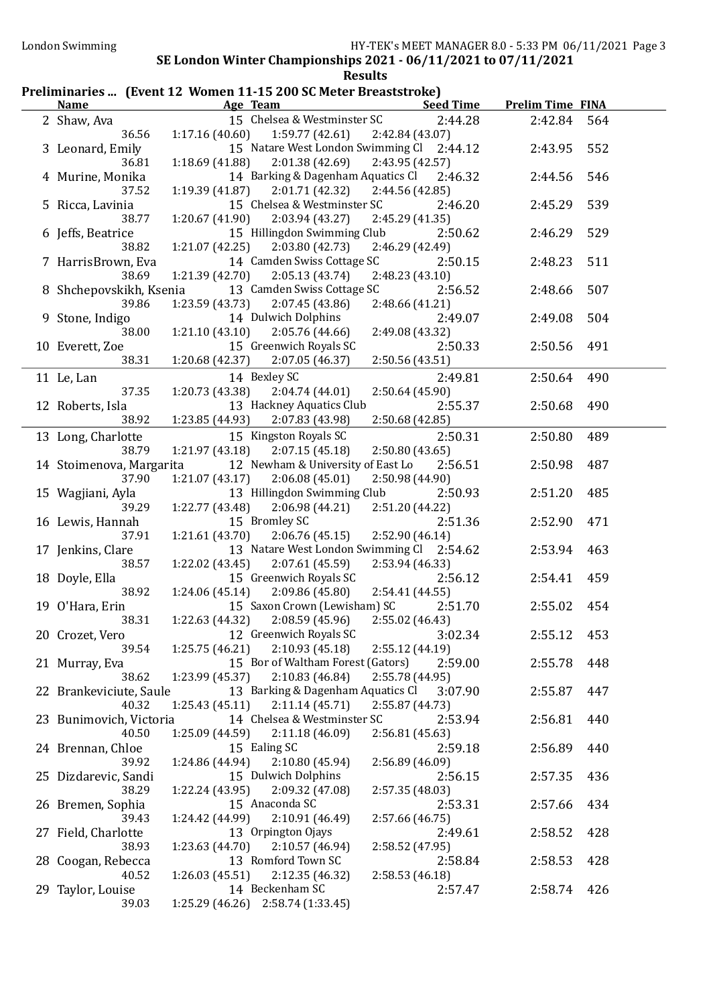#### Preliminaries ... (Event 12 Women 11-15 200 SC Meter Breaststroke)

| <b>Name</b>              | <b>Example 2018 Age Team</b>                               | <b>Seed Time</b>           | <b>Prelim Time FINA</b> |     |
|--------------------------|------------------------------------------------------------|----------------------------|-------------------------|-----|
| 2 Shaw, Ava              | 15 Chelsea & Westminster SC                                | 2:44.28                    | 2:42.84                 | 564 |
| 36.56                    | 1:17.16(40.60)<br>$1:59.77(42.61)$ $2:42.84(43.07)$        |                            |                         |     |
| 3 Leonard, Emily         | 15 Natare West London Swimming Cl 2:44.12                  |                            | 2:43.95                 | 552 |
| 36.81                    | 2:01.38 (42.69)<br>1:18.69(41.88)                          | 2:43.95 (42.57)            |                         |     |
| 4 Murine, Monika         | 14 Barking & Dagenham Aquatics Cl 2:46.32                  |                            | 2:44.56                 | 546 |
| 37.52                    | 2:01.71 (42.32)<br>1:19.39(41.87)                          | 2:44.56 (42.85)            |                         |     |
| 5 Ricca, Lavinia         | 15 Chelsea & Westminster SC                                | 2:46.20                    | 2:45.29                 | 539 |
| 38.77                    | 2:03.94(43.27)<br>1:20.67(41.90)                           | 2:45.29 (41.35)            |                         |     |
| 6 Jeffs, Beatrice        | 15 Hillingdon Swimming Club                                | 2:50.62                    | 2:46.29                 | 529 |
| 38.82                    | 2:03.80 (42.73)<br>1:21.07(42.25)                          | 2:46.29 (42.49)            |                         |     |
| 7 HarrisBrown, Eva       | 14 Camden Swiss Cottage SC                                 | 2:50.15                    | 2:48.23                 | 511 |
| 38.69                    | 1:21.39(42.70)<br>2:05.13(43.74)                           | 2:48.23 (43.10)            |                         |     |
| 8 Shchepovskikh, Ksenia  | 13 Camden Swiss Cottage SC                                 | 2:56.52                    | 2:48.66                 | 507 |
| 39.86                    | 1:23.59(43.73)<br>2:07.45(43.86)                           | 2:48.66 (41.21)            |                         |     |
| 9 Stone, Indigo          | 14 Dulwich Dolphins                                        | 2:49.07                    | 2:49.08                 | 504 |
| 38.00                    | 1:21.10(43.10)<br>2:05.76 (44.66)                          | 2:49.08 (43.32)            |                         |     |
| 10 Everett, Zoe          | 15 Greenwich Royals SC                                     | 2:50.33                    | 2:50.56                 | 491 |
| 38.31                    | $1:20.68(42.37)$ $2:07.05(46.37)$                          | 2:50.56 (43.51)            |                         |     |
| 11 Le, Lan               | 14 Bexley SC                                               | 2:49.81                    | 2:50.64                 | 490 |
| 37.35                    | 1:20.73 (43.38)<br>2:04.74(44.01)                          | 2:50.64(45.90)             |                         |     |
| 12 Roberts, Isla         | 13 Hackney Aquatics Club                                   | 2:55.37                    | 2:50.68                 | 490 |
| 38.92                    | 1:23.85(44.93)<br>2:07.83 (43.98)                          | 2:50.68(42.85)             |                         |     |
| 13 Long, Charlotte       | 15 Kingston Royals SC                                      | 2:50.31                    | 2:50.80                 | 489 |
| 38.79                    | 2:07.15(45.18)<br>1:21.97 (43.18)                          | 2:50.80 (43.65)            |                         |     |
| 14 Stoimenova, Margarita | 12 Newham & University of East Lo                          | 2:56.51                    | 2:50.98                 | 487 |
| 37.90                    | 1:21.07 (43.17)<br>2:06.08(45.01)                          | 2:50.98 (44.90)            |                         |     |
| 15 Wagjiani, Ayla        | 13 Hillingdon Swimming Club                                | 2:50.93                    | 2:51.20                 | 485 |
| 39.29                    | 2:06.98 (44.21)<br>1:22.77 (43.48)                         | 2:51.20 (44.22)            |                         |     |
| 16 Lewis, Hannah         | 15 Bromley SC                                              | 2:51.36                    | 2:52.90                 | 471 |
| 37.91                    | 1:21.61(43.70)<br>2:06.76(45.15)                           | 2:52.90 (46.14)            |                         |     |
| 17 Jenkins, Clare        | 13 Natare West London Swimming Cl 2:54.62                  |                            | 2:53.94                 | 463 |
| 38.57                    | 2:07.61(45.59)<br>1:22.02 (43.45)                          | 2:53.94 (46.33)            |                         |     |
| 18 Doyle, Ella<br>38.92  | 15 Greenwich Royals SC<br>1:24.06(45.14)<br>2:09.86(45.80) | 2:56.12                    | 2:54.41                 | 459 |
|                          | 15 Saxon Crown (Lewisham) SC                               | 2:54.41 (44.55)<br>2:51.70 | 2:55.02                 | 454 |
| 19 O'Hara, Erin<br>38.31 | $1:22.63(44.32)$ $2:08.59(45.96)$                          | 2:55.02 (46.43)            |                         |     |
|                          | 12 Greenwich Royals SC                                     | 3:02.34                    | 2:55.12                 | 453 |
| 20 Crozet, Vero<br>39.54 | 2:10.93(45.18)<br>1:25.75(46.21)                           | 2:55.12(44.19)             |                         |     |
| 21 Murray, Eva           | 15 Bor of Waltham Forest (Gators)                          | 2:59.00                    | 2:55.78                 | 448 |
| 38.62                    | 1:23.99 (45.37)<br>2:10.83 (46.84)                         | 2:55.78 (44.95)            |                         |     |
| 22 Brankeviciute, Saule  | 13 Barking & Dagenham Aquatics Cl                          | 3:07.90                    | 2:55.87                 | 447 |
| 40.32                    | 1:25.43(45.11)<br>2:11.14(45.71)                           | 2:55.87 (44.73)            |                         |     |
| 23 Bunimovich, Victoria  | 14 Chelsea & Westminster SC                                | 2:53.94                    | 2:56.81                 | 440 |
| 40.50                    | 1:25.09 (44.59)<br>2:11.18(46.09)                          | 2:56.81(45.63)             |                         |     |
| 24 Brennan, Chloe        | 15 Ealing SC                                               | 2:59.18                    | 2:56.89                 | 440 |
| 39.92                    | 1:24.86(44.94)<br>2:10.80(45.94)                           | 2:56.89 (46.09)            |                         |     |
| 25 Dizdarevic, Sandi     | 15 Dulwich Dolphins                                        | 2:56.15                    | 2:57.35                 | 436 |
| 38.29                    | 2:09.32 (47.08)<br>1:22.24(43.95)                          | 2:57.35(48.03)             |                         |     |
| 26 Bremen, Sophia        | 15 Anaconda SC                                             | 2:53.31                    | 2:57.66                 | 434 |
| 39.43                    | 1:24.42 (44.99)<br>2:10.91(46.49)                          | 2:57.66(46.75)             |                         |     |
| 27 Field, Charlotte      | 13 Orpington Ojays                                         | 2:49.61                    | 2:58.52                 | 428 |
| 38.93                    | $1:23.63(44.70)$ $2:10.57(46.94)$                          | 2:58.52 (47.95)            |                         |     |
| 28 Coogan, Rebecca       | 13 Romford Town SC                                         | 2:58.84                    | 2:58.53                 | 428 |
| 40.52                    | $1:26.03(45.51)$ $2:12.35(46.32)$                          | 2:58.53(46.18)             |                         |     |
| 29 Taylor, Louise        | 14 Beckenham SC                                            | 2:57.47                    | 2:58.74                 | 426 |
| 39.03                    | $1:25.29(46.26)$ $2:58.74(1:33.45)$                        |                            |                         |     |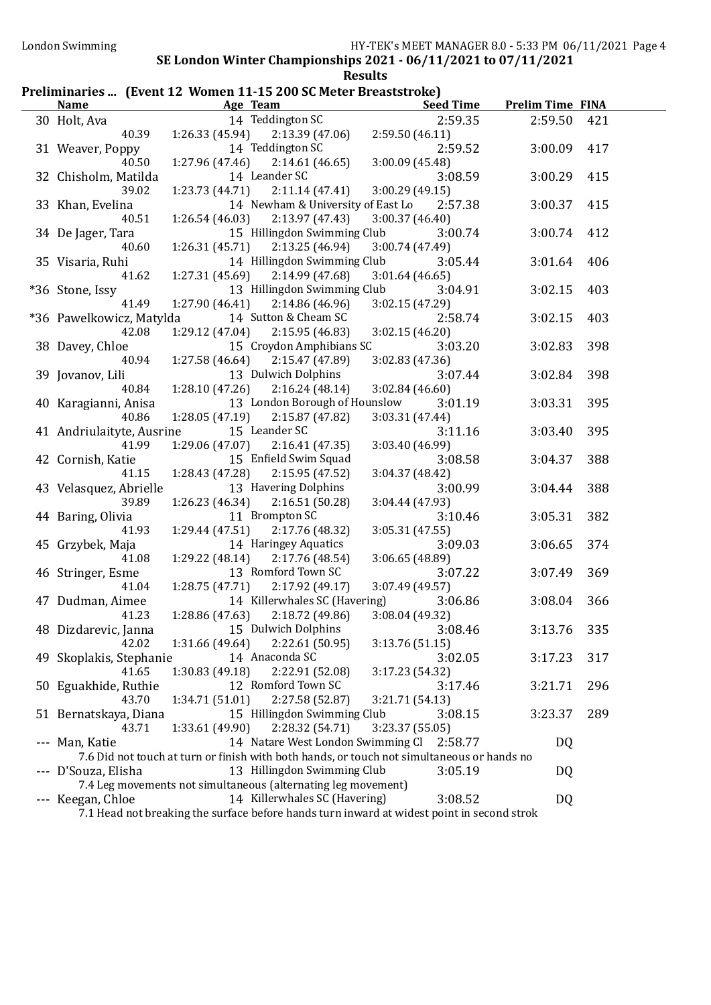### Preliminaries ... (Event 12 Women 11-15 200 SC Meter Breaststroke)

| <u>Name</u>                | Temminaries  [Event 12   WOMEN 11-15 200 5G MEter Dreaststroke]<br><b>Example 2</b> Age Team | <u>Seed Time</u>           | <b>Prelim Time FINA</b> |     |
|----------------------------|----------------------------------------------------------------------------------------------|----------------------------|-------------------------|-----|
| 30 Holt, Ava               | 14 Teddington SC                                                                             | 2:59.35                    | 2:59.50                 | 421 |
| 40.39                      | $1:26.33(45.94)$ $2:13.39(47.06)$                                                            | 2:59.50(46.11)             |                         |     |
| 31 Weaver, Poppy           | 14 Teddington SC                                                                             | 2:59.52                    | 3:00.09                 | 417 |
| 40.50                      | $1:27.96(47.46)$ $2:14.61(46.65)$                                                            | 3:00.09(45.48)             |                         |     |
| 32 Chisholm, Matilda       | 14 Leander SC                                                                                | 3:08.59                    | 3:00.29                 | 415 |
| 39.02                      | $1:23.73(44.71)$ $2:11.14(47.41)$                                                            | 3:00.29(49.15)             |                         |     |
| 33 Khan, Evelina           | 14 Newham & University of East Lo                                                            | 2:57.38                    | 3:00.37                 | 415 |
| 40.51                      | $1:26.54(46.03)$ $2:13.97(47.43)$                                                            | 3:00.37(46.40)             |                         |     |
|                            | 15 Hillingdon Swimming Club                                                                  | 3:00.74                    | 3:00.74 412             |     |
| 34 De Jager, Tara<br>40.60 |                                                                                              |                            |                         |     |
|                            | $1:26.31(45.71)$ $2:13.25(46.94)$<br>14 Hillingdon Swimming Club                             | 3:00.74 (47.49)<br>3:05.44 |                         |     |
| 35 Visaria, Ruhi<br>41.62  | 2:14.99(47.68)                                                                               |                            | 3:01.64                 | 406 |
|                            | 1:27.31 (45.69)<br>13 Hillingdon Swimming Club                                               | 3:01.64(46.65)             |                         |     |
| *36 Stone, Issy            |                                                                                              | 3:04.91                    | 3:02.15                 | 403 |
| 41.49                      | 2:14.86(46.96)<br>1:27.90(46.41)                                                             | 3:02.15(47.29)             |                         |     |
| *36 Pawelkowicz, Matylda   | 14 Sutton & Cheam SC                                                                         | 2:58.74                    | 3:02.15                 | 403 |
| 42.08                      | 2:15.95(46.83)<br>1:29.12 (47.04)                                                            | 3:02.15(46.20)             |                         |     |
| 38 Davey, Chloe            | 15 Croydon Amphibians SC                                                                     | 3:03.20                    | 3:02.83                 | 398 |
| 40.94                      | 1:27.58(46.64)<br>2:15.47 (47.89)                                                            | 3:02.83 (47.36)            |                         |     |
| 39 Jovanov, Lili           | 13 Dulwich Dolphins                                                                          | 3:07.44                    | 3:02.84                 | 398 |
| 40.84                      | 2:16.24(48.14)<br>1:28.10(47.26)                                                             | 3:02.84(46.60)             |                         |     |
| 40 Karagianni, Anisa       | 13 London Borough of Hounslow                                                                | 3:01.19                    | 3:03.31                 | 395 |
| 40.86                      | 1:28.05(47.19)<br>2:15.87(47.82)                                                             | 3:03.31(47.44)             |                         |     |
| 41 Andriulaityte, Ausrine  | 15 Leander SC                                                                                | 3:11.16                    | 3:03.40                 | 395 |
| 41.99                      | 1:29.06 (47.07)<br>2:16.41(47.35)                                                            | 3:03.40 (46.99)            |                         |     |
| 42 Cornish, Katie          | 15 Enfield Swim Squad                                                                        | 3:08.58                    | 3:04.37                 | 388 |
| 41.15                      | 2:15.95(47.52)<br>1:28.43(47.28)                                                             | 3:04.37 (48.42)            |                         |     |
| 43 Velasquez, Abrielle     | 13 Havering Dolphins                                                                         | 3:00.99                    | 3:04.44                 | 388 |
| 39.89                      | 1:26.23 (46.34)<br>2:16.51(50.28)                                                            | 3:04.44 (47.93)            |                         |     |
| 44 Baring, Olivia          | 11 Brompton SC                                                                               | 3:10.46                    | 3:05.31                 | 382 |
| 41.93                      | 2:17.76 (48.32)<br>1:29.44(47.51)                                                            | 3:05.31 (47.55)            |                         |     |
| 45 Grzybek, Maja           | 14 Haringey Aquatics                                                                         | 3:09.03                    | 3:06.65                 | 374 |
| 41.08                      | 1:29.22(48.14)<br>2:17.76 (48.54)                                                            | 3:06.65 (48.89)            |                         |     |
| 46 Stringer, Esme          | 13 Romford Town SC                                                                           | 3:07.22                    | 3:07.49                 | 369 |
| 41.04                      | 1:28.75 (47.71)<br>2:17.92(49.17)                                                            | 3:07.49 (49.57)            |                         |     |
| 47 Dudman, Aimee           | 14 Killerwhales SC (Havering)                                                                | 3:06.86                    | 3:08.04                 | 366 |
| 41.23                      | $1:28.86(47.63)$ $2:18.72(49.86)$                                                            | 3:08.04(49.32)             |                         |     |
| 48 Dizdarevic, Janna       | 15 Dulwich Dolphins 3:08.46                                                                  |                            | 3:13.76                 | 335 |
| 42.02                      | 1:31.66 (49.64)<br>2:22.61 (50.95)                                                           | 3:13.76(51.15)             |                         |     |
| 49 Skoplakis, Stephanie    | 14 Anaconda SC                                                                               | 3:02.05                    | 3:17.23                 | 317 |
| 41.65                      | 1:30.83(49.18)<br>2:22.91 (52.08)                                                            | 3:17.23 (54.32)            |                         |     |
| 50 Eguakhide, Ruthie       | 12 Romford Town SC                                                                           | 3:17.46                    | 3:21.71                 | 296 |
| 43.70                      | 1:34.71 (51.01)<br>2:27.58 (52.87)                                                           | 3:21.71 (54.13)            |                         |     |
| 51 Bernatskaya, Diana      | 15 Hillingdon Swimming Club                                                                  | 3:08.15                    | 3:23.37                 | 289 |
| 43.71                      | 2:28.32 (54.71)<br>1:33.61 (49.90)                                                           | 3:23.37 (55.05)            |                         |     |
| --- Man, Katie             | 14 Natare West London Swimming Cl                                                            | 2:58.77                    | <b>DQ</b>               |     |
|                            | 7.6 Did not touch at turn or finish with both hands, or touch not simultaneous or hands no   |                            |                         |     |
| --- D'Souza, Elisha        | 13 Hillingdon Swimming Club                                                                  | 3:05.19                    | DQ                      |     |
|                            | 7.4 Leg movements not simultaneous (alternating leg movement)                                |                            |                         |     |
| --- Keegan, Chloe          | 14 Killerwhales SC (Havering)                                                                | 3:08.52                    | <b>DQ</b>               |     |
|                            | 7.1 Head not breaking the surface before hands turn inward at widest point in second strok   |                            |                         |     |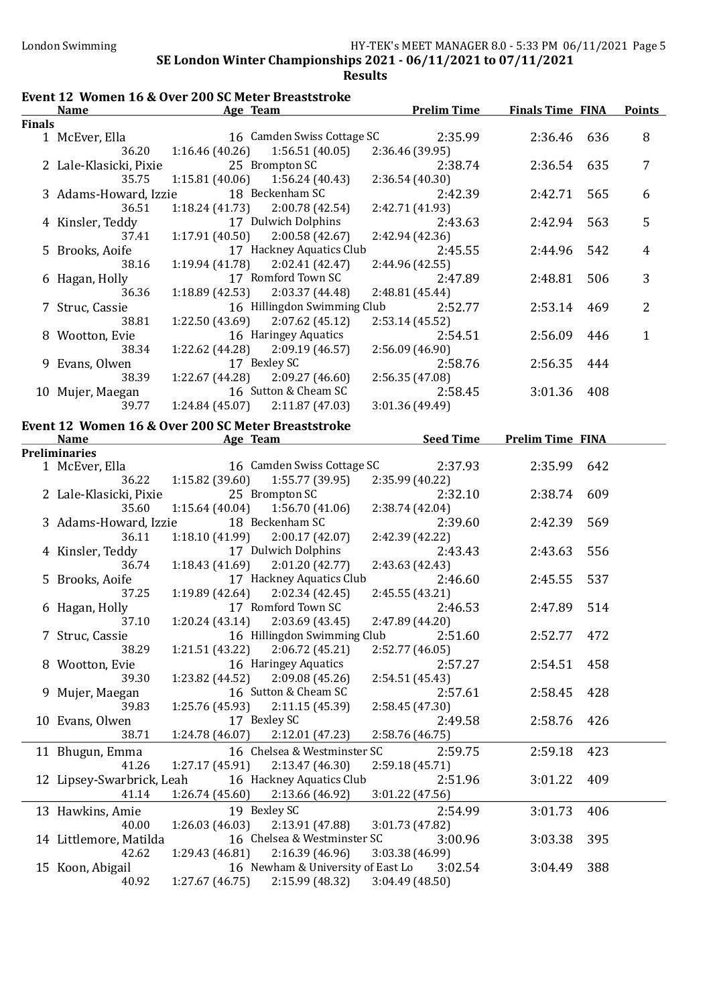|        | <b>Name</b>               | Age Team                                           | <b>Prelim Time</b> | <b>Finals Time FINA</b> |     | <b>Points</b> |
|--------|---------------------------|----------------------------------------------------|--------------------|-------------------------|-----|---------------|
| Finals |                           |                                                    |                    |                         |     |               |
|        | 1 McEver, Ella            | 16 Camden Swiss Cottage SC                         | 2:35.99            | 2:36.46 636             |     | 8             |
|        | 36.20                     | $1:16.46(40.26)$ $1:56.51(40.05)$                  | 2:36.46 (39.95)    |                         |     |               |
|        | 2 Lale-Klasicki, Pixie    | 25 Brompton SC                                     | 2:38.74            | 2:36.54                 | 635 | 7             |
|        | 35.75                     | $1:15.81(40.06)$ $1:56.24(40.43)$                  | 2:36.54 (40.30)    |                         |     |               |
|        | 3 Adams-Howard, Izzie     | 18 Beckenham SC                                    | 2:42.39            | 2:42.71                 | 565 | 6             |
|        | 36.51                     | $1:18.24(41.73)$ $2:00.78(42.54)$                  | 2:42.71 (41.93)    |                         |     |               |
|        | 4 Kinsler, Teddy          | 17 Dulwich Dolphins                                | 2:43.63            | 2:42.94                 | 563 | 5             |
|        | 37.41                     | $1:17.91(40.50)$ $2:00.58(42.67)$                  | 2:42.94 (42.36)    |                         |     |               |
|        |                           | 17 Hackney Aquatics Club                           |                    |                         |     |               |
|        | 5 Brooks, Aoife           |                                                    | 2:45.55            | 2:44.96                 | 542 | 4             |
|        | 38.16                     | $1:19.94(41.78)$ $2:02.41(42.47)$                  | 2:44.96 (42.55)    |                         |     |               |
|        | 6 Hagan, Holly            | 17 Romford Town SC                                 | 2:47.89            | 2:48.81                 | 506 | 3             |
|        | 36.36                     | $1:18.89(42.53)$ $2:03.37(44.48)$                  | 2:48.81 (45.44)    |                         |     |               |
|        | 7 Struc, Cassie           | 16 Hillingdon Swimming Club                        | 2:52.77            | 2:53.14                 | 469 | 2             |
|        | 38.81                     | $1:22.50(43.69)$ $2:07.62(45.12)$                  | 2:53.14(45.52)     |                         |     |               |
|        | 8 Wootton, Evie           | 16 Haringey Aquatics                               | 2:54.51            | 2:56.09                 | 446 | $\mathbf{1}$  |
|        | 38.34                     | 1:22.62 (44.28) 2:09.19 (46.57)                    | 2:56.09 (46.90)    |                         |     |               |
|        | 9 Evans, Olwen            | 17 Bexley SC                                       | 2:58.76            | 2:56.35                 | 444 |               |
|        | 38.39                     | $1:22.67(44.28)$ $2:09.27(46.60)$                  | 2:56.35(47.08)     |                         |     |               |
|        | 10 Mujer, Maegan          | 16 Sutton & Cheam SC                               | 2:58.45            | 3:01.36                 | 408 |               |
|        | 39.77                     | $1:24.84(45.07)$ $2:11.87(47.03)$                  | 3:01.36 (49.49)    |                         |     |               |
|        |                           |                                                    |                    |                         |     |               |
|        |                           | Event 12 Women 16 & Over 200 SC Meter Breaststroke |                    |                         |     |               |
|        | Name                      | <b>Example 2</b> Age Team                          | <b>Seed Time</b>   | <b>Prelim Time FINA</b> |     |               |
|        | Preliminaries             |                                                    |                    |                         |     |               |
|        | 1 McEver, Ella            | 16 Camden Swiss Cottage SC                         | 2:37.93            | 2:35.99                 | 642 |               |
|        | 36.22                     | $1:15.82(39.60)$ $1:55.77(39.95)$                  | 2:35.99 (40.22)    |                         |     |               |
|        | 2 Lale-Klasicki, Pixie    | 25 Brompton SC                                     | 2:32.10            | 2:38.74                 | 609 |               |
|        | 35.60                     | 1:15.64 (40.04)<br>1:56.70 (41.06)                 | 2:38.74 (42.04)    |                         |     |               |
|        | 3 Adams-Howard, Izzie     | 18 Beckenham SC                                    | 2:39.60            | 2:42.39                 | 569 |               |
|        | 36.11                     | $1:18.10(41.99)$ $2:00.17(42.07)$                  | 2:42.39 (42.22)    |                         |     |               |
|        | 4 Kinsler, Teddy          | 17 Dulwich Dolphins                                | 2:43.43            | 2:43.63                 | 556 |               |
|        | 36.74                     | $1:18.43(41.69)$ $2:01.20(42.77)$                  | 2:43.63 (42.43)    |                         |     |               |
|        | 5 Brooks, Aoife           | 17 Hackney Aquatics Club                           | 2:46.60            | 2:45.55                 | 537 |               |
|        | 37.25                     | $1:19.89(42.64)$ $2:02.34(42.45)$                  | 2:45.55 (43.21)    |                         |     |               |
|        | 6 Hagan, Holly            | 17 Romford Town SC                                 | 2:46.53            | 2:47.89                 | 514 |               |
|        | 37.10                     |                                                    |                    |                         |     |               |
|        |                           | $1:20.24(43.14)$ $2:03.69(43.45)$                  | 2:47.89 (44.20)    |                         |     |               |
|        | 7 Struc, Cassie           | 16 Hillingdon Swimming Club 2:51.60                |                    | 2:52.77                 | 472 |               |
|        | 38.29                     | 1:21.51 (43.22)<br>2:06.72(45.21)                  | 2:52.77 (46.05)    |                         |     |               |
|        | 8 Wootton, Evie           | 16 Haringey Aquatics                               | 2:57.27            | 2:54.51                 | 458 |               |
|        | 39.30                     | 2:09.08(45.26)<br>1:23.82 (44.52)                  | 2:54.51 (45.43)    |                         |     |               |
|        | 9 Mujer, Maegan           | 16 Sutton & Cheam SC                               | 2:57.61            | 2:58.45                 | 428 |               |
|        | 39.83                     | 2:11.15(45.39)<br>1:25.76 (45.93)                  | 2:58.45 (47.30)    |                         |     |               |
|        | 10 Evans, Olwen           | 17 Bexley SC                                       | 2:49.58            | 2:58.76                 | 426 |               |
|        | 38.71                     | 1:24.78 (46.07)<br>2:12.01 (47.23)                 | 2:58.76 (46.75)    |                         |     |               |
|        | 11 Bhugun, Emma           | 16 Chelsea & Westminster SC                        | 2:59.75            | 2:59.18                 | 423 |               |
|        | 41.26                     | 1:27.17 (45.91)                                    |                    |                         |     |               |
|        |                           | 2:13.47 (46.30)                                    | 2:59.18 (45.71)    |                         |     |               |
|        | 12 Lipsey-Swarbrick, Leah | 16 Hackney Aquatics Club                           | 2:51.96            | 3:01.22                 | 409 |               |
|        | 41.14                     | 2:13.66 (46.92)<br>1:26.74 (45.60)                 | 3:01.22 (47.56)    |                         |     |               |
|        | 13 Hawkins, Amie          | 19 Bexley SC                                       | 2:54.99            | 3:01.73                 | 406 |               |
|        | 40.00                     | 1:26.03(46.03)<br>2:13.91 (47.88)                  | 3:01.73 (47.82)    |                         |     |               |
|        | 14 Littlemore, Matilda    | 16 Chelsea & Westminster SC                        | 3:00.96            | 3:03.38                 | 395 |               |
|        | 42.62                     | 2:16.39 (46.96)<br>1:29.43(46.81)                  | 3:03.38 (46.99)    |                         |     |               |
|        | 15 Koon, Abigail          | 16 Newham & University of East Lo                  | 3:02.54            | 3:04.49                 | 388 |               |
|        | 40.92                     | 2:15.99 (48.32)<br>1:27.67(46.75)                  | 3:04.49(48.50)     |                         |     |               |
|        |                           |                                                    |                    |                         |     |               |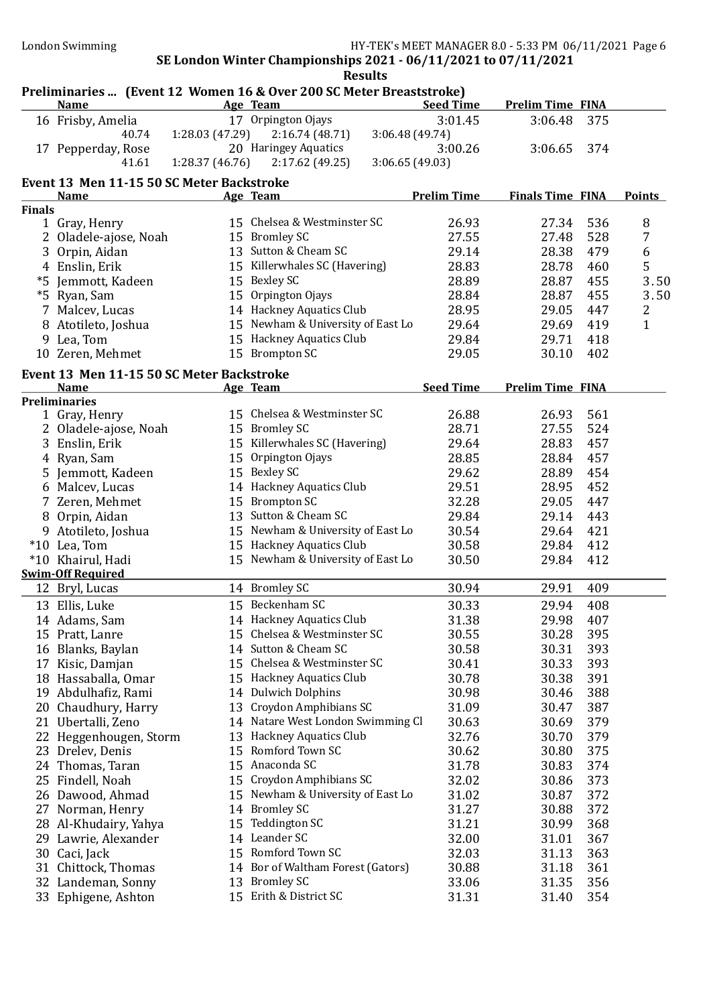|               | Preliminaries  (Event 12 Women 16 & Over 200 SC Meter Breaststroke)<br><b>Name</b> |                | Age Team                          | <b>Seed Time</b>   | <b>Prelim Time FINA</b> |     |               |
|---------------|------------------------------------------------------------------------------------|----------------|-----------------------------------|--------------------|-------------------------|-----|---------------|
|               | 16 Frisby, Amelia                                                                  |                | 17 Orpington Ojays                | 3:01.45            | 3:06.48                 | 375 |               |
|               | 40.74                                                                              | 1:28.03(47.29) | 2:16.74(48.71)                    | 3:06.48(49.74)     |                         |     |               |
|               | 17 Pepperday, Rose                                                                 |                | 20 Haringey Aquatics              | 3:00.26            | 3:06.65                 | 374 |               |
|               | 41.61                                                                              | 1:28.37(46.76) | 2:17.62(49.25)                    | 3:06.65(49.03)     |                         |     |               |
|               |                                                                                    |                |                                   |                    |                         |     |               |
|               | Event 13 Men 11-15 50 SC Meter Backstroke<br><b>Name</b>                           |                | Age Team                          | <b>Prelim Time</b> | <b>Finals Time FINA</b> |     | <b>Points</b> |
| <b>Finals</b> |                                                                                    |                |                                   |                    |                         |     |               |
|               | 1 Gray, Henry                                                                      |                | 15 Chelsea & Westminster SC       | 26.93              | 27.34                   | 536 | 8             |
|               | 2 Oladele-ajose, Noah                                                              |                | 15 Bromley SC                     | 27.55              | 27.48                   | 528 | 7             |
|               | 3 Orpin, Aidan                                                                     |                | 13 Sutton & Cheam SC              | 29.14              | 28.38                   | 479 | 6             |
|               | 4 Enslin, Erik                                                                     |                | 15 Killerwhales SC (Havering)     | 28.83              | 28.78                   | 460 | 5             |
|               | *5 Jemmott, Kadeen                                                                 |                | 15 Bexley SC                      | 28.89              | 28.87                   | 455 | 3.50          |
|               | *5 Ryan, Sam                                                                       |                | 15 Orpington Ojays                | 28.84              | 28.87                   | 455 | 3.50          |
| 7             | Malcev, Lucas                                                                      |                | 14 Hackney Aquatics Club          | 28.95              | 29.05                   | 447 | 2             |
|               | 8 Atotileto, Joshua                                                                |                | 15 Newham & University of East Lo | 29.64              | 29.69                   | 419 | $\mathbf{1}$  |
|               | 9 Lea, Tom                                                                         |                | 15 Hackney Aquatics Club          | 29.84              | 29.71                   | 418 |               |
|               | 10 Zeren, Mehmet                                                                   |                | 15 Brompton SC                    | 29.05              | 30.10                   | 402 |               |
|               |                                                                                    |                |                                   |                    |                         |     |               |
|               | Event 13 Men 11-15 50 SC Meter Backstroke                                          |                |                                   |                    |                         |     |               |
|               | <b>Name</b><br><b>Preliminaries</b>                                                |                | Age Team                          | <b>Seed Time</b>   | <b>Prelim Time FINA</b> |     |               |
|               | 1 Gray, Henry                                                                      |                | 15 Chelsea & Westminster SC       | 26.88              | 26.93                   | 561 |               |
|               | 2 Oladele-ajose, Noah                                                              |                | 15 Bromley SC                     | 28.71              | 27.55                   | 524 |               |
|               | 3 Enslin, Erik                                                                     |                | 15 Killerwhales SC (Havering)     | 29.64              | 28.83                   | 457 |               |
|               | 4 Ryan, Sam                                                                        |                | 15 Orpington Ojays                | 28.85              | 28.84                   | 457 |               |
|               | 5 Jemmott, Kadeen                                                                  |                | 15 Bexley SC                      | 29.62              | 28.89                   | 454 |               |
|               | 6 Malcev, Lucas                                                                    |                | 14 Hackney Aquatics Club          | 29.51              | 28.95                   | 452 |               |
|               | 7 Zeren, Mehmet                                                                    |                | 15 Brompton SC                    | 32.28              | 29.05                   | 447 |               |
|               | 8 Orpin, Aidan                                                                     |                | 13 Sutton & Cheam SC              | 29.84              | 29.14                   | 443 |               |
|               | 9 Atotileto, Joshua                                                                |                | 15 Newham & University of East Lo | 30.54              | 29.64                   | 421 |               |
|               | *10 Lea, Tom                                                                       |                | 15 Hackney Aquatics Club          | 30.58              | 29.84                   | 412 |               |
|               | *10 Khairul, Hadi                                                                  |                | 15 Newham & University of East Lo | 30.50              | 29.84                   | 412 |               |
|               | <b>Swim-Off Required</b>                                                           |                |                                   |                    |                         |     |               |
|               | 12 Bryl, Lucas                                                                     |                | 14 Bromley SC                     | 30.94              | 29.91                   | 409 |               |
|               | 13 Ellis, Luke                                                                     |                | 15 Beckenham SC                   | 30.33              | 29.94                   | 408 |               |
|               | 14 Adams, Sam                                                                      |                | 14 Hackney Aquatics Club          | 31.38              | 29.98                   | 407 |               |
|               | 15 Pratt, Lanre                                                                    |                | 15 Chelsea & Westminster SC       | 30.55              | 30.28                   | 395 |               |
|               | 16 Blanks, Baylan                                                                  |                | 14 Sutton & Cheam SC              | 30.58              | 30.31                   | 393 |               |
| 17            | Kisic, Damjan                                                                      |                | 15 Chelsea & Westminster SC       | 30.41              | 30.33                   | 393 |               |
|               | 18 Hassaballa, Omar                                                                |                | 15 Hackney Aquatics Club          | 30.78              | 30.38                   | 391 |               |
|               | 19 Abdulhafiz, Rami                                                                |                | 14 Dulwich Dolphins               | 30.98              | 30.46                   | 388 |               |
|               | 20 Chaudhury, Harry                                                                | 13             | Croydon Amphibians SC             | 31.09              | 30.47                   | 387 |               |
|               | 21 Ubertalli, Zeno                                                                 |                | 14 Natare West London Swimming Cl | 30.63              | 30.69                   | 379 |               |
|               | 22 Heggenhougen, Storm                                                             | 13             | <b>Hackney Aquatics Club</b>      | 32.76              | 30.70                   | 379 |               |
|               | 23 Drelev, Denis                                                                   | 15             | Romford Town SC                   | 30.62              | 30.80                   | 375 |               |
|               | 24 Thomas, Taran                                                                   | 15             | Anaconda SC                       | 31.78              | 30.83                   | 374 |               |
|               | 25 Findell, Noah                                                                   | 15             | Croydon Amphibians SC             | 32.02              | 30.86                   | 373 |               |
|               | 26 Dawood, Ahmad                                                                   | 15             | Newham & University of East Lo    | 31.02              | 30.87                   | 372 |               |
|               | 27 Norman, Henry                                                                   | 14             | <b>Bromley SC</b>                 | 31.27              | 30.88                   | 372 |               |
|               | 28 Al-Khudairy, Yahya                                                              | 15             | Teddington SC                     | 31.21              | 30.99                   | 368 |               |
|               | 29 Lawrie, Alexander                                                               |                | 14 Leander SC                     | 32.00              | 31.01                   | 367 |               |
|               | 30 Caci, Jack                                                                      | 15             | Romford Town SC                   | 32.03              | 31.13                   | 363 |               |
|               | 31 Chittock, Thomas                                                                |                | 14 Bor of Waltham Forest (Gators) | 30.88              | 31.18                   | 361 |               |
|               | 32 Landeman, Sonny                                                                 | 13             | <b>Bromley SC</b>                 | 33.06              | 31.35                   | 356 |               |
|               | 33 Ephigene, Ashton                                                                |                | 15 Erith & District SC            | 31.31              | 31.40                   | 354 |               |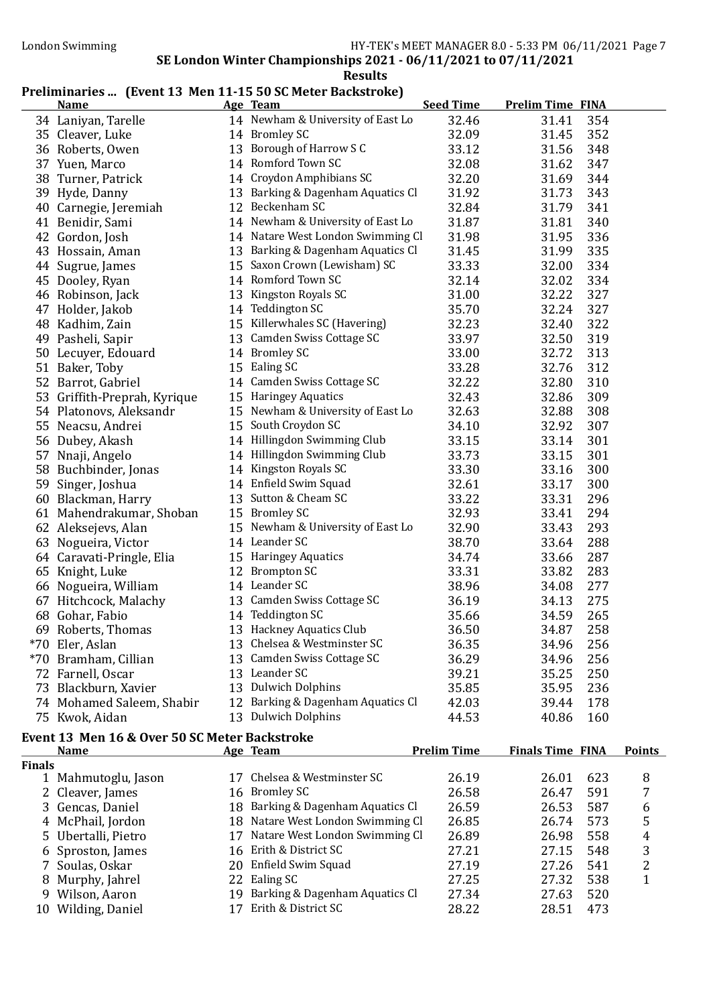#### Preliminaries ... (Event 13 Men 11-15 50 SC Meter Backstroke)

| <b>Name</b>                                   | Age Team                          | <b>Seed Time</b>   | <b>Prelim Time FINA</b> |               |
|-----------------------------------------------|-----------------------------------|--------------------|-------------------------|---------------|
| 34 Laniyan, Tarelle                           | 14 Newham & University of East Lo | 32.46              | 31.41                   | 354           |
| 35 Cleaver, Luke                              | 14 Bromley SC                     | 32.09              | 31.45                   | 352           |
| 36 Roberts, Owen                              | 13 Borough of Harrow S C          | 33.12              | 31.56                   | 348           |
| 37 Yuen, Marco                                | 14 Romford Town SC                | 32.08              | 31.62                   | 347           |
| 38 Turner, Patrick                            | 14 Croydon Amphibians SC          | 32.20              | 31.69                   | 344           |
| 39 Hyde, Danny                                | 13 Barking & Dagenham Aquatics Cl | 31.92              | 31.73                   | 343           |
| 40 Carnegie, Jeremiah                         | 12 Beckenham SC                   | 32.84              | 31.79                   | 341           |
| 41 Benidir, Sami                              | 14 Newham & University of East Lo | 31.87              | 31.81                   | 340           |
| 42 Gordon, Josh                               | 14 Natare West London Swimming Cl | 31.98              | 31.95                   | 336           |
| 43 Hossain, Aman                              | 13 Barking & Dagenham Aquatics Cl | 31.45              | 31.99                   | 335           |
| 44 Sugrue, James                              | 15 Saxon Crown (Lewisham) SC      | 33.33              | 32.00                   | 334           |
| 45 Dooley, Ryan                               | 14 Romford Town SC                | 32.14              | 32.02                   | 334           |
| 46 Robinson, Jack                             | 13 Kingston Royals SC             | 31.00              | 32.22                   | 327           |
| 47 Holder, Jakob                              | 14 Teddington SC                  | 35.70              | 32.24                   | 327           |
| 48 Kadhim, Zain                               | 15 Killerwhales SC (Havering)     | 32.23              | 32.40                   | 322           |
| 49 Pasheli, Sapir                             | 13 Camden Swiss Cottage SC        | 33.97              | 32.50                   | 319           |
| 50 Lecuyer, Edouard                           | 14 Bromley SC                     | 33.00              | 32.72                   | 313           |
| 51 Baker, Toby                                | 15 Ealing SC                      | 33.28              | 32.76                   | 312           |
| 52 Barrot, Gabriel                            | 14 Camden Swiss Cottage SC        | 32.22              | 32.80                   | 310           |
| 53 Griffith-Preprah, Kyrique                  | 15 Haringey Aquatics              | 32.43              | 32.86                   | 309           |
| 54 Platonovs, Aleksandr                       | 15 Newham & University of East Lo | 32.63              | 32.88                   | 308           |
| 55 Neacsu, Andrei                             | 15 South Croydon SC               | 34.10              | 32.92                   | 307           |
| 56 Dubey, Akash                               | 14 Hillingdon Swimming Club       | 33.15              | 33.14                   | 301           |
| 57 Nnaji, Angelo                              | 14 Hillingdon Swimming Club       | 33.73              | 33.15                   | 301           |
| 58 Buchbinder, Jonas                          | 14 Kingston Royals SC             | 33.30              | 33.16                   | 300           |
| 59 Singer, Joshua                             | 14 Enfield Swim Squad             | 32.61              | 33.17                   | 300           |
| 60 Blackman, Harry                            | 13 Sutton & Cheam SC              | 33.22              | 33.31                   | 296           |
| 61 Mahendrakumar, Shoban                      | 15 Bromley SC                     | 32.93              | 33.41                   | 294           |
| 62 Aleksejevs, Alan                           | 15 Newham & University of East Lo | 32.90              | 33.43                   | 293           |
| 63 Nogueira, Victor                           | 14 Leander SC                     | 38.70              | 33.64                   | 288           |
| 64 Caravati-Pringle, Elia                     | 15 Haringey Aquatics              | 34.74              | 33.66                   | 287           |
| 65 Knight, Luke                               | 12 Brompton SC                    | 33.31              | 33.82                   | 283           |
| 66 Nogueira, William                          | 14 Leander SC                     | 38.96              | 34.08                   | 277           |
| 67 Hitchcock, Malachy                         | 13 Camden Swiss Cottage SC        | 36.19              | 34.13                   | 275           |
| 68 Gohar, Fabio                               | 14 Teddington SC                  | 35.66              | 34.59                   | 265           |
| 69 Roberts, Thomas                            | 13 Hackney Aquatics Club          | 36.50              | 34.87                   | 258           |
| *70 Eler, Aslan                               | 13 Chelsea & Westminster SC       | 36.35              | 34.96                   | 256           |
| *70 Bramham, Cillian                          | 13 Camden Swiss Cottage SC        | 36.29              | 34.96                   | 256           |
| 72 Farnell, Oscar                             | 13 Leander SC                     | 39.21              | 35.25                   | 250           |
| 73 Blackburn, Xavier                          | 13 Dulwich Dolphins               | 35.85              | 35.95                   | 236           |
| 74 Mohamed Saleem, Shabir                     | 12 Barking & Dagenham Aquatics Cl | 42.03              | 39.44                   | 178           |
| 75 Kwok, Aidan                                | 13 Dulwich Dolphins               | 44.53              | 40.86                   | 160           |
| Event 13 Men 16 & Over 50 SC Meter Backstroke |                                   |                    |                         |               |
| <b>Name</b>                                   | Age Team                          | <b>Prelim Time</b> | <b>Finals Time FINA</b> | <b>Points</b> |

|               | .                   | $\frac{1}{2}$                     | .     | 1 111419 111110 111111 |     | . |
|---------------|---------------------|-----------------------------------|-------|------------------------|-----|---|
| <b>Finals</b> |                     |                                   |       |                        |     |   |
|               | 1 Mahmutoglu, Jason | 17 Chelsea & Westminster SC       | 26.19 | 26.01                  | 623 | 8 |
|               | 2 Cleaver, James    | 16 Bromley SC                     | 26.58 | 26.47                  | 591 | 7 |
|               | 3 Gencas, Daniel    | 18 Barking & Dagenham Aquatics Cl | 26.59 | 26.53                  | 587 | 6 |
|               | 4 McPhail, Jordon   | 18 Natare West London Swimming Cl | 26.85 | 26.74                  | 573 | 5 |
|               | 5 Ubertalli, Pietro | 17 Natare West London Swimming Cl | 26.89 | 26.98                  | 558 | 4 |
|               | 6 Sproston, James   | 16 Erith & District SC            | 27.21 | 27.15                  | 548 | 3 |
|               | 7 Soulas, Oskar     | 20 Enfield Swim Squad             | 27.19 | 27.26                  | 541 | 2 |
|               | 8 Murphy, Jahrel    | 22 Ealing SC                      | 27.25 | 27.32                  | 538 |   |
|               | 9 Wilson, Aaron     | 19 Barking & Dagenham Aquatics Cl | 27.34 | 27.63                  | 520 |   |
| 10            | Wilding, Daniel     | Erith & District SC               | 28.22 | 28.51                  | 473 |   |
|               |                     |                                   |       |                        |     |   |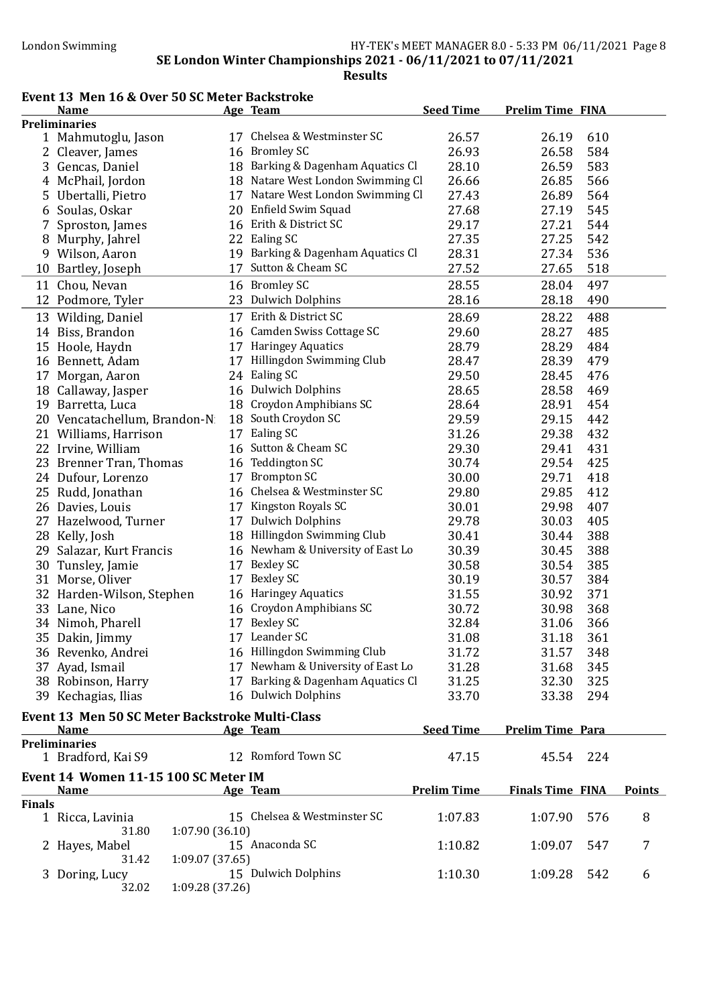### Event 13 Men 16 & Over 50 SC Meter Backstroke

|               | <b>Name</b>                                            |    | Age Team                          | <b>Seed Time</b>   | <b>Prelim Time FINA</b> |               |
|---------------|--------------------------------------------------------|----|-----------------------------------|--------------------|-------------------------|---------------|
|               | <b>Preliminaries</b>                                   |    |                                   |                    |                         |               |
|               | 1 Mahmutoglu, Jason                                    |    | 17 Chelsea & Westminster SC       | 26.57              | 26.19                   | 610           |
|               | 2 Cleaver, James                                       |    | 16 Bromley SC                     | 26.93              | 26.58                   | 584           |
|               | 3 Gencas, Daniel                                       |    | 18 Barking & Dagenham Aquatics Cl | 28.10              | 26.59                   | 583           |
|               | 4 McPhail, Jordon                                      |    | 18 Natare West London Swimming Cl | 26.66              | 26.85                   | 566           |
|               | 5 Ubertalli, Pietro                                    |    | 17 Natare West London Swimming Cl | 27.43              | 26.89                   | 564           |
|               | 6 Soulas, Oskar                                        |    | 20 Enfield Swim Squad             | 27.68              | 27.19                   | 545           |
| 7             | Sproston, James                                        |    | 16 Erith & District SC            | 29.17              | 27.21                   | 544           |
|               | 8 Murphy, Jahrel                                       |    | 22 Ealing SC                      | 27.35              | 27.25                   | 542           |
|               | 9 Wilson, Aaron                                        | 19 | Barking & Dagenham Aquatics Cl    | 28.31              | 27.34                   | 536           |
|               | 10 Bartley, Joseph                                     | 17 | Sutton & Cheam SC                 | 27.52              | 27.65                   | 518           |
|               | 11 Chou, Nevan                                         |    | 16 Bromley SC                     | 28.55              | 28.04                   | 497           |
|               | 12 Podmore, Tyler                                      | 23 | <b>Dulwich Dolphins</b>           | 28.16              | 28.18                   | 490           |
|               | 13 Wilding, Daniel                                     |    | 17 Erith & District SC            | 28.69              | 28.22                   | 488           |
|               | 14 Biss, Brandon                                       |    | 16 Camden Swiss Cottage SC        | 29.60              | 28.27                   | 485           |
|               | 15 Hoole, Haydn                                        |    | 17 Haringey Aquatics              | 28.79              | 28.29                   | 484           |
|               | 16 Bennett, Adam                                       | 17 | Hillingdon Swimming Club          | 28.47              | 28.39                   | 479           |
|               | 17 Morgan, Aaron                                       |    | 24 Ealing SC                      | 29.50              | 28.45                   | 476           |
|               | 18 Callaway, Jasper                                    |    | 16 Dulwich Dolphins               | 28.65              | 28.58                   | 469           |
|               | 19 Barretta, Luca                                      |    | 18 Croydon Amphibians SC          | 28.64              | 28.91                   | 454           |
|               | 20 Vencatachellum, Brandon-N                           |    | 18 South Croydon SC               | 29.59              | 29.15                   | 442           |
|               | 21 Williams, Harrison                                  |    | 17 Ealing SC                      | 31.26              | 29.38                   | 432           |
|               | 22 Irvine, William                                     |    | 16 Sutton & Cheam SC              | 29.30              | 29.41                   | 431           |
|               | 23 Brenner Tran, Thomas                                |    | 16 Teddington SC                  | 30.74              | 29.54                   | 425           |
|               | 24 Dufour, Lorenzo                                     |    | 17 Brompton SC                    | 30.00              | 29.71                   | 418           |
|               | 25 Rudd, Jonathan                                      |    | 16 Chelsea & Westminster SC       | 29.80              | 29.85                   | 412           |
|               |                                                        | 17 | Kingston Royals SC                | 30.01              | 29.98                   | 407           |
|               | 26 Davies, Louis                                       |    | 17 Dulwich Dolphins               | 29.78              |                         |               |
|               | 27 Hazelwood, Turner                                   |    | 18 Hillingdon Swimming Club       |                    | 30.03                   | 405           |
|               | 28 Kelly, Josh                                         |    |                                   | 30.41              | 30.44                   | 388           |
|               | 29 Salazar, Kurt Francis                               |    | 16 Newham & University of East Lo | 30.39              | 30.45                   | 388           |
|               | 30 Tunsley, Jamie                                      | 17 | <b>Bexley SC</b>                  | 30.58              | 30.54                   | 385           |
|               | 31 Morse, Oliver                                       | 17 | <b>Bexley SC</b>                  | 30.19              | 30.57                   | 384           |
|               | 32 Harden-Wilson, Stephen                              |    | 16 Haringey Aquatics              | 31.55              | 30.92                   | 371           |
|               | 33 Lane, Nico                                          |    | 16 Croydon Amphibians SC          | 30.72              | 30.98                   | 368           |
|               | 34 Nimoh, Pharell                                      | 17 | <b>Bexley SC</b>                  | 32.84              | 31.06                   | 366           |
|               | 35 Dakin, Jimmy                                        |    | 17 Leander SC                     | 31.08              | 31.18                   | 361           |
|               | 36 Revenko, Andrei                                     |    | 16 Hillingdon Swimming Club       | 31.72              | 31.57                   | 348           |
|               | 37 Ayad, Ismail                                        |    | 17 Newham & University of East Lo | 31.28              | 31.68                   | 345           |
|               | 38 Robinson, Harry                                     |    | 17 Barking & Dagenham Aquatics Cl | 31.25              | 32.30                   | 325           |
|               | 39 Kechagias, Ilias                                    |    | 16 Dulwich Dolphins               | 33.70              | 33.38                   | 294           |
|               | <b>Event 13 Men 50 SC Meter Backstroke Multi-Class</b> |    |                                   |                    |                         |               |
|               | <b>Name</b>                                            |    | Age Team                          | <b>Seed Time</b>   | <b>Prelim Time Para</b> |               |
|               | <b>Preliminaries</b>                                   |    |                                   |                    |                         |               |
|               | 1 Bradford, Kai S9                                     |    | 12 Romford Town SC                | 47.15              | 45.54<br>224            |               |
|               | Event 14 Women 11-15 100 SC Meter IM                   |    |                                   |                    |                         |               |
| <b>Finals</b> | <b>Name</b>                                            |    | <b>Age Team</b>                   | <b>Prelim Time</b> | <b>Finals Time FINA</b> | <b>Points</b> |
|               | 1 Ricca, Lavinia                                       |    | 15 Chelsea & Westminster SC       | 1:07.83            | 1:07.90                 | 8<br>576      |
|               | 1:07.90(36.10)<br>31.80                                |    |                                   |                    |                         |               |
|               | 2 Hayes, Mabel                                         |    | 15 Anaconda SC                    | 1:10.82            | 1:09.07                 | 547<br>7      |
|               | 1:09.07(37.65)<br>31.42                                |    |                                   |                    |                         |               |
|               | 3 Doring, Lucy                                         |    | 15 Dulwich Dolphins               | 1:10.30            | 1:09.28                 | 542<br>6      |
|               | 1:09.28 (37.26)<br>32.02                               |    |                                   |                    |                         |               |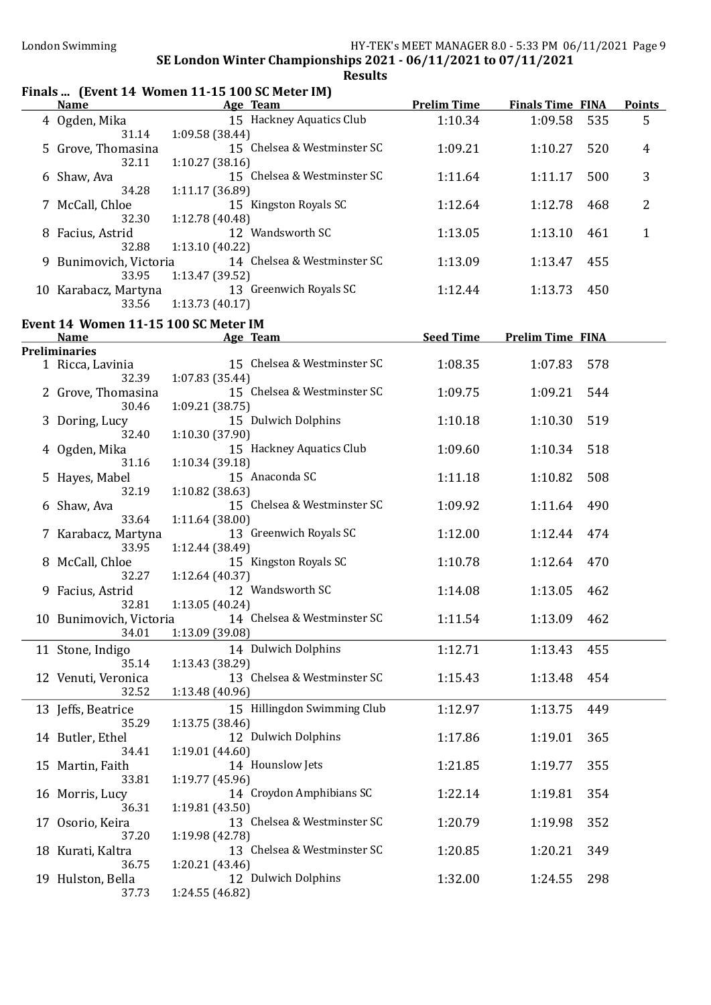### Finals ... (Event 14 Women 11-15 100 SC Meter IM)

| <b>Name</b>                                         | <u>Age Team and Age Team</u>                                                  |                  | <b>Prelim Time Finals Time FINA</b> | <b>Points</b>  |
|-----------------------------------------------------|-------------------------------------------------------------------------------|------------------|-------------------------------------|----------------|
| 4 Ogden, Mika<br>31.14                              | 15 Hackney Aquatics Club<br>1:09.58(38.44)                                    | 1:10.34          | 1:09.58<br>535                      | 5              |
| 5 Grove, Thomasina<br>32.11                         | 15 Chelsea & Westminster SC<br>1:10.27(38.16)                                 | 1:09.21          | 1:10.27<br>520                      | 4              |
| 6 Shaw, Ava<br>34.28                                | 15 Chelsea & Westminster SC<br>1:11.17 (36.89)                                | 1:11.64          | 1:11.17<br>500                      | 3              |
| 7 McCall, Chloe<br>32.30                            | 15 Kingston Royals SC<br>1:12.78 (40.48)                                      | 1:12.64          | 1:12.78<br>468                      | $\overline{2}$ |
| 8 Facius, Astrid<br>32.88                           | 12 Wandsworth SC<br>1:13.10(40.22)                                            | 1:13.05          | 1:13.10<br>461                      | $\mathbf{1}$   |
| 9 Bunimovich, Victoria<br>33.95                     | 14 Chelsea & Westminster SC<br>1:13.47 (39.52)                                | 1:13.09          | 1:13.47<br>455                      |                |
| 10 Karabacz, Martyna<br>33.56                       | 13 Greenwich Royals SC<br>1:13.73(40.17)                                      | 1:12.44          | 1:13.73<br>450                      |                |
| Event 14 Women 11-15 100 SC Meter IM<br><u>Name</u> | <u>Age Team</u>                                                               | <b>Seed Time</b> | <b>Prelim Time FINA</b>             |                |
| <b>Preliminaries</b>                                |                                                                               |                  |                                     |                |
| 1 Ricca, Lavinia<br>32.39                           | 15 Chelsea & Westminster SC<br>1:07.83 (35.44)                                | 1:08.35          | 578<br>1:07.83                      |                |
| 2 Grove, Thomasina<br>30.46                         | 15 Chelsea & Westminster SC<br>1:09.21 (38.75)                                | 1:09.75          | 1:09.21<br>544                      |                |
| 3 Doring, Lucy<br>32.40                             | 15 Dulwich Dolphins<br>1:10.30 (37.90)                                        | 1:10.18          | 1:10.30<br>519                      |                |
| 4 Ogden, Mika<br>31.16                              | 15 Hackney Aquatics Club<br>1:10.34(39.18)                                    | 1:09.60          | 1:10.34<br>518                      |                |
| 5 Hayes, Mabel<br>32.19                             | 15 Anaconda SC<br>1:10.82 (38.63)                                             | 1:11.18          | 1:10.82<br>508                      |                |
| 6 Shaw, Ava<br>33.64                                | 15 Chelsea & Westminster SC<br>1:11.64(38.00)                                 | 1:09.92          | 490<br>1:11.64                      |                |
| 7 Karabacz, Martyna<br>33.95                        | 13 Greenwich Royals SC<br>1:12.44 (38.49)                                     | 1:12.00          | 1:12.44<br>474                      |                |
| 8 McCall, Chloe<br>32.27                            | 15 Kingston Royals SC<br>1:12.64(40.37)                                       | 1:10.78          | 470<br>1:12.64                      |                |
| 9 Facius, Astrid<br>32.81                           | 12 Wandsworth SC<br>1:13.05 (40.24)                                           | 1:14.08          | 1:13.05<br>462                      |                |
|                                                     | 10 Bunimovich, Victoria 14 Chelsea & Westminster SC<br>34.01  1:13.09 (39.08) | 1:11.54          | 1:13.09<br>462                      |                |
| 11 Stone, Indigo<br>35.14                           | 14 Dulwich Dolphins<br>1:13.43 (38.29)                                        | 1:12.71          | 1:13.43<br>455                      |                |
| 12 Venuti, Veronica<br>32.52                        | 13 Chelsea & Westminster SC<br>1:13.48 (40.96)                                | 1:15.43          | 1:13.48<br>454                      |                |
| 13 Jeffs, Beatrice<br>35.29                         | 15 Hillingdon Swimming Club<br>1:13.75 (38.46)                                | 1:12.97          | 1:13.75<br>449                      |                |
| 14 Butler, Ethel<br>34.41                           | 12 Dulwich Dolphins<br>1:19.01 (44.60)                                        | 1:17.86          | 1:19.01<br>365                      |                |
| 15 Martin, Faith<br>33.81                           | 14 Hounslow Jets<br>1:19.77 (45.96)                                           | 1:21.85          | 355<br>1:19.77                      |                |
| 16 Morris, Lucy<br>36.31                            | 14 Croydon Amphibians SC<br>1:19.81(43.50)                                    | 1:22.14          | 1:19.81<br>354                      |                |
| 17 Osorio, Keira<br>37.20                           | 13 Chelsea & Westminster SC<br>1:19.98 (42.78)                                | 1:20.79          | 1:19.98<br>352                      |                |
| 18 Kurati, Kaltra<br>36.75                          | 13 Chelsea & Westminster SC<br>1:20.21(43.46)                                 | 1:20.85          | 1:20.21<br>349                      |                |
| 19 Hulston, Bella<br>37.73                          | 12 Dulwich Dolphins<br>1:24.55 (46.82)                                        | 1:32.00          | 1:24.55<br>298                      |                |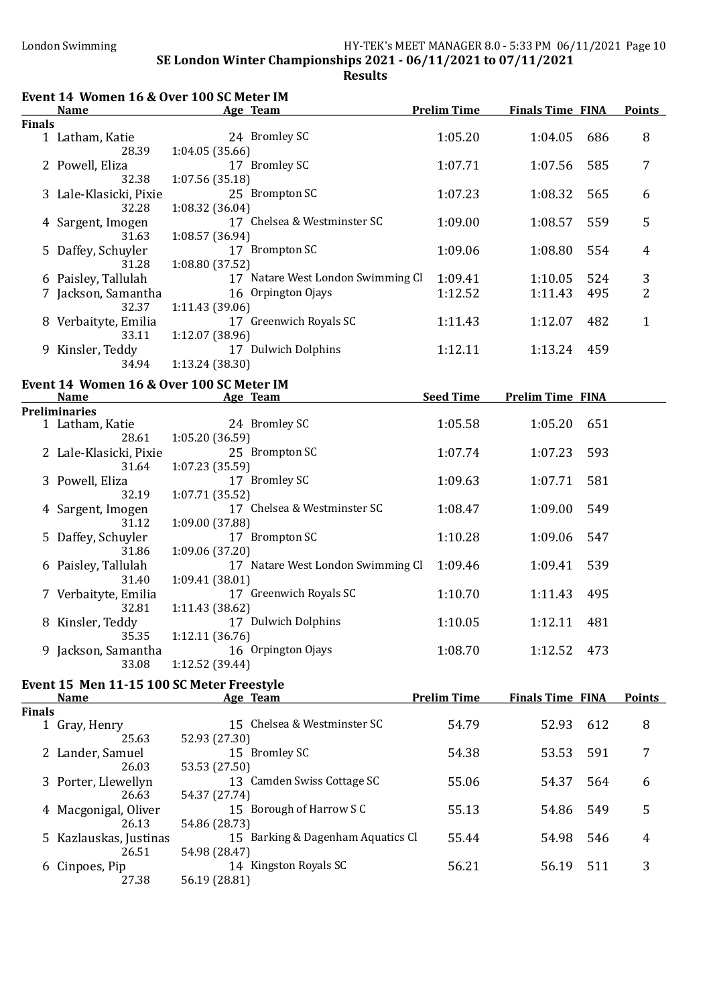| Event 14 Women 16 & Over 100 SC Meter IM |                                                         |                           |                                   |                    |                         |     |               |
|------------------------------------------|---------------------------------------------------------|---------------------------|-----------------------------------|--------------------|-------------------------|-----|---------------|
|                                          | <b>Name</b>                                             | <b>Example 2</b> Age Team |                                   | <b>Prelim Time</b> | <b>Finals Time FINA</b> |     | <b>Points</b> |
| <b>Finals</b>                            |                                                         |                           |                                   |                    |                         |     |               |
|                                          | 1 Latham, Katie<br>28.39                                | 1:04.05 (35.66)           | 24 Bromley SC                     | 1:05.20            | 1:04.05                 | 686 | 8             |
|                                          | 2 Powell, Eliza<br>32.38                                | 1:07.56 (35.18)           | 17 Bromley SC                     | 1:07.71            | 1:07.56                 | 585 | 7             |
|                                          | 3 Lale-Klasicki, Pixie                                  |                           | 25 Brompton SC                    | 1:07.23            | 1:08.32                 | 565 | 6             |
|                                          | 32.28<br>4 Sargent, Imogen                              | 1:08.32 (36.04)           | 17 Chelsea & Westminster SC       | 1:09.00            | 1:08.57                 | 559 | 5             |
|                                          | 31.63<br>5 Daffey, Schuyler                             | 1:08.57 (36.94)           | 17 Brompton SC                    | 1:09.06            | 1:08.80                 | 554 | 4             |
|                                          | 31.28<br>6 Paisley, Tallulah                            | 1:08.80 (37.52)           | 17 Natare West London Swimming Cl | 1:09.41            | 1:10.05                 | 524 | 3             |
|                                          |                                                         |                           |                                   |                    |                         |     |               |
|                                          | 7 Jackson, Samantha<br>32.37                            | 1:11.43 (39.06)           | 16 Orpington Ojays                | 1:12.52            | 1:11.43                 | 495 | 2             |
|                                          | 8 Verbaityte, Emilia<br>33.11                           | 1:12.07 (38.96)           | 17 Greenwich Royals SC            | 1:11.43            | 1:12.07                 | 482 | $\mathbf{1}$  |
|                                          | 9 Kinsler, Teddy<br>34.94                               | 1:13.24 (38.30)           | 17 Dulwich Dolphins               | 1:12.11            | 1:13.24                 | 459 |               |
|                                          |                                                         |                           |                                   |                    |                         |     |               |
|                                          | Event 14 Women 16 & Over 100 SC Meter IM<br><b>Name</b> | <b>Example 2</b> Age Team |                                   | <b>Seed Time</b>   | <b>Prelim Time FINA</b> |     |               |
|                                          | <b>Preliminaries</b>                                    |                           |                                   |                    |                         |     |               |
|                                          | 1 Latham, Katie                                         |                           | 24 Bromley SC                     | 1:05.58            | 1:05.20                 | 651 |               |
|                                          | 28.61<br>2 Lale-Klasicki, Pixie                         | 1:05.20 (36.59)           | 25 Brompton SC                    | 1:07.74            | 1:07.23                 | 593 |               |
|                                          | 31.64<br>3 Powell, Eliza                                | 1:07.23 (35.59)           | 17 Bromley SC                     | 1:09.63            | 1:07.71                 | 581 |               |
|                                          | 32.19                                                   | 1:07.71 (35.52)           |                                   |                    |                         |     |               |
|                                          | 4 Sargent, Imogen<br>31.12                              | 1:09.00 (37.88)           | 17 Chelsea & Westminster SC       | 1:08.47            | 1:09.00                 | 549 |               |
|                                          | 5 Daffey, Schuyler<br>31.86                             | 1:09.06 (37.20)           | 17 Brompton SC                    | 1:10.28            | 1:09.06                 | 547 |               |
|                                          | 6 Paisley, Tallulah<br>31.40                            |                           | 17 Natare West London Swimming Cl | 1:09.46            | 1:09.41                 | 539 |               |
|                                          | 7 Verbaityte, Emilia                                    | 1:09.41 (38.01)           | 17 Greenwich Royals SC            | 1:10.70            | 1:11.43                 | 495 |               |
|                                          | 32.81<br>8 Kinsler, Teddy                               | 1:11.43 (38.62)           | 17 Dulwich Dolphins               | 1:10.05            | 1:12.11 481             |     |               |
|                                          | 35.35<br>9 Jackson, Samantha                            | 1:12.11 (36.76)           | 16 Orpington Ojays                | 1:08.70            | 1:12.52                 | 473 |               |
|                                          | 33.08                                                   | 1:12.52 (39.44)           |                                   |                    |                         |     |               |
|                                          | Event 15 Men 11-15 100 SC Meter Freestyle               |                           |                                   |                    |                         |     |               |
|                                          | <b>Name</b>                                             |                           | Age Team                          | <b>Prelim Time</b> | <b>Finals Time FINA</b> |     | <b>Points</b> |
| <b>Finals</b>                            |                                                         |                           |                                   |                    |                         |     |               |
|                                          | 1 Gray, Henry<br>25.63                                  | 52.93 (27.30)             | 15 Chelsea & Westminster SC       | 54.79              | 52.93                   | 612 | 8             |
|                                          | 2 Lander, Samuel<br>26.03                               | 53.53 (27.50)             | 15 Bromley SC                     | 54.38              | 53.53                   | 591 | 7             |
|                                          | 3 Porter, Llewellyn                                     |                           | 13 Camden Swiss Cottage SC        | 55.06              | 54.37                   | 564 | 6             |
|                                          | 26.63<br>4 Macgonigal, Oliver                           | 54.37 (27.74)             | 15 Borough of Harrow S C          | 55.13              | 54.86                   | 549 | 5             |
|                                          | 26.13<br>5 Kazlauskas, Justinas                         | 54.86 (28.73)             | 15 Barking & Dagenham Aquatics Cl | 55.44              | 54.98                   | 546 | 4             |
|                                          | 26.51                                                   | 54.98 (28.47)             |                                   |                    |                         |     |               |
|                                          | 6 Cinpoes, Pip<br>27.38                                 | 56.19 (28.81)             | 14 Kingston Royals SC             | 56.21              | 56.19                   | 511 | 3             |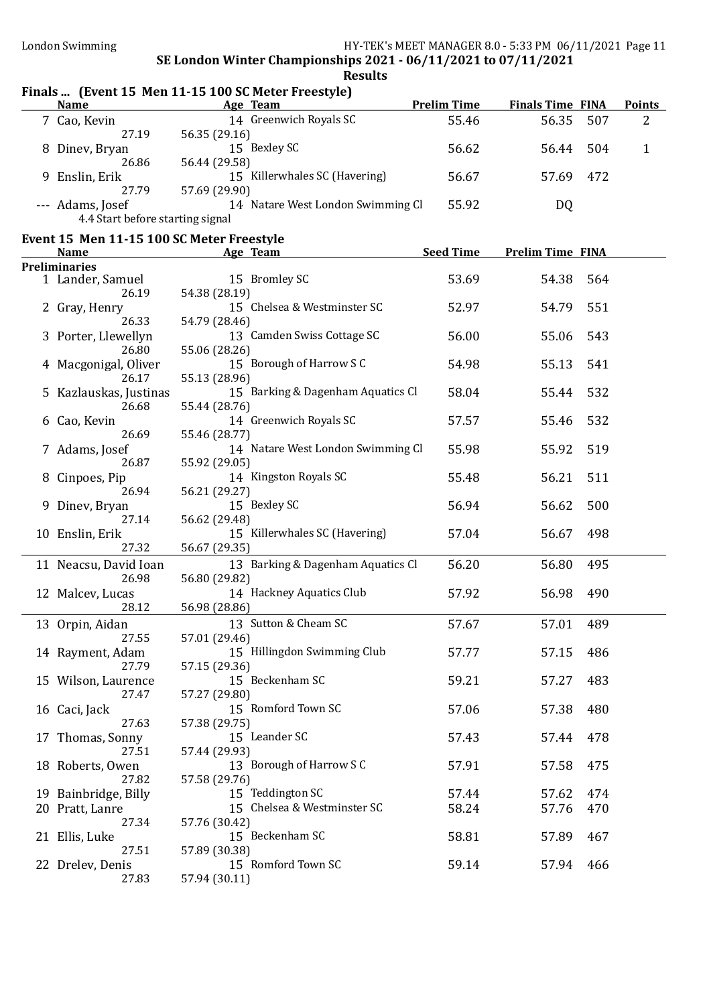# **Results**

### Finals ... (Event 15 Men 11-15 100 SC Meter Freestyle)

| <b>Name</b>                      | Age Team                          | <b>Prelim Time</b> | <b>Finals Time FINA</b> |      | <b>Points</b> |
|----------------------------------|-----------------------------------|--------------------|-------------------------|------|---------------|
| 7 Cao, Kevin                     | 14 Greenwich Royals SC            | 55.46              | 56.35                   | -507 | 2             |
| 27.19                            | 56.35 (29.16)                     |                    |                         |      |               |
| 8 Diney, Bryan                   | 15 Bexley SC                      | 56.62              | 56.44                   | 504  |               |
| 26.86                            | 56.44 (29.58)                     |                    |                         |      |               |
| 9 Enslin, Erik                   | 15 Killerwhales SC (Havering)     | 56.67              | 57.69                   | 472  |               |
| 27.79                            | 57.69 (29.90)                     |                    |                         |      |               |
| --- Adams, Josef                 | 14 Natare West London Swimming Cl | 55.92              | DQ                      |      |               |
| 4.4 Start before starting signal |                                   |                    |                         |      |               |

#### Event 15 Men 11-15 100 SC Meter Freestyle

| <b>Name</b>            | Age Team                          | <b>Seed Time</b> | <b>Prelim Time FINA</b> |     |
|------------------------|-----------------------------------|------------------|-------------------------|-----|
| <b>Preliminaries</b>   |                                   |                  |                         |     |
| 1 Lander, Samuel       | 15 Bromley SC                     | 53.69            | 54.38                   | 564 |
| 26.19                  | 54.38 (28.19)                     |                  |                         |     |
| 2 Gray, Henry          | 15 Chelsea & Westminster SC       | 52.97            | 54.79                   | 551 |
| 26.33                  | 54.79 (28.46)                     |                  |                         |     |
| 3 Porter, Llewellyn    | 13 Camden Swiss Cottage SC        | 56.00            | 55.06                   | 543 |
| 26.80                  | 55.06 (28.26)                     |                  |                         |     |
| 4 Macgonigal, Oliver   | 15 Borough of Harrow S C          | 54.98            | 55.13                   | 541 |
| 26.17                  | 55.13 (28.96)                     |                  |                         |     |
| 5 Kazlauskas, Justinas | 15 Barking & Dagenham Aquatics Cl | 58.04            | 55.44                   | 532 |
| 26.68                  | 55.44 (28.76)                     |                  |                         |     |
| 6 Cao, Kevin           | 14 Greenwich Royals SC            | 57.57            | 55.46                   | 532 |
| 26.69                  | 55.46 (28.77)                     |                  |                         |     |
| 7 Adams, Josef         | 14 Natare West London Swimming Cl | 55.98            | 55.92                   | 519 |
| 26.87                  | 55.92 (29.05)                     |                  |                         |     |
| 8 Cinpoes, Pip         | 14 Kingston Royals SC             | 55.48            | 56.21                   | 511 |
| 26.94                  | 56.21 (29.27)                     |                  |                         |     |
| 9 Dinev, Bryan         | 15 Bexley SC                      | 56.94            | 56.62                   | 500 |
| 27.14                  | 56.62 (29.48)                     |                  |                         |     |
| 10 Enslin, Erik        | 15 Killerwhales SC (Havering)     | 57.04            | 56.67                   | 498 |
| 27.32                  | 56.67 (29.35)                     |                  |                         |     |
| 11 Neacsu, David Ioan  | 13 Barking & Dagenham Aquatics Cl | 56.20            | 56.80                   | 495 |
| 26.98                  | 56.80 (29.82)                     |                  |                         |     |
| 12 Malcev, Lucas       | 14 Hackney Aquatics Club          | 57.92            | 56.98                   | 490 |
| 28.12                  | 56.98 (28.86)                     |                  |                         |     |
| 13 Orpin, Aidan        | 13 Sutton & Cheam SC              | 57.67            | 57.01                   | 489 |
| 27.55                  | 57.01 (29.46)                     |                  |                         |     |
| 14 Rayment, Adam       | 15 Hillingdon Swimming Club       | 57.77            | 57.15                   | 486 |
| 27.79                  | 57.15 (29.36)                     |                  |                         |     |
| 15 Wilson, Laurence    | 15 Beckenham SC                   | 59.21            | 57.27                   | 483 |
| 27.47                  | 57.27 (29.80)                     |                  |                         |     |
| 16 Caci, Jack          | 15 Romford Town SC                | 57.06            | 57.38                   | 480 |
| 27.63                  | 57.38 (29.75)                     |                  |                         |     |
| 17 Thomas, Sonny       | 15 Leander SC                     | 57.43            | 57.44                   | 478 |
| 27.51                  | 57.44 (29.93)                     |                  |                         |     |
| 18 Roberts, Owen       | 13 Borough of Harrow S C          | 57.91            | 57.58<br>475            |     |
| 27.82                  | 57.58 (29.76)                     |                  |                         |     |
| 19 Bainbridge, Billy   | 15 Teddington SC                  | 57.44            | 57.62                   | 474 |
| 20 Pratt, Lanre        | 15 Chelsea & Westminster SC       | 58.24            | 57.76                   | 470 |
| 27.34                  | 57.76 (30.42)                     |                  |                         |     |
| 21 Ellis, Luke         | 15 Beckenham SC                   | 58.81            | 57.89                   | 467 |
| 27.51                  | 57.89 (30.38)                     |                  |                         |     |
| 22 Drelev, Denis       | 15 Romford Town SC                | 59.14            | 57.94                   | 466 |
| 27.83                  | 57.94 (30.11)                     |                  |                         |     |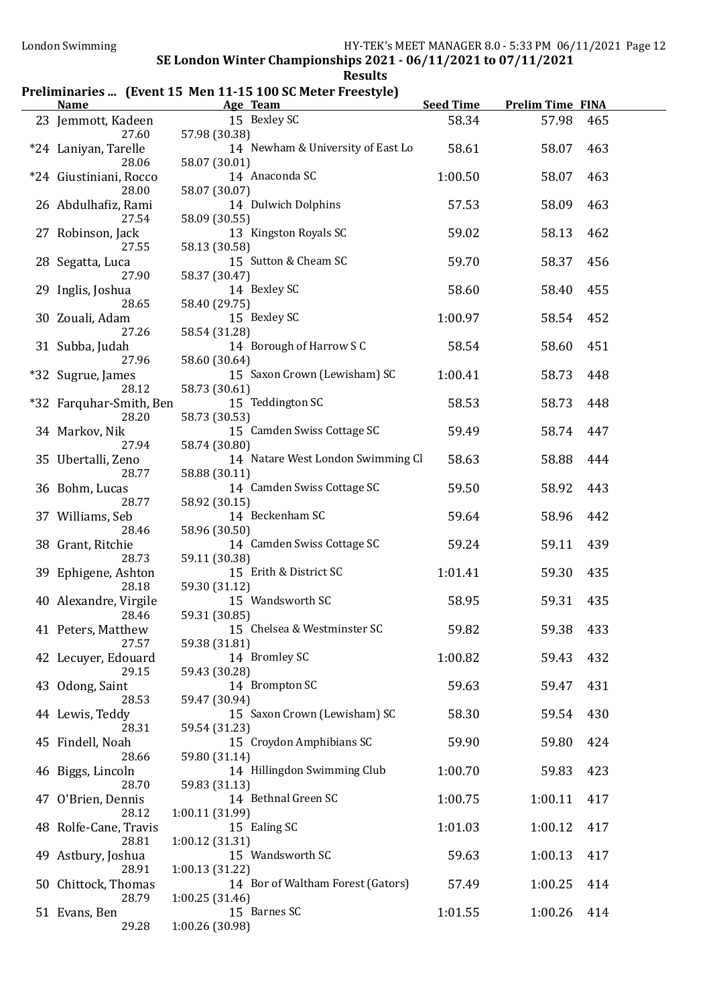### Preliminaries ... (Event 15 Men 11-15 100 SC Meter Freestyle)

| <b>Name</b>                                           | Age Team                                                              | <b>Seed Time</b> | <b>Prelim Time FINA</b> |            |
|-------------------------------------------------------|-----------------------------------------------------------------------|------------------|-------------------------|------------|
| 23 Jemmott, Kadeen<br>27.60                           | 15 Bexley SC<br>57.98 (30.38)                                         | 58.34            | 57.98                   | 465        |
| *24 Laniyan, Tarelle<br>28.06                         | 14 Newham & University of East Lo<br>58.07 (30.01)                    | 58.61            | 58.07                   | 463        |
| *24 Giustiniani, Rocco<br>28.00                       | 14 Anaconda SC<br>58.07 (30.07)                                       | 1:00.50          | 58.07                   | 463        |
| 26 Abdulhafiz, Rami<br>27.54                          | 14 Dulwich Dolphins<br>58.09 (30.55)                                  | 57.53            | 58.09                   | 463        |
| 27 Robinson, Jack<br>27.55                            | 13 Kingston Royals SC<br>58.13 (30.58)                                | 59.02            | 58.13                   | 462        |
| 28 Segatta, Luca<br>27.90                             | 15 Sutton & Cheam SC<br>58.37 (30.47)                                 | 59.70            | 58.37                   | 456        |
| 29 Inglis, Joshua<br>28.65                            | 14 Bexley SC<br>58.40 (29.75)                                         | 58.60            | 58.40                   | 455        |
| 30 Zouali, Adam<br>27.26                              | 15 Bexley SC<br>58.54 (31.28)                                         | 1:00.97          | 58.54                   | 452        |
| 31 Subba, Judah<br>27.96                              | 14 Borough of Harrow S C<br>58.60 (30.64)                             | 58.54            | 58.60                   | 451        |
| *32 Sugrue, James<br>28.12                            | 15 Saxon Crown (Lewisham) SC<br>58.73 (30.61)                         | 1:00.41          | 58.73                   | 448        |
| *32 Farquhar-Smith, Ben<br>28.20                      | 15 Teddington SC<br>58.73 (30.53)                                     | 58.53            | 58.73                   | 448        |
| 34 Markov, Nik<br>27.94                               | 15 Camden Swiss Cottage SC<br>58.74 (30.80)                           | 59.49            | 58.74                   | 447        |
| 35 Ubertalli, Zeno<br>28.77                           | 14 Natare West London Swimming Cl<br>58.88 (30.11)                    | 58.63            | 58.88                   | 444        |
| 36 Bohm, Lucas<br>28.77                               | 14 Camden Swiss Cottage SC<br>58.92 (30.15)                           | 59.50            | 58.92                   | 443        |
| 37 Williams, Seb<br>28.46                             | 14 Beckenham SC<br>58.96 (30.50)                                      | 59.64            | 58.96                   | 442        |
| 38 Grant, Ritchie<br>28.73                            | 14 Camden Swiss Cottage SC<br>59.11 (30.38)<br>15 Erith & District SC | 59.24            | 59.11                   | 439        |
| 39 Ephigene, Ashton<br>28.18<br>40 Alexandre, Virgile | 59.30 (31.12)<br>15 Wandsworth SC                                     | 1:01.41<br>58.95 | 59.30<br>59.31          | 435<br>435 |
| 28.46<br>41 Peters, Matthew                           | 59.31 (30.85)<br>15 Chelsea & Westminster SC                          | 59.82            | 59.38                   | 433        |
| 27.57<br>42 Lecuyer, Edouard                          | 59.38 (31.81)<br>14 Bromley SC                                        | 1:00.82          | 59.43                   | 432        |
| 29.15<br>43 Odong, Saint                              | 59.43 (30.28)<br>14 Brompton SC                                       | 59.63            | 59.47                   | 431        |
| 28.53<br>44 Lewis, Teddy                              | 59.47 (30.94)<br>15 Saxon Crown (Lewisham) SC                         | 58.30            | 59.54                   | 430        |
| 28.31<br>45 Findell, Noah                             | 59.54 (31.23)<br>15 Croydon Amphibians SC                             | 59.90            | 59.80                   | 424        |
| 28.66<br>46 Biggs, Lincoln                            | 59.80 (31.14)<br>14 Hillingdon Swimming Club                          | 1:00.70          | 59.83                   | 423        |
| 28.70<br>47 O'Brien, Dennis                           | 59.83 (31.13)<br>14 Bethnal Green SC                                  | 1:00.75          | 1:00.11                 | 417        |
| 28.12<br>48 Rolfe-Cane, Travis                        | 1:00.11 (31.99)<br>15 Ealing SC                                       | 1:01.03          | 1:00.12                 | 417        |
| 28.81<br>49 Astbury, Joshua                           | 1:00.12 (31.31)<br>15 Wandsworth SC                                   | 59.63            | 1:00.13                 | 417        |
| 28.91<br>50 Chittock, Thomas                          | 1:00.13 (31.22)<br>14 Bor of Waltham Forest (Gators)                  | 57.49            | 1:00.25                 | 414        |
| 28.79<br>51 Evans, Ben                                | 1:00.25 (31.46)<br>15 Barnes SC                                       | 1:01.55          | 1:00.26                 | 414        |
| 29.28                                                 | 1:00.26 (30.98)                                                       |                  |                         |            |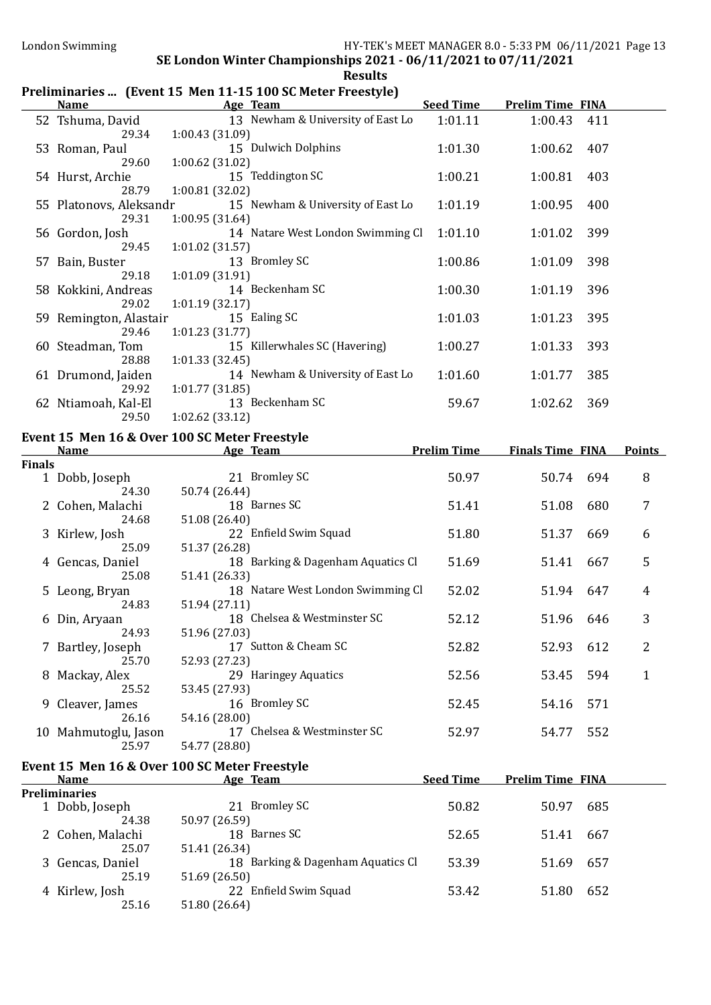# Preliminaries ... (Event 15 Men 11-15 100 SC Meter Freestyle)

|               | <b>Name</b>               | $\mathbf{r}$ reminimation. There is no mean to the sense in the reserves<br>Age Team | <b>Seed Time</b>   | <b>Prelim Time FINA</b> |     |               |
|---------------|---------------------------|--------------------------------------------------------------------------------------|--------------------|-------------------------|-----|---------------|
|               |                           | 13 Newham & University of East Lo                                                    |                    |                         |     |               |
|               | 52 Tshuma, David<br>29.34 | 1:00.43 (31.09)                                                                      | 1:01.11            | 1:00.43                 | 411 |               |
|               |                           | 15 Dulwich Dolphins                                                                  | 1:01.30            | 1:00.62                 | 407 |               |
|               | 53 Roman, Paul<br>29.60   | 1:00.62 (31.02)                                                                      |                    |                         |     |               |
|               | 54 Hurst, Archie          | 15 Teddington SC                                                                     | 1:00.21            | 1:00.81                 | 403 |               |
|               | 28.79                     | 1:00.81 (32.02)                                                                      |                    |                         |     |               |
|               | 55 Platonovs, Aleksandr   | 15 Newham & University of East Lo                                                    | 1:01.19            | 1:00.95                 | 400 |               |
|               | 29.31                     | 1:00.95 (31.64)                                                                      |                    |                         |     |               |
|               | 56 Gordon, Josh           | 14 Natare West London Swimming Cl                                                    | 1:01.10            | 1:01.02                 | 399 |               |
|               | 29.45                     | 1:01.02 (31.57)                                                                      |                    |                         |     |               |
|               | 57 Bain, Buster           | 13 Bromley SC                                                                        | 1:00.86            | 1:01.09                 | 398 |               |
|               | 29.18                     | 1:01.09 (31.91)                                                                      |                    |                         |     |               |
|               | 58 Kokkini, Andreas       | 14 Beckenham SC                                                                      | 1:00.30            | 1:01.19                 | 396 |               |
|               | 29.02                     | 1:01.19 (32.17)                                                                      |                    |                         |     |               |
|               | 59 Remington, Alastair    | 15 Ealing SC                                                                         | 1:01.03            | 1:01.23                 | 395 |               |
|               | 29.46                     | 1:01.23 (31.77)                                                                      |                    |                         |     |               |
|               | 60 Steadman, Tom          | 15 Killerwhales SC (Havering)                                                        | 1:00.27            | 1:01.33                 | 393 |               |
|               | 28.88                     | 1:01.33(32.45)                                                                       |                    |                         |     |               |
|               | 61 Drumond, Jaiden        | 14 Newham & University of East Lo                                                    | 1:01.60            | 1:01.77                 | 385 |               |
|               | 29.92                     | 1:01.77(31.85)                                                                       |                    |                         |     |               |
|               | 62 Ntiamoah, Kal-El       | 13 Beckenham SC                                                                      | 59.67              | 1:02.62                 | 369 |               |
|               | 29.50                     | 1:02.62(33.12)                                                                       |                    |                         |     |               |
|               |                           | Event 15 Men 16 & Over 100 SC Meter Freestyle                                        |                    |                         |     |               |
|               | <b>Name</b>               | Age Team                                                                             | <b>Prelim Time</b> | <b>Finals Time FINA</b> |     | <b>Points</b> |
| <b>Finals</b> |                           |                                                                                      |                    |                         |     |               |
|               | 1 Dobb, Joseph            | 21 Bromley SC                                                                        | 50.97              | 50.74                   | 694 | 8             |
|               | 24.30                     | 50.74 (26.44)<br>18 Barnes SC                                                        | 51.41              | 51.08                   | 680 | 7             |
|               | 2 Cohen, Malachi<br>24.68 | 51.08 (26.40)                                                                        |                    |                         |     |               |
|               | 3 Kirlew, Josh            | 22 Enfield Swim Squad                                                                | 51.80              | 51.37                   | 669 | 6             |
|               | 25.09                     | 51.37 (26.28)                                                                        |                    |                         |     |               |
|               | 4 Gencas, Daniel          | 18 Barking & Dagenham Aquatics Cl                                                    | 51.69              | 51.41                   | 667 | 5             |
|               | 25.08                     | 51.41 (26.33)                                                                        |                    |                         |     |               |
|               | 5 Leong, Bryan            | 18 Natare West London Swimming Cl                                                    | 52.02              | 51.94                   | 647 | 4             |
|               | 24.83                     | 51.94 (27.11)                                                                        |                    |                         |     |               |
|               | 6 Din, Aryaan             | 18 Chelsea & Westminster SC                                                          | 52.12              | 51.96                   | 646 | 3             |
|               | 24.93                     | 51.96 (27.03)                                                                        |                    |                         |     |               |
|               | 7 Bartley, Joseph         | 17 Sutton & Cheam SC                                                                 | 52.82              | 52.93                   | 612 | 2             |
|               | 25.70                     | 52.93 (27.23)                                                                        |                    |                         |     |               |
|               | 8 Mackay, Alex            | 29 Haringey Aquatics                                                                 | 52.56              | 53.45                   | 594 | $\mathbf{1}$  |
|               | 25.52                     | 53.45 (27.93)                                                                        |                    |                         |     |               |
|               | 9 Cleaver, James          | 16 Bromley SC                                                                        | 52.45              | 54.16                   | 571 |               |
|               | 26.16                     | 54.16 (28.00)                                                                        |                    |                         |     |               |
|               | 10 Mahmutoglu, Jason      | 17 Chelsea & Westminster SC                                                          | 52.97              | 54.77                   | 552 |               |
|               | 25.97                     | 54.77 (28.80)                                                                        |                    |                         |     |               |
|               |                           | Event 15 Men 16 & Over 100 SC Meter Freestyle                                        |                    |                         |     |               |
|               | <b>Name</b>               | Age Team                                                                             | <b>Seed Time</b>   | <b>Prelim Time FINA</b> |     |               |
|               | <b>Preliminaries</b>      |                                                                                      |                    |                         |     |               |
|               | 1 Dobb, Joseph            | 21 Bromley SC                                                                        | 50.82              | 50.97                   | 685 |               |
|               | 24.38                     | 50.97 (26.59)                                                                        |                    |                         |     |               |
|               | 2 Cohen, Malachi          | 18 Barnes SC                                                                         | 52.65              | 51.41                   | 667 |               |
|               | 25.07                     | 51.41 (26.34)<br>18 Barking & Dagenham Aquatics Cl                                   |                    |                         |     |               |
|               | 3 Gencas, Daniel          |                                                                                      | 53.39              | 51.69                   | 657 |               |
|               |                           |                                                                                      |                    |                         |     |               |
|               | 25.19                     | 51.69 (26.50)                                                                        |                    |                         |     |               |
|               | 4 Kirlew, Josh<br>25.16   | 22 Enfield Swim Squad<br>51.80 (26.64)                                               | 53.42              | 51.80                   | 652 |               |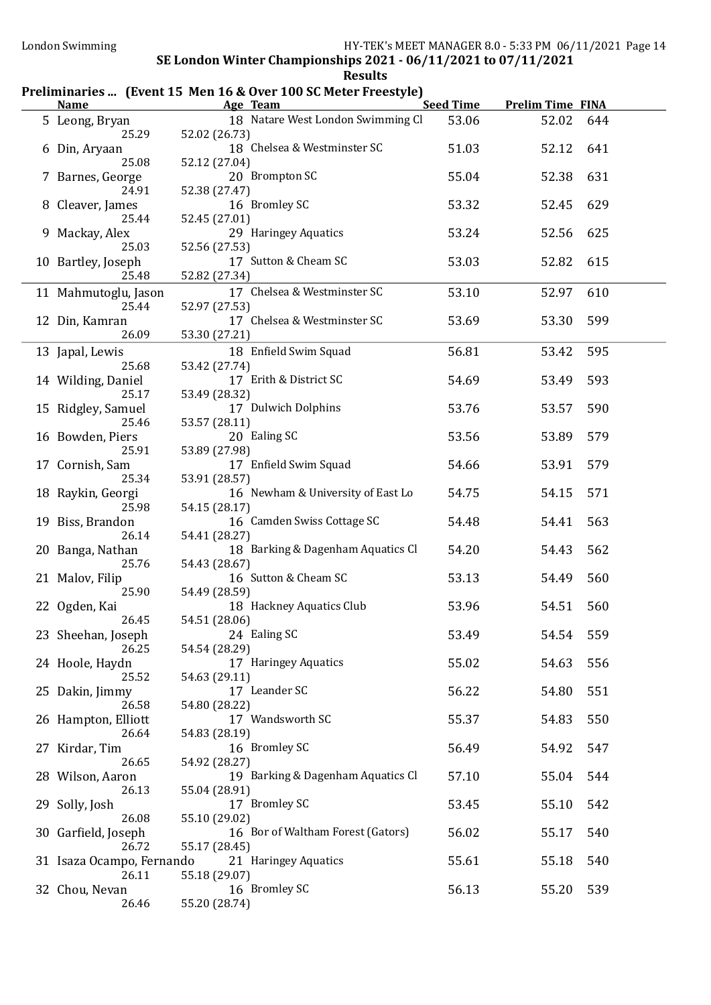### Preliminaries ... (Event 15 Men 16 & Over 100 SC Meter Freestyle)

| <b>Name</b>                        |               | Age Team                          | <b>Seed Time</b> | <b>Prelim Time FINA</b> |     |
|------------------------------------|---------------|-----------------------------------|------------------|-------------------------|-----|
| 5 Leong, Bryan<br>25.29            | 52.02 (26.73) | 18 Natare West London Swimming Cl | 53.06            | 52.02                   | 644 |
| 6 Din, Aryaan<br>25.08             | 52.12 (27.04) | 18 Chelsea & Westminster SC       | 51.03            | 52.12                   | 641 |
| 7 Barnes, George<br>24.91          | 52.38 (27.47) | 20 Brompton SC                    | 55.04            | 52.38                   | 631 |
| 8 Cleaver, James<br>25.44          | 52.45 (27.01) | 16 Bromley SC                     | 53.32            | 52.45                   | 629 |
| 9 Mackay, Alex<br>25.03            | 52.56 (27.53) | 29 Haringey Aquatics              | 53.24            | 52.56                   | 625 |
| 10 Bartley, Joseph<br>25.48        | 52.82 (27.34) | 17 Sutton & Cheam SC              | 53.03            | 52.82                   | 615 |
| 11 Mahmutoglu, Jason<br>25.44      | 52.97 (27.53) | 17 Chelsea & Westminster SC       | 53.10            | 52.97                   | 610 |
| 12 Din, Kamran<br>26.09            | 53.30 (27.21) | 17 Chelsea & Westminster SC       | 53.69            | 53.30                   | 599 |
| 13 Japal, Lewis<br>25.68           | 53.42 (27.74) | 18 Enfield Swim Squad             | 56.81            | 53.42                   | 595 |
| 14 Wilding, Daniel<br>25.17        | 53.49 (28.32) | 17 Erith & District SC            | 54.69            | 53.49                   | 593 |
| 15 Ridgley, Samuel<br>25.46        | 53.57 (28.11) | 17 Dulwich Dolphins               | 53.76            | 53.57                   | 590 |
| 16 Bowden, Piers<br>25.91          | 53.89 (27.98) | 20 Ealing SC                      | 53.56            | 53.89                   | 579 |
| 17 Cornish, Sam<br>25.34           | 53.91 (28.57) | 17 Enfield Swim Squad             | 54.66            | 53.91                   | 579 |
| 18 Raykin, Georgi<br>25.98         | 54.15 (28.17) | 16 Newham & University of East Lo | 54.75            | 54.15                   | 571 |
| 19 Biss, Brandon<br>26.14          | 54.41 (28.27) | 16 Camden Swiss Cottage SC        | 54.48            | 54.41                   | 563 |
| 20 Banga, Nathan<br>25.76          | 54.43 (28.67) | 18 Barking & Dagenham Aquatics Cl | 54.20            | 54.43                   | 562 |
| 21 Malov, Filip<br>25.90           | 54.49 (28.59) | 16 Sutton & Cheam SC              | 53.13            | 54.49                   | 560 |
| 22 Ogden, Kai<br>26.45             | 54.51 (28.06) | 18 Hackney Aquatics Club          | 53.96            | 54.51                   | 560 |
| 23 Sheehan, Joseph<br>26.25        | 54.54 (28.29) | 24 Ealing SC                      | 53.49            | 54.54                   | 559 |
| 24 Hoole, Haydn<br>25.52           | 54.63 (29.11) | 17 Haringey Aquatics              | 55.02            | 54.63                   | 556 |
| 25 Dakin, Jimmy<br>26.58           | 54.80 (28.22) | 17 Leander SC                     | 56.22            | 54.80                   | 551 |
| 26 Hampton, Elliott<br>26.64       | 54.83 (28.19) | 17 Wandsworth SC                  | 55.37            | 54.83                   | 550 |
| 27 Kirdar, Tim<br>26.65            | 54.92 (28.27) | 16 Bromley SC                     | 56.49            | 54.92                   | 547 |
| 28 Wilson, Aaron<br>26.13          | 55.04 (28.91) | 19 Barking & Dagenham Aquatics Cl | 57.10            | 55.04                   | 544 |
| 29 Solly, Josh<br>26.08            | 55.10 (29.02) | 17 Bromley SC                     | 53.45            | 55.10                   | 542 |
| 30 Garfield, Joseph<br>26.72       | 55.17 (28.45) | 16 Bor of Waltham Forest (Gators) | 56.02            | 55.17                   | 540 |
| 31 Isaza Ocampo, Fernando<br>26.11 | 55.18 (29.07) | 21 Haringey Aquatics              | 55.61            | 55.18                   | 540 |
| 32 Chou, Nevan<br>26.46            | 55.20 (28.74) | 16 Bromley SC                     | 56.13            | 55.20                   | 539 |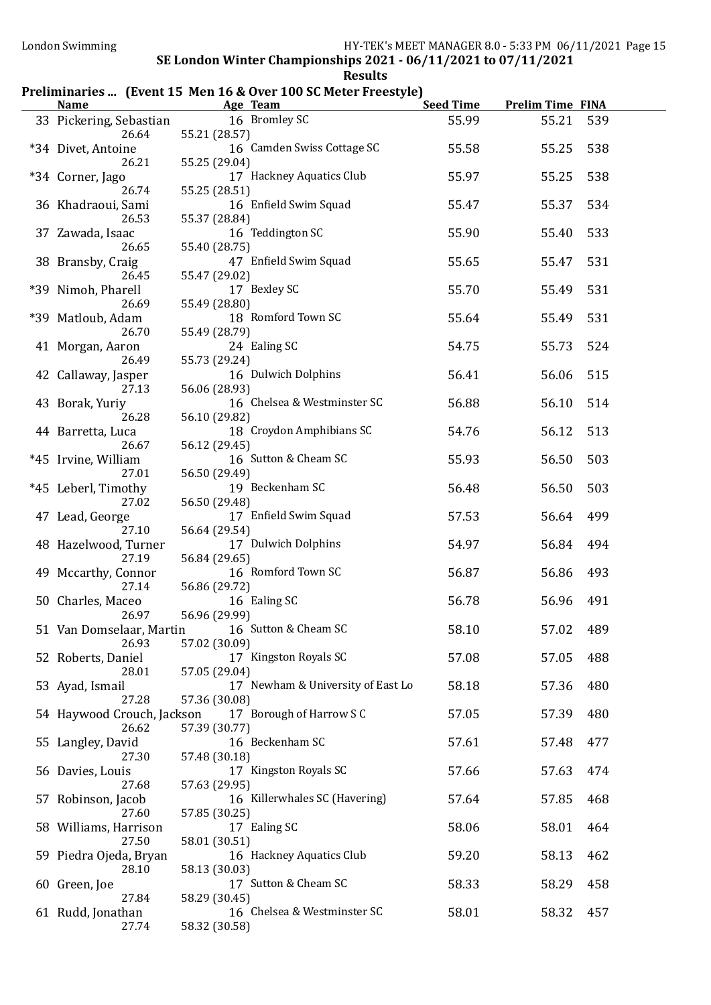#### Preliminaries ... (Event 15 Men 16 & Over 100 SC Meter Freestyle)

| <b>Name</b>                           | Age Team                                                       | <b>Seed Time</b> | <b>Prelim Time FINA</b> |     |
|---------------------------------------|----------------------------------------------------------------|------------------|-------------------------|-----|
| 33 Pickering, Sebastian<br>26.64      | 16 Bromley SC<br>55.21 (28.57)                                 | 55.99            | 55.21                   | 539 |
| *34 Divet, Antoine<br>26.21           | 16 Camden Swiss Cottage SC<br>55.25 (29.04)                    | 55.58            | 55.25                   | 538 |
| *34 Corner, Jago                      | 17 Hackney Aquatics Club                                       | 55.97            | 55.25                   | 538 |
| 26.74<br>36 Khadraoui, Sami           | 55.25 (28.51)<br>16 Enfield Swim Squad                         | 55.47            | 55.37                   | 534 |
| 26.53<br>37 Zawada, Isaac             | 55.37 (28.84)<br>16 Teddington SC                              | 55.90            | 55.40                   | 533 |
| 26.65<br>38 Bransby, Craig            | 55.40 (28.75)<br>47 Enfield Swim Squad                         | 55.65            | 55.47                   | 531 |
| 26.45<br>*39 Nimoh, Pharell           | 55.47 (29.02)<br>17 Bexley SC                                  | 55.70            | 55.49                   | 531 |
| 26.69<br>*39 Matloub, Adam            | 55.49 (28.80)<br>18 Romford Town SC                            | 55.64            | 55.49                   | 531 |
| 26.70<br>41 Morgan, Aaron             | 55.49 (28.79)<br>24 Ealing SC                                  | 54.75            | 55.73                   | 524 |
| 26.49<br>42 Callaway, Jasper          | 55.73 (29.24)<br>16 Dulwich Dolphins                           | 56.41            | 56.06                   | 515 |
| 27.13<br>43 Borak, Yuriy              | 56.06 (28.93)<br>16 Chelsea & Westminster SC                   | 56.88            | 56.10                   | 514 |
| 26.28<br>44 Barretta, Luca            | 56.10 (29.82)<br>18 Croydon Amphibians SC                      | 54.76            | 56.12                   | 513 |
| 26.67<br>*45 Irvine, William          | 56.12 (29.45)<br>16 Sutton & Cheam SC                          | 55.93            | 56.50                   | 503 |
| 27.01<br>*45 Leberl, Timothy          | 56.50 (29.49)<br>19 Beckenham SC                               | 56.48            | 56.50                   | 503 |
| 27.02<br>47 Lead, George              | 56.50 (29.48)<br>17 Enfield Swim Squad                         | 57.53            | 56.64                   | 499 |
| 27.10<br>48 Hazelwood, Turner         | 56.64 (29.54)<br>17 Dulwich Dolphins                           | 54.97            | 56.84                   | 494 |
| 27.19<br>49 Mccarthy, Connor<br>27.14 | 56.84 (29.65)<br>16 Romford Town SC                            | 56.87            | 56.86                   | 493 |
| 50 Charles, Maceo<br>26.97            | 56.86 (29.72)<br>16 Ealing SC                                  | 56.78            | 56.96                   | 491 |
| 26.93                                 | 56.96 (29.99)<br>51 Van Domselaar, Martin 16 Sutton & Cheam SC | 58.10            | 57.02                   | 489 |
| 52 Roberts, Daniel<br>28.01           | 57.02 (30.09)<br>17 Kingston Royals SC<br>57.05 (29.04)        | 57.08            | 57.05                   | 488 |
| 53 Ayad, Ismail<br>27.28              | 17 Newham & University of East Lo<br>57.36 (30.08)             | 58.18            | 57.36                   | 480 |
| 54 Haywood Crouch, Jackson<br>26.62   | 17 Borough of Harrow S C<br>57.39 (30.77)                      | 57.05            | 57.39                   | 480 |
| 55 Langley, David<br>27.30            | 16 Beckenham SC<br>57.48 (30.18)                               | 57.61            | 57.48                   | 477 |
| 56 Davies, Louis<br>27.68             | 17 Kingston Royals SC<br>57.63 (29.95)                         | 57.66            | 57.63                   | 474 |
| 57 Robinson, Jacob<br>27.60           | 16 Killerwhales SC (Havering)<br>57.85 (30.25)                 | 57.64            | 57.85                   | 468 |
| 58 Williams, Harrison<br>27.50        | 17 Ealing SC<br>58.01 (30.51)                                  | 58.06            | 58.01                   | 464 |
| 59 Piedra Ojeda, Bryan<br>28.10       | 16 Hackney Aquatics Club<br>58.13 (30.03)                      | 59.20            | 58.13                   | 462 |
| 60 Green, Joe<br>27.84                | 17 Sutton & Cheam SC<br>58.29 (30.45)                          | 58.33            | 58.29                   | 458 |
| 61 Rudd, Jonathan<br>27.74            | 16 Chelsea & Westminster SC<br>58.32 (30.58)                   | 58.01            | 58.32                   | 457 |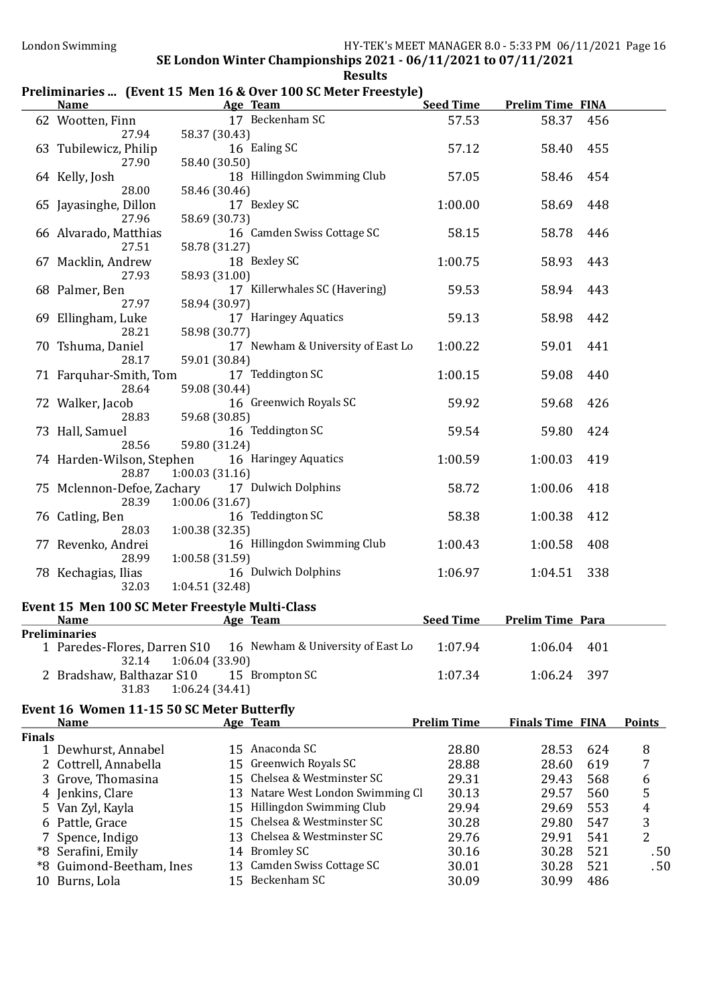### Preliminaries ... (Event 15 Men 16 & Over 100 SC Meter Freestyle)

|        | <b>Name</b>                           | <b>Example 2018 Age Team</b>                           | <b>Seed Time</b>   | <b>Prelim Time FINA</b> |     |                  |
|--------|---------------------------------------|--------------------------------------------------------|--------------------|-------------------------|-----|------------------|
|        |                                       | 62 Wootten, Finn 17 Beckenham SC                       | 57.53              | 58.37                   | 456 |                  |
|        | 27.94                                 | 58.37 (30.43)                                          |                    |                         |     |                  |
|        | 63 Tubilewicz, Philip                 | 16 Ealing SC                                           | 57.12              | 58.40                   | 455 |                  |
|        | 27.90                                 | 58.40 (30.50)                                          |                    |                         |     |                  |
|        | 64 Kelly, Josh                        | 18 Hillingdon Swimming Club                            | 57.05              | 58.46                   | 454 |                  |
|        | 28.00                                 | 58.46 (30.46)                                          |                    |                         |     |                  |
|        | 65 Jayasinghe, Dillon<br>27.96        | 17 Bexley SC<br>58.69 (30.73)                          | 1:00.00            | 58.69                   | 448 |                  |
|        | 66 Alvarado, Matthias                 | 16 Camden Swiss Cottage SC                             | 58.15              | 58.78                   | 446 |                  |
|        | 27.51                                 | 58.78 (31.27)                                          |                    |                         |     |                  |
|        | 67 Macklin, Andrew                    | 18 Bexley SC                                           | 1:00.75            | 58.93                   | 443 |                  |
|        | 27.93                                 | 58.93 (31.00)                                          |                    |                         |     |                  |
|        | 68 Palmer, Ben                        | 17 Killerwhales SC (Havering)                          | 59.53              | 58.94                   | 443 |                  |
|        | 27.97                                 | 58.94 (30.97)                                          |                    |                         |     |                  |
|        | 69 Ellingham, Luke                    | 17 Haringey Aquatics                                   | 59.13              | 58.98                   | 442 |                  |
|        | 28.21                                 | 58.98 (30.77)                                          |                    |                         |     |                  |
|        | 70 Tshuma, Daniel                     | 17 Newham & University of East Lo                      | 1:00.22            | 59.01                   | 441 |                  |
|        | 28.17                                 | 59.01 (30.84)                                          |                    |                         |     |                  |
|        | 71 Farquhar-Smith, Tom                | 17 Teddington SC                                       | 1:00.15            | 59.08                   | 440 |                  |
|        | 28.64                                 | 59.08 (30.44)                                          |                    |                         |     |                  |
|        | 72 Walker, Jacob                      | 16 Greenwich Royals SC                                 | 59.92              | 59.68                   | 426 |                  |
|        | 28.83                                 | 59.68 (30.85)<br>16 Teddington SC                      | 59.54              |                         |     |                  |
|        | 73 Hall, Samuel<br>28.56              | 59.80 (31.24)                                          |                    | 59.80                   | 424 |                  |
|        |                                       | 74 Harden-Wilson, Stephen 16 Haringey Aquatics         | 1:00.59            | 1:00.03                 | 419 |                  |
|        | 28.87                                 | 1:00.03(31.16)                                         |                    |                         |     |                  |
|        |                                       | 75 Mclennon-Defoe, Zachary 17 Dulwich Dolphins         | 58.72              | 1:00.06                 | 418 |                  |
|        | 28.39                                 | 1:00.06 (31.67)                                        |                    |                         |     |                  |
|        | 76 Catling, Ben                       | 16 Teddington SC                                       | 58.38              | 1:00.38                 | 412 |                  |
|        | 28.03                                 | 1:00.38(32.35)                                         |                    |                         |     |                  |
|        | 77 Revenko, Andrei                    | 16 Hillingdon Swimming Club                            | 1:00.43            | 1:00.58                 | 408 |                  |
|        | 28.99                                 | 1:00.58 (31.59)                                        |                    |                         |     |                  |
|        | 78 Kechagias, Ilias                   | 16 Dulwich Dolphins                                    | 1:06.97            | 1:04.51                 | 338 |                  |
|        | 32.03                                 | 1:04.51(32.48)                                         |                    |                         |     |                  |
|        |                                       | Event 15 Men 100 SC Meter Freestyle Multi-Class        |                    |                         |     |                  |
|        | <b>Name</b>                           | Age Team                                               | <b>Seed Time</b>   | <b>Prelim Time Para</b> |     |                  |
|        | <b>Preliminaries</b>                  |                                                        |                    |                         |     |                  |
|        | 1 Paredes-Flores, Darren S10<br>32.14 | 16 Newham & University of East Lo<br>1:06.04(33.90)    | 1:07.94            | 1:06.04                 | 401 |                  |
|        | 2 Bradshaw, Balthazar S10             | 15 Brompton SC                                         | 1:07.34            | 1:06.24                 | 397 |                  |
|        | 31.83                                 | 1:06.24(34.41)                                         |                    |                         |     |                  |
|        |                                       |                                                        |                    |                         |     |                  |
|        | <b>Name</b>                           | Event 16 Women 11-15 50 SC Meter Butterfly<br>Age Team | <b>Prelim Time</b> | <b>Finals Time FINA</b> |     | <b>Points</b>    |
| Finals |                                       |                                                        |                    |                         |     |                  |
|        | 1 Dewhurst, Annabel                   | 15 Anaconda SC                                         | 28.80              | 28.53                   | 624 | 8                |
| 2      | Cottrell, Annabella                   | 15 Greenwich Royals SC                                 | 28.88              | 28.60                   | 619 | 7                |
| 3      | Grove, Thomasina                      | 15 Chelsea & Westminster SC                            | 29.31              | 29.43                   | 568 | 6                |
| 4      | Jenkins, Clare                        | 13 Natare West London Swimming Cl                      | 30.13              | 29.57                   | 560 | 5                |
| 5.     | Van Zyl, Kayla                        | 15 Hillingdon Swimming Club                            | 29.94              | 29.69                   | 553 | $\boldsymbol{4}$ |
|        | 6 Pattle, Grace                       | 15 Chelsea & Westminster SC                            | 30.28              | 29.80                   | 547 | 3                |
|        | Spence, Indigo                        | 13 Chelsea & Westminster SC                            | 29.76              | 29.91                   | 541 | 2                |
|        | *8 Serafini, Emily                    | 14 Bromley SC                                          | 30.16              | 30.28                   | 521 | .50              |
| *8     | Guimond-Beetham, Ines                 | 13 Camden Swiss Cottage SC                             | 30.01              | 30.28                   | 521 | .50              |
|        | 10 Burns, Lola                        | 15 Beckenham SC                                        | 30.09              | 30.99                   | 486 |                  |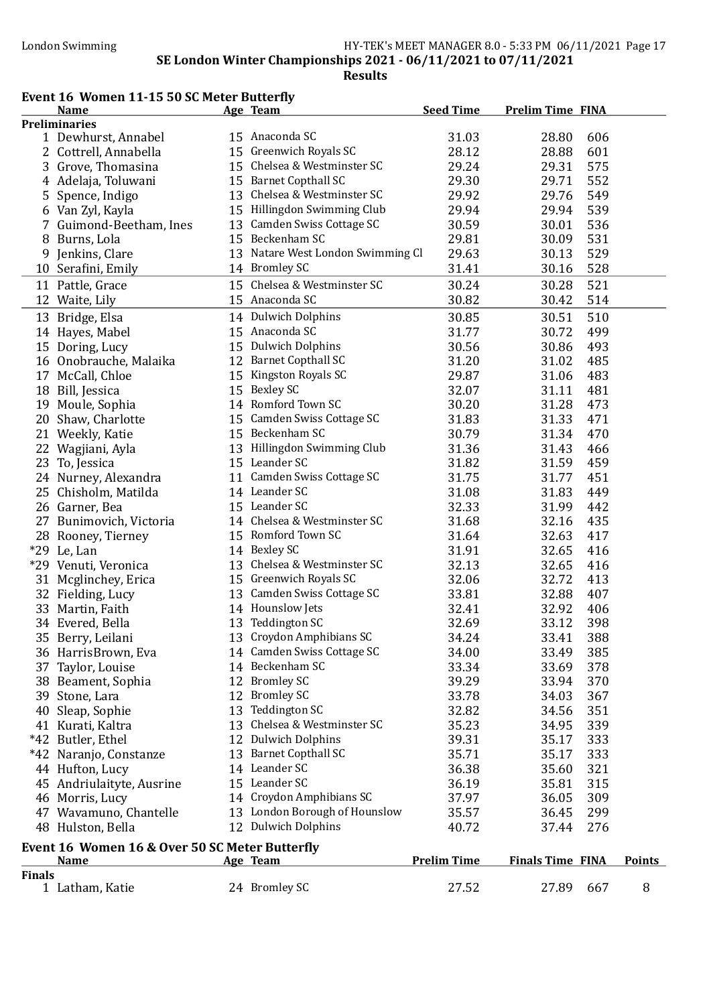#### London Swimming HY-TEK's MEET MANAGER 8.0 - 5:33 PM 06/11/2021 Page 17 SE London Winter Championships 2021 - 06/11/2021 to 07/11/2021

Results

## Event 16 Women 11-15 50 SC Meter Butterfly

|               | EVEILL TO WOMEN II-IS SO SCIMELEI DULLEI M<br><b>Name</b> | Age Team                          | <b>Seed Time</b>   | <b>Prelim Time FINA</b> |     |               |
|---------------|-----------------------------------------------------------|-----------------------------------|--------------------|-------------------------|-----|---------------|
|               | <b>Preliminaries</b>                                      |                                   |                    |                         |     |               |
|               | 1 Dewhurst, Annabel                                       | 15 Anaconda SC                    | 31.03              | 28.80                   | 606 |               |
|               | 2 Cottrell, Annabella                                     | 15 Greenwich Royals SC            | 28.12              | 28.88                   | 601 |               |
|               | 3 Grove, Thomasina                                        | 15 Chelsea & Westminster SC       | 29.24              | 29.31                   | 575 |               |
|               | 4 Adelaja, Toluwani                                       | 15 Barnet Copthall SC             | 29.30              | 29.71                   | 552 |               |
|               | 5 Spence, Indigo                                          | 13 Chelsea & Westminster SC       | 29.92              | 29.76                   | 549 |               |
|               | 6 Van Zyl, Kayla                                          | 15 Hillingdon Swimming Club       | 29.94              | 29.94                   | 539 |               |
|               | 7 Guimond-Beetham, Ines                                   | 13 Camden Swiss Cottage SC        | 30.59              | 30.01                   | 536 |               |
|               | 8 Burns, Lola                                             | 15 Beckenham SC                   | 29.81              | 30.09                   | 531 |               |
|               | 9 Jenkins, Clare                                          | 13 Natare West London Swimming Cl | 29.63              | 30.13                   | 529 |               |
|               |                                                           | 14 Bromley SC                     | 31.41              | 30.16                   | 528 |               |
|               | 10 Serafini, Emily                                        |                                   |                    |                         |     |               |
|               | 11 Pattle, Grace                                          | 15 Chelsea & Westminster SC       | 30.24              | 30.28                   | 521 |               |
|               | 12 Waite, Lily                                            | 15 Anaconda SC                    | 30.82              | 30.42                   | 514 |               |
|               | 13 Bridge, Elsa                                           | 14 Dulwich Dolphins               | 30.85              | 30.51                   | 510 |               |
|               | 14 Hayes, Mabel                                           | 15 Anaconda SC                    | 31.77              | 30.72                   | 499 |               |
|               | 15 Doring, Lucy                                           | 15 Dulwich Dolphins               | 30.56              | 30.86                   | 493 |               |
|               | 16 Onobrauche, Malaika                                    | 12 Barnet Copthall SC             | 31.20              | 31.02                   | 485 |               |
|               | 17 McCall, Chloe                                          | 15 Kingston Royals SC             | 29.87              | 31.06                   | 483 |               |
|               | 18 Bill, Jessica                                          | 15 Bexley SC                      | 32.07              | 31.11                   | 481 |               |
|               | 19 Moule, Sophia                                          | 14 Romford Town SC                | 30.20              | 31.28                   | 473 |               |
|               | 20 Shaw, Charlotte                                        | 15 Camden Swiss Cottage SC        | 31.83              | 31.33                   | 471 |               |
|               | 21 Weekly, Katie                                          | 15 Beckenham SC                   | 30.79              | 31.34                   | 470 |               |
|               | 22 Wagjiani, Ayla                                         | 13 Hillingdon Swimming Club       | 31.36              | 31.43                   | 466 |               |
|               | 23 To, Jessica                                            | 15 Leander SC                     | 31.82              | 31.59                   | 459 |               |
|               | 24 Nurney, Alexandra                                      | 11 Camden Swiss Cottage SC        | 31.75              | 31.77                   | 451 |               |
|               | 25 Chisholm, Matilda                                      | 14 Leander SC                     | 31.08              | 31.83                   | 449 |               |
|               | 26 Garner, Bea                                            | 15 Leander SC                     | 32.33              | 31.99                   | 442 |               |
|               | 27 Bunimovich, Victoria                                   | 14 Chelsea & Westminster SC       | 31.68              | 32.16                   | 435 |               |
|               | 28 Rooney, Tierney                                        | 15 Romford Town SC                | 31.64              | 32.63                   | 417 |               |
|               | *29 Le, Lan                                               | 14 Bexley SC                      | 31.91              | 32.65                   | 416 |               |
|               | *29 Venuti, Veronica                                      | 13 Chelsea & Westminster SC       | 32.13              | 32.65                   | 416 |               |
|               |                                                           | 15 Greenwich Royals SC            | 32.06              | 32.72                   | 413 |               |
|               | 31 Mcglinchey, Erica                                      | 13 Camden Swiss Cottage SC        |                    |                         |     |               |
|               | 32 Fielding, Lucy                                         |                                   | 33.81              | 32.88                   | 407 |               |
|               | 33 Martin, Faith                                          | 14 Hounslow Jets                  | 32.41              | 32.92                   | 406 |               |
|               | 34 Evered, Bella                                          | 13 Teddington SC                  | 32.69              | 33.12                   | 398 |               |
|               | 35 Berry, Leilani                                         | 13 Croydon Amphibians SC          | 34.24              | 33.41                   | 388 |               |
|               | 36 HarrisBrown, Eva                                       | 14 Camden Swiss Cottage SC        | 34.00              | 33.49                   | 385 |               |
|               | 37 Taylor, Louise                                         | 14 Beckenham SC                   | 33.34              | 33.69                   | 378 |               |
|               | 38 Beament, Sophia                                        | 12 Bromley SC                     | 39.29              | 33.94                   | 370 |               |
|               | 39 Stone, Lara                                            | 12 Bromley SC                     | 33.78              | 34.03                   | 367 |               |
|               | 40 Sleap, Sophie                                          | 13 Teddington SC                  | 32.82              | 34.56                   | 351 |               |
|               | 41 Kurati, Kaltra                                         | 13 Chelsea & Westminster SC       | 35.23              | 34.95                   | 339 |               |
|               | *42 Butler, Ethel                                         | 12 Dulwich Dolphins               | 39.31              | 35.17                   | 333 |               |
|               | *42 Naranjo, Constanze                                    | 13 Barnet Copthall SC             | 35.71              | 35.17                   | 333 |               |
|               | 44 Hufton, Lucy                                           | 14 Leander SC                     | 36.38              | 35.60                   | 321 |               |
|               | 45 Andriulaityte, Ausrine                                 | 15 Leander SC                     | 36.19              | 35.81                   | 315 |               |
|               | 46 Morris, Lucy                                           | 14 Croydon Amphibians SC          | 37.97              | 36.05                   | 309 |               |
|               | 47 Wavamuno, Chantelle                                    | 13 London Borough of Hounslow     | 35.57              | 36.45                   | 299 |               |
|               | 48 Hulston, Bella                                         | 12 Dulwich Dolphins               | 40.72              | 37.44                   | 276 |               |
|               | Event 16 Women 16 & Over 50 SC Meter Butterfly            |                                   |                    |                         |     |               |
|               | <b>Name</b>                                               | Age Team                          | <b>Prelim Time</b> | <b>Finals Time FINA</b> |     | <b>Points</b> |
| <b>Finals</b> |                                                           |                                   |                    |                         |     |               |
|               | 1 Latham, Katie                                           | 24 Bromley SC                     | 27.52              | 27.89                   | 667 | 8             |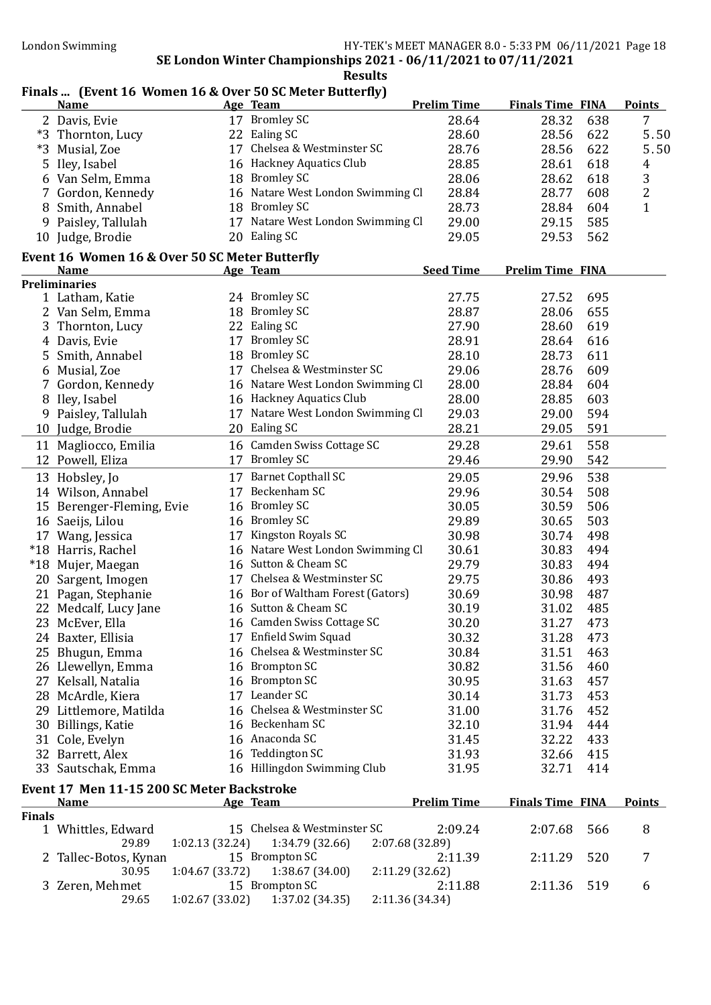#### Finals ... (Event 16 Women 16 & Over 50 SC Meter Butterfly)

|               | <b>Name</b>                                        |                 | Age Team                          | <b>Prelim Time</b> | <b>Finals Time FINA</b> |     | <b>Points</b>  |
|---------------|----------------------------------------------------|-----------------|-----------------------------------|--------------------|-------------------------|-----|----------------|
|               | 2 Davis, Evie                                      |                 | 17 Bromley SC                     | 28.64              | 28.32                   | 638 | 7              |
|               | *3 Thornton, Lucy                                  |                 | 22 Ealing SC                      | 28.60              | 28.56                   | 622 | 5.50           |
|               | *3 Musial, Zoe                                     |                 | 17 Chelsea & Westminster SC       | 28.76              | 28.56                   | 622 | 5.50           |
| 5             | Iley, Isabel                                       |                 | 16 Hackney Aquatics Club          | 28.85              | 28.61                   | 618 | 4              |
|               | 6 Van Selm, Emma                                   |                 | 18 Bromley SC                     | 28.06              | 28.62                   | 618 | 3              |
|               | 7 Gordon, Kennedy                                  |                 | 16 Natare West London Swimming Cl | 28.84              | 28.77                   | 608 | $\overline{c}$ |
|               | 8 Smith, Annabel                                   |                 | 18 Bromley SC                     | 28.73              | 28.84                   | 604 | $\mathbf{1}$   |
|               | 9 Paisley, Tallulah                                |                 | 17 Natare West London Swimming Cl | 29.00              | 29.15                   | 585 |                |
|               | 10 Judge, Brodie                                   |                 | 20 Ealing SC                      | 29.05              | 29.53                   | 562 |                |
|               |                                                    |                 |                                   |                    |                         |     |                |
|               | Event 16 Women 16 & Over 50 SC Meter Butterfly     |                 |                                   |                    |                         |     |                |
|               | <b>Name</b>                                        |                 | Age Team                          | <b>Seed Time</b>   | <b>Prelim Time FINA</b> |     |                |
|               | <b>Preliminaries</b>                               |                 | 24 Bromley SC                     |                    |                         |     |                |
|               | 1 Latham, Katie                                    |                 |                                   | 27.75              | 27.52                   | 695 |                |
|               | 2 Van Selm, Emma                                   |                 | 18 Bromley SC                     | 28.87              | 28.06                   | 655 |                |
|               | 3 Thornton, Lucy                                   |                 | 22 Ealing SC                      | 27.90              | 28.60                   | 619 |                |
|               | 4 Davis, Evie                                      |                 | 17 Bromley SC                     | 28.91              | 28.64                   | 616 |                |
|               | 5 Smith, Annabel                                   |                 | 18 Bromley SC                     | 28.10              | 28.73                   | 611 |                |
|               | 6 Musial, Zoe                                      |                 | 17 Chelsea & Westminster SC       | 29.06              | 28.76                   | 609 |                |
|               | 7 Gordon, Kennedy                                  |                 | 16 Natare West London Swimming Cl | 28.00              | 28.84                   | 604 |                |
|               | 8 Iley, Isabel                                     |                 | 16 Hackney Aquatics Club          | 28.00              | 28.85                   | 603 |                |
|               | 9 Paisley, Tallulah                                |                 | 17 Natare West London Swimming Cl | 29.03              | 29.00                   | 594 |                |
|               | 10 Judge, Brodie                                   |                 | 20 Ealing SC                      | 28.21              | 29.05                   | 591 |                |
| 11            | Magliocco, Emilia                                  |                 | 16 Camden Swiss Cottage SC        | 29.28              | 29.61                   | 558 |                |
|               | 12 Powell, Eliza                                   |                 | 17 Bromley SC                     | 29.46              | 29.90                   | 542 |                |
|               | 13 Hobsley, Jo                                     |                 | 17 Barnet Copthall SC             | 29.05              | 29.96                   | 538 |                |
|               | 14 Wilson, Annabel                                 |                 | 17 Beckenham SC                   | 29.96              | 30.54                   | 508 |                |
|               | 15 Berenger-Fleming, Evie                          | 16              | <b>Bromley SC</b>                 | 30.05              | 30.59                   | 506 |                |
|               | 16 Saeijs, Lilou                                   |                 | 16 Bromley SC                     | 29.89              | 30.65                   | 503 |                |
|               |                                                    | 17              | Kingston Royals SC                | 30.98              | 30.74                   | 498 |                |
|               | 17 Wang, Jessica                                   |                 | 16 Natare West London Swimming Cl |                    |                         |     |                |
|               | *18 Harris, Rachel                                 |                 | 16 Sutton & Cheam SC              | 30.61              | 30.83                   | 494 |                |
|               | *18 Mujer, Maegan                                  |                 |                                   | 29.79              | 30.83                   | 494 |                |
|               | 20 Sargent, Imogen                                 |                 | 17 Chelsea & Westminster SC       | 29.75              | 30.86                   | 493 |                |
|               | 21 Pagan, Stephanie                                |                 | 16 Bor of Waltham Forest (Gators) | 30.69              | 30.98                   | 487 |                |
|               | 22 Medcalf, Lucy Jane                              |                 | 16 Sutton & Cheam SC              | 30.19              | 31.02                   | 485 |                |
|               | 23 McEver, Ella                                    |                 | 16 Camden Swiss Cottage SC        | 30.20              | 31.27                   | 473 |                |
|               | 24 Baxter, Ellisia                                 |                 | 17 Enfield Swim Squad             | 30.32              | 31.28                   | 473 |                |
|               | 25 Bhugun, Emma                                    |                 | 16 Chelsea & Westminster SC       | 30.84              | 31.51                   | 463 |                |
|               | 26 Llewellyn, Emma                                 |                 | 16 Brompton SC                    | 30.82              | 31.56                   | 460 |                |
|               | 27 Kelsall, Natalia                                |                 | 16 Brompton SC                    | 30.95              | 31.63                   | 457 |                |
|               | 28 McArdle, Kiera                                  |                 | 17 Leander SC                     | 30.14              | 31.73                   | 453 |                |
|               | 29 Littlemore, Matilda                             |                 | 16 Chelsea & Westminster SC       | 31.00              | 31.76                   | 452 |                |
|               | 30 Billings, Katie                                 |                 | 16 Beckenham SC                   | 32.10              | 31.94                   | 444 |                |
|               | 31 Cole, Evelyn                                    |                 | 16 Anaconda SC                    | 31.45              | 32.22                   | 433 |                |
|               | 32 Barrett, Alex                                   |                 | 16 Teddington SC                  | 31.93              | 32.66                   | 415 |                |
|               | 33 Sautschak, Emma                                 |                 | 16 Hillingdon Swimming Club       | 31.95              | 32.71                   | 414 |                |
|               |                                                    |                 |                                   |                    |                         |     |                |
|               | Event 17 Men 11-15 200 SC Meter Backstroke<br>Name |                 | Age Team                          | <b>Prelim Time</b> | <b>Finals Time FINA</b> |     | <b>Points</b>  |
| <b>Finals</b> |                                                    |                 |                                   |                    |                         |     |                |
|               | 1 Whittles, Edward                                 |                 | 15 Chelsea & Westminster SC       | 2:09.24            | 2:07.68                 | 566 | 8              |
|               | 29.89                                              | 1:02.13 (32.24) | 1:34.79 (32.66)                   | 2:07.68 (32.89)    |                         |     |                |
|               | 2 Tallec-Botos, Kynan                              |                 | 15 Brompton SC                    | 2:11.39            | 2:11.29                 | 520 | 7              |
|               | 30.95                                              | 1:04.67 (33.72) | 1:38.67 (34.00)                   | 2:11.29 (32.62)    |                         |     |                |
|               | 3 Zeren, Mehmet                                    |                 | 15 Brompton SC                    | 2:11.88            | 2:11.36                 | 519 | 6              |
|               | 29.65                                              | 1:02.67(33.02)  | 1:37.02 (34.35)                   | 2:11.36 (34.34)    |                         |     |                |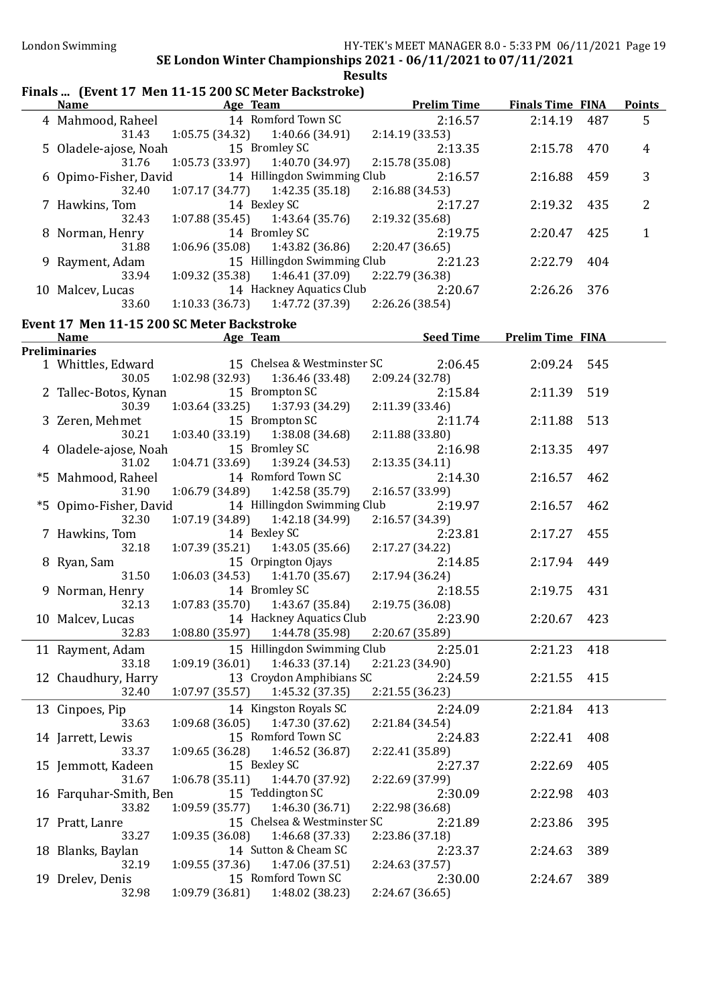| <b>Name</b>                                | <b>Example 2016</b> Age Team | Finals  (Event 17 Men 11-15 200 SC Meter Backstroke) | <b>Example 2018 Prelim Time</b>             | <b>Finals Time FINA</b> |     | <b>Points</b>  |
|--------------------------------------------|------------------------------|------------------------------------------------------|---------------------------------------------|-------------------------|-----|----------------|
|                                            |                              |                                                      |                                             |                         |     |                |
| 4 Mahmood, Raheel                          |                              | 14 Romford Town SC                                   | 2:16.57                                     | 2:14.19                 | 487 | 5              |
| 31.43                                      |                              | $1:05.75(34.32)$ $1:40.66(34.91)$                    | 2:14.19(33.53)                              |                         |     |                |
| 5 Oladele-ajose, Noah 15 Bromley SC        |                              |                                                      | 2:13.35                                     | 2:15.78                 | 470 | $\overline{4}$ |
| 31.76                                      |                              | 1:05.73 (33.97) 1:40.70 (34.97)                      | 2:15.78 (35.08)                             |                         |     |                |
| 6 Opimo-Fisher, David                      |                              | 14 Hillingdon Swimming Club                          | 2:16.57                                     | 2:16.88                 | 459 | 3              |
| 32.40                                      |                              | $1:07.17(34.77)$ $1:42.35(35.18)$                    | 2:16.88 (34.53)                             |                         |     |                |
| 7 Hawkins, Tom                             |                              | 14 Bexley SC                                         | 2:17.27                                     | 2:19.32                 | 435 | $\overline{2}$ |
| 32.43                                      |                              | $1:07.88(35.45)$ $1:43.64(35.76)$                    | 2:19.32 (35.68)                             |                         |     |                |
| 8 Norman, Henry                            |                              | 14 Bromley SC                                        | 2:19.75                                     | 2:20.47                 | 425 | 1              |
| 31.88                                      |                              | $1:06.96(35.08)$ $1:43.82(36.86)$                    | 2:20.47(36.65)                              |                         |     |                |
| 9 Rayment, Adam                            |                              | 15 Hillingdon Swimming Club                          | 2:21.23                                     | 2:22.79                 | 404 |                |
| 33.94                                      |                              | $1:09.32$ (35.38) $1:46.41$ (37.09)                  |                                             |                         |     |                |
|                                            |                              |                                                      | 2:22.79 (36.38)                             |                         |     |                |
| 10 Malcev, Lucas                           |                              | 14 Hackney Aquatics Club                             | 2:20.67                                     | 2:26.26                 | 376 |                |
| 33.60                                      |                              | $1:10.33(36.73)$ $1:47.72(37.39)$                    | 2:26.26 (38.54)                             |                         |     |                |
| Event 17 Men 11-15 200 SC Meter Backstroke |                              |                                                      |                                             |                         |     |                |
| <b>Name</b>                                | <b>Example 2</b> Age Team    |                                                      | <b>Example 2 Seed Time Prelim Time FINA</b> |                         |     |                |
| <b>Preliminaries</b>                       |                              |                                                      |                                             |                         |     |                |
| 1 Whittles, Edward                         |                              | 15 Chelsea & Westminster SC                          | 2:06.45                                     | 2:09.24 545             |     |                |
| 30.05                                      |                              | $1:02.98(32.93)$ $1:36.46(33.48)$                    | 2:09.24 (32.78)                             |                         |     |                |
| 2 Tallec-Botos, Kynan                      |                              | 15 Brompton SC                                       | 2:15.84                                     | 2:11.39                 | 519 |                |
| 30.39                                      |                              | $1:03.64(33.25)$ $1:37.93(34.29)$                    | 2:11.39 (33.46)                             |                         |     |                |
| 3 Zeren, Mehmet                            |                              | 15 Brompton SC                                       | 2:11.74                                     | 2:11.88                 | 513 |                |
|                                            |                              |                                                      |                                             |                         |     |                |
| 30.21                                      |                              | $1:03.40(33.19)$ $1:38.08(34.68)$                    | 2:11.88 (33.80)                             |                         |     |                |
| 4 Oladele-ajose, Noah                      |                              | 15 Bromley SC                                        | 2:16.98                                     | 2:13.35                 | 497 |                |
| 31.02                                      |                              | $1:04.71(33.69)$ $1:39.24(34.53)$                    | 2:13.35(34.11)                              |                         |     |                |
| *5 Mahmood, Raheel                         |                              | 14 Romford Town SC                                   | 2:14.30                                     | 2:16.57                 | 462 |                |
| 31.90                                      |                              | $1:06.79(34.89)$ $1:42.58(35.79)$                    | 2:16.57 (33.99)                             |                         |     |                |
| *5 Opimo-Fisher, David                     |                              | 14 Hillingdon Swimming Club                          | 2:19.97                                     | 2:16.57                 | 462 |                |
| 32.30                                      |                              | $1:07.19(34.89)$ $1:42.18(34.99)$                    | 2:16.57 (34.39)                             |                         |     |                |
| 7 Hawkins, Tom                             |                              | 14 Bexley SC                                         | 2:23.81                                     | 2:17.27                 | 455 |                |
| 32.18                                      |                              | $1:07.39(35.21)$ $1:43.05(35.66)$                    | 2:17.27 (34.22)                             |                         |     |                |
| 8 Ryan, Sam                                |                              | 15 Orpington Ojays                                   | 2:14.85                                     | 2:17.94                 | 449 |                |
| 31.50                                      |                              | $1:06.03(34.53)$ $1:41.70(35.67)$                    | 2:17.94 (36.24)                             |                         |     |                |
| 9 Norman, Henry                            |                              | 14 Bromley SC                                        | 2:18.55                                     | 2:19.75                 | 431 |                |
| 32.13                                      |                              | $1:07.83(35.70)$ $1:43.67(35.84)$                    | 2:19.75 (36.08)                             |                         |     |                |
| 10 Malcev, Lucas                           |                              | 14 Hackney Aquatics Club 2:23.90                     |                                             | 2:20.67 423             |     |                |
| 32.83                                      |                              | $1:08.80(35.97)$ $1:44.78(35.98)$                    | 2:20.67 (35.89)                             |                         |     |                |
|                                            |                              |                                                      |                                             |                         |     |                |
| 11 Rayment, Adam                           |                              | 15 Hillingdon Swimming Club                          | 2:25.01                                     | 2:21.23                 | 418 |                |
| 33.18                                      | 1:09.19(36.01)               | 1:46.33 (37.14)                                      | 2:21.23 (34.90)                             |                         |     |                |
| 12 Chaudhury, Harry                        |                              | 13 Croydon Amphibians SC                             | 2:24.59                                     | 2:21.55                 | 415 |                |
| 32.40                                      | 1:07.97(35.57)               | 1:45.32 (37.35)                                      | 2:21.55 (36.23)                             |                         |     |                |
| 13 Cinpoes, Pip                            |                              | 14 Kingston Royals SC                                | 2:24.09                                     | 2:21.84                 | 413 |                |
| 33.63                                      | 1:09.68(36.05)               | 1:47.30 (37.62)                                      | 2:21.84 (34.54)                             |                         |     |                |
| 14 Jarrett, Lewis                          |                              | 15 Romford Town SC                                   | 2:24.83                                     | 2:22.41                 | 408 |                |
| 33.37                                      |                              | $1:09.65(36.28)$ $1:46.52(36.87)$                    | 2:22.41 (35.89)                             |                         |     |                |
| 15 Jemmott, Kadeen                         |                              | 15 Bexley SC                                         | 2:27.37                                     | 2:22.69                 | 405 |                |
| 31.67                                      |                              | $1:06.78(35.11)$ $1:44.70(37.92)$                    | 2:22.69 (37.99)                             |                         |     |                |
|                                            |                              |                                                      |                                             |                         |     |                |
| 16 Farquhar-Smith, Ben                     |                              | 15 Teddington SC                                     | 2:30.09                                     | 2:22.98                 | 403 |                |
| 33.82                                      |                              | $1:09.59(35.77)$ $1:46.30(36.71)$                    | 2:22.98 (36.68)                             |                         |     |                |
| 17 Pratt, Lanre                            |                              | 15 Chelsea & Westminster SC                          | 2:21.89                                     | 2:23.86                 | 395 |                |
| 33.27                                      |                              | $1:09.35(36.08)$ $1:46.68(37.33)$                    | 2:23.86 (37.18)                             |                         |     |                |
| 18 Blanks, Baylan                          |                              | 14 Sutton & Cheam SC                                 | 2:23.37                                     | 2:24.63                 | 389 |                |
| 32.19                                      |                              | $1:09.55(37.36)$ $1:47.06(37.51)$                    | 2:24.63 (37.57)                             |                         |     |                |
| 19 Drelev, Denis                           |                              | 15 Romford Town SC                                   | 2:30.00                                     | 2:24.67                 | 389 |                |
| 32.98                                      | 1:09.79(36.81)               | 1:48.02 (38.23)                                      | 2:24.67(36.65)                              |                         |     |                |
|                                            |                              |                                                      |                                             |                         |     |                |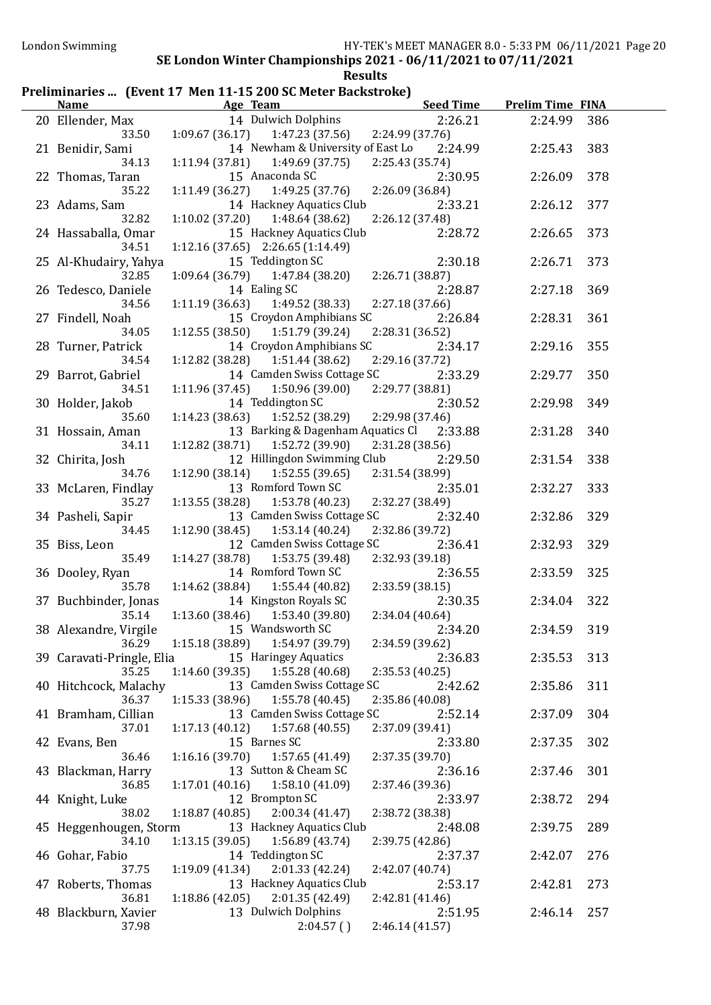#### Preliminaries ... (Event 17 Men 11-15 200 SC Meter Backstroke)

| <b>Name</b>                     | Age Team                                                         | <b>Seed Time</b>           | <b>Prelim Time FINA</b> |     |
|---------------------------------|------------------------------------------------------------------|----------------------------|-------------------------|-----|
| 20 Ellender, Max                | 14 Dulwich Dolphins                                              | 2:26.21                    | 2:24.99                 | 386 |
| 33.50                           | $1:09.67(36.17)$ $1:47.23(37.56)$                                | 2:24.99 (37.76)            |                         |     |
| 21 Benidir, Sami                | 14 Newham & University of East Lo                                | 2:24.99                    | 2:25.43                 | 383 |
| 34.13                           | 1:11.94(37.81)<br>1:49.69(37.75)                                 | 2:25.43 (35.74)            |                         |     |
| 22 Thomas, Taran                | 15 Anaconda SC                                                   | 2:30.95                    | 2:26.09                 | 378 |
| 35.22                           | 1:11.49(36.27)<br>1:49.25 (37.76)                                | 2:26.09 (36.84)            |                         |     |
| 23 Adams, Sam                   | 14 Hackney Aquatics Club                                         | 2:33.21                    | 2:26.12                 | 377 |
| 32.82                           | $1:10.02$ (37.20) $1:48.64$ (38.62)                              | 2:26.12 (37.48)            |                         |     |
| 24 Hassaballa, Omar             | 15 Hackney Aquatics Club                                         | 2:28.72                    | 2:26.65                 | 373 |
| 34.51                           | $1:12.16(37.65)$ $2:26.65(1:14.49)$                              |                            |                         |     |
| 25 Al-Khudairy, Yahya           | 15 Teddington SC                                                 | 2:30.18                    | 2:26.71                 | 373 |
| 32.85                           | $1:09.64(36.79)$ $1:47.84(38.20)$                                | 2:26.71 (38.87)            |                         |     |
| 26 Tedesco, Daniele             | 14 Ealing SC                                                     | 2:28.87                    | 2:27.18                 | 369 |
| 34.56                           | $1:11.19(36.63)$ $1:49.52(38.33)$                                | 2:27.18(37.66)             |                         |     |
| 27 Findell, Noah                | 15 Croydon Amphibians SC                                         | 2:26.84                    | 2:28.31                 | 361 |
| 34.05                           | $1:12.55(38.50)$ $1:51.79(39.24)$                                | 2:28.31 (36.52)            |                         |     |
| 28 Turner, Patrick              | 14 Croydon Amphibians SC                                         | 2:34.17                    | 2:29.16                 | 355 |
| 34.54                           | $1:12.82$ (38.28) $1:51.44$ (38.62)                              | 2:29.16 (37.72)            |                         |     |
| 29 Barrot, Gabriel              | 14 Camden Swiss Cottage SC                                       | 2:33.29                    | 2:29.77                 | 350 |
| 34.51                           | 1:50.96(39.00)<br>1:11.96 (37.45)                                | 2:29.77 (38.81)            |                         |     |
| 30 Holder, Jakob                | 14 Teddington SC                                                 | 2:30.52                    | 2:29.98                 | 349 |
| 35.60                           | 1:14.23 (38.63)<br>1:52.52 (38.29)                               | 2:29.98 (37.46)            |                         |     |
| 31 Hossain, Aman                | 13 Barking & Dagenham Aquatics Cl 2:33.88                        |                            | 2:31.28                 | 340 |
| 34.11                           | 1:12.82(38.71)<br>1:52.72 (39.90)                                | 2:31.28 (38.56)            |                         |     |
| 32 Chirita, Josh                | 12 Hillingdon Swimming Club                                      | 2:29.50                    | 2:31.54                 | 338 |
| 34.76                           | 1:52.55(39.65)<br>1:12.90(38.14)                                 | 2:31.54 (38.99)            |                         |     |
| 33 McLaren, Findlay             | 13 Romford Town SC                                               | 2:35.01                    | 2:32.27                 | 333 |
| 35.27                           | 1:13.55(38.28)<br>1:53.78 (40.23)                                | 2:32.27 (38.49)            |                         |     |
| 34 Pasheli, Sapir               | 13 Camden Swiss Cottage SC                                       | 2:32.40                    | 2:32.86                 | 329 |
| 34.45                           | 1:53.14(40.24)<br>1:12.90(38.45)                                 | 2:32.86 (39.72)            |                         |     |
| 35 Biss, Leon                   | 12 Camden Swiss Cottage SC                                       | 2:36.41                    | 2:32.93                 | 329 |
| 35.49                           | 1:14.27(38.78)<br>1:53.75 (39.48)                                | 2:32.93 (39.18)            |                         |     |
| 36 Dooley, Ryan                 | 14 Romford Town SC                                               | 2:36.55                    | 2:33.59                 | 325 |
| 35.78                           | 1:14.62 (38.84)<br>1:55.44 (40.82)                               | 2:33.59 (38.15)            |                         |     |
| 37 Buchbinder, Jonas            | 14 Kingston Royals SC                                            | 2:30.35                    | 2:34.04                 | 322 |
| 35.14                           | $1:13.60(38.46)$ $1:53.40(39.80)$                                | 2:34.04 (40.64)            |                         |     |
| 38 Alexandre, Virgile           | 15 Wandsworth SC                                                 | 2:34.20                    | 2:34.59                 | 319 |
| 36.29                           | 1:15.18 (38.89)<br>1:54.97 (39.79)                               | 2:34.59 (39.62)            |                         |     |
| 39 Caravati-Pringle, Elia       | 15 Haringey Aquatics                                             | 2:36.83                    | 2:35.53                 | 313 |
| 35.25                           | 1:55.28 (40.68)<br>1:14.60 (39.35)<br>13 Camden Swiss Cottage SC | 2:35.53(40.25)             |                         |     |
| 40 Hitchcock, Malachy           |                                                                  | 2:42.62                    | 2:35.86                 | 311 |
| 36.37                           | 1:55.78(40.45)<br>1:15.33 (38.96)                                | 2:35.86 (40.08)            |                         |     |
| 41 Bramham, Cillian<br>37.01    | 13 Camden Swiss Cottage SC                                       | 2:52.14                    | 2:37.09                 | 304 |
|                                 | 1:17.13(40.12)<br>1:57.68(40.55)<br>15 Barnes SC                 | 2:37.09 (39.41)            | 2:37.35                 |     |
| 42 Evans, Ben                   | 1:16.16(39.70)                                                   | 2:33.80                    |                         | 302 |
| 36.46                           | 1:57.65(41.49)<br>13 Sutton & Cheam SC                           | 2:37.35 (39.70)            |                         |     |
| 43 Blackman, Harry              | 1:58.10(41.09)                                                   | 2:36.16                    | 2:37.46                 | 301 |
| 36.85                           | 1:17.01(40.16)<br>12 Brompton SC                                 | 2:37.46 (39.36)<br>2:33.97 |                         | 294 |
| 44 Knight, Luke<br>38.02        | 2:00.34(41.47)<br>1:18.87(40.85)                                 | 2:38.72 (38.38)            | 2:38.72                 |     |
|                                 | 13 Hackney Aquatics Club                                         |                            |                         |     |
| 45 Heggenhougen, Storm<br>34.10 | 1:56.89 (43.74)<br>1:13.15(39.05)                                | 2:48.08<br>2:39.75 (42.86) | 2:39.75                 | 289 |
| 46 Gohar, Fabio                 | 14 Teddington SC                                                 | 2:37.37                    | 2:42.07                 | 276 |
| 37.75                           | 2:01.33(42.24)<br>1:19.09(41.34)                                 | 2:42.07 (40.74)            |                         |     |
| 47 Roberts, Thomas              | 13 Hackney Aquatics Club                                         | 2:53.17                    | 2:42.81                 | 273 |
| 36.81                           | 2:01.35 (42.49)<br>1:18.86(42.05)                                | 2:42.81 (41.46)            |                         |     |
| 48 Blackburn, Xavier            | 13 Dulwich Dolphins                                              | 2:51.95                    | 2:46.14                 | 257 |
| 37.98                           | 2:04.57()                                                        | 2:46.14(41.57)             |                         |     |
|                                 |                                                                  |                            |                         |     |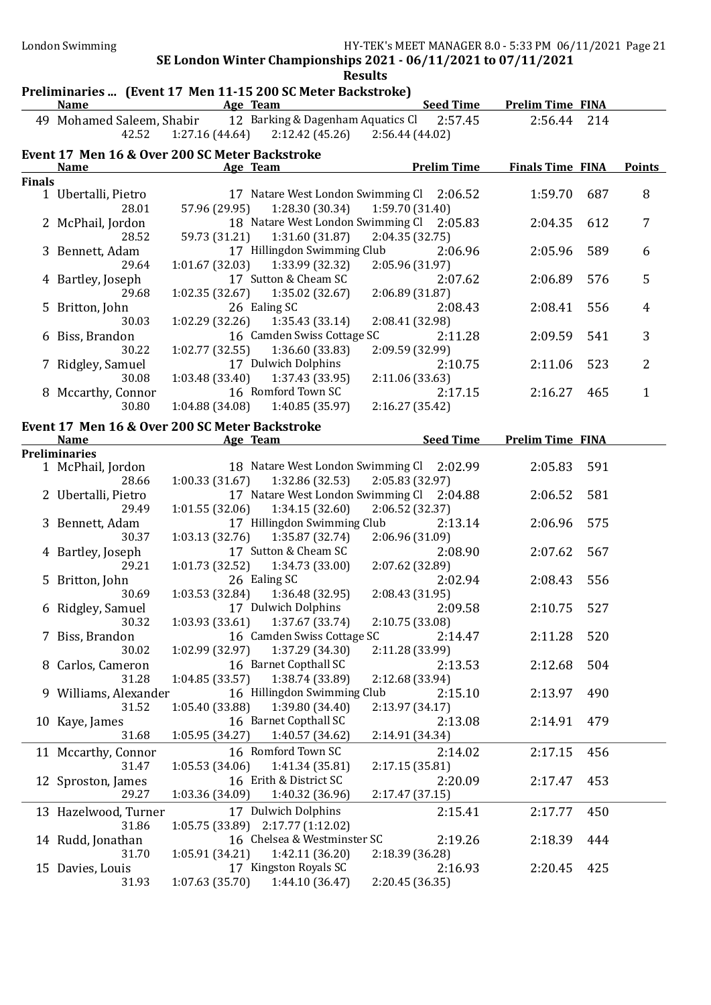## Preliminaries ... (Event 17 Men 11-15 200 SC Meter Backstroke)

|                                                | <b>Name</b>         | 1 Tenninghes  [Brent 17 Then 11 15 200 56 Meter Backstroke]<br><u>Age Team and the Second Age of the Second Second Second Second Second Second Second Second Second Second Second Second Second Second Second Second Second Second Second Second Second Second Second Second Second Second Seco</u> | <b>Seed Time</b>                          | <b>Prelim Time FINA</b> |     |                |  |  |  |
|------------------------------------------------|---------------------|-----------------------------------------------------------------------------------------------------------------------------------------------------------------------------------------------------------------------------------------------------------------------------------------------------|-------------------------------------------|-------------------------|-----|----------------|--|--|--|
|                                                |                     | 49 Mohamed Saleem, Shabir 12 Barking & Dagenham Aquatics Cl 2:57.45                                                                                                                                                                                                                                 |                                           | 2:56.44 214             |     |                |  |  |  |
|                                                |                     | 42.52 1:27.16 (44.64) 2:12.42 (45.26) 2:56.44 (44.02)                                                                                                                                                                                                                                               |                                           |                         |     |                |  |  |  |
| Event 17 Men 16 & Over 200 SC Meter Backstroke |                     |                                                                                                                                                                                                                                                                                                     |                                           |                         |     |                |  |  |  |
|                                                | <b>Name</b>         | Age Team                                                                                                                                                                                                                                                                                            | <b>Prelim Time</b>                        | <b>Finals Time FINA</b> |     | <b>Points</b>  |  |  |  |
| <b>Finals</b>                                  |                     |                                                                                                                                                                                                                                                                                                     |                                           |                         |     |                |  |  |  |
|                                                | 1 Ubertalli, Pietro |                                                                                                                                                                                                                                                                                                     | 17 Natare West London Swimming Cl 2:06.52 | 1:59.70                 | 687 | 8              |  |  |  |
|                                                | 28.01               | 57.96 (29.95) 1:28.30 (30.34) 1:59.70 (31.40)                                                                                                                                                                                                                                                       |                                           |                         |     |                |  |  |  |
|                                                | 2 McPhail, Jordon   |                                                                                                                                                                                                                                                                                                     | 18 Natare West London Swimming Cl 2:05.83 | 2:04.35 612             |     | 7              |  |  |  |
|                                                | 28.52               | 59.73 (31.21) 1:31.60 (31.87) 2:04.35 (32.75)                                                                                                                                                                                                                                                       |                                           |                         |     |                |  |  |  |
|                                                | 3 Bennett, Adam     | 17 Hillingdon Swimming Club                                                                                                                                                                                                                                                                         | 2:06.96                                   | 2:05.96                 | 589 | 6              |  |  |  |
|                                                | 29.64               | $1:01.67(32.03)$ $1:33.99(32.32)$                                                                                                                                                                                                                                                                   | 2:05.96 (31.97)                           |                         |     |                |  |  |  |
|                                                | 4 Bartley, Joseph   | 17 Sutton & Cheam SC                                                                                                                                                                                                                                                                                | 2:07.62                                   | 2:06.89                 | 576 | 5              |  |  |  |
|                                                | 29.68               | $1:02.35(32.67)$ $1:35.02(32.67)$ $2:06.89(31.87)$                                                                                                                                                                                                                                                  |                                           |                         |     |                |  |  |  |
|                                                | 5 Britton, John     | 26 Ealing SC                                                                                                                                                                                                                                                                                        | 2:08.43                                   | 2:08.41                 | 556 | 4              |  |  |  |
|                                                | 30.03               | $1:02.29(32.26)$ $1:35.43(33.14)$                                                                                                                                                                                                                                                                   | 2:08.41 (32.98)                           |                         |     |                |  |  |  |
|                                                | 6 Biss, Brandon     | 16 Camden Swiss Cottage SC                                                                                                                                                                                                                                                                          | 2:11.28                                   | 2:09.59                 | 541 | 3              |  |  |  |
|                                                | 30.22               | $1:02.77(32.55)$ $1:36.60(33.83)$                                                                                                                                                                                                                                                                   | 2:09.59 (32.99)                           |                         |     |                |  |  |  |
|                                                | 7 Ridgley, Samuel   | 17 Dulwich Dolphins                                                                                                                                                                                                                                                                                 | 2:10.75                                   | 2:11.06                 | 523 | $\overline{2}$ |  |  |  |
|                                                | 30.08               | $1:03.48(33.40)$ $1:37.43(33.95)$                                                                                                                                                                                                                                                                   | 2:11.06(33.63)                            |                         |     |                |  |  |  |
|                                                | 8 Mccarthy, Connor  | 16 Romford Town SC                                                                                                                                                                                                                                                                                  | 2:17.15                                   | 2:16.27                 | 465 | $\mathbf{1}$   |  |  |  |
|                                                | 30.80               | $1:04.88(34.08)$ $1:40.85(35.97)$ $2:16.27(35.42)$                                                                                                                                                                                                                                                  |                                           |                         |     |                |  |  |  |
|                                                |                     | Event 17 Men 16 & Over 200 SC Meter Backstroke                                                                                                                                                                                                                                                      |                                           |                         |     |                |  |  |  |
|                                                | <b>Name</b>         | <u> 1989 - Johann Barbara, martxa a</u><br>Age Team                                                                                                                                                                                                                                                 | <b>Seed Time</b>                          | <b>Prelim Time FINA</b> |     |                |  |  |  |

| <b>Preliminaries</b>  |                 |                                           |                 |         |             |     |
|-----------------------|-----------------|-------------------------------------------|-----------------|---------|-------------|-----|
| 1 McPhail, Jordon     |                 | 18 Natare West London Swimming Cl 2:02.99 |                 |         | 2:05.83     | 591 |
| 28.66                 |                 | $1:00.33(31.67)$ $1:32.86(32.53)$         | 2:05.83 (32.97) |         |             |     |
| 2 Ubertalli, Pietro   |                 | 17 Natare West London Swimming Cl 2:04.88 |                 |         | 2:06.52     | 581 |
| 29.49                 |                 | $1:01.55(32.06)$ $1:34.15(32.60)$         | 2:06.52 (32.37) |         |             |     |
| 3 Bennett, Adam       |                 | 17 Hillingdon Swimming Club               |                 | 2:13.14 | 2:06.96     | 575 |
| 30.37                 | 1:03.13(32.76)  | 1:35.87 (32.74)                           | 2:06.96(31.09)  |         |             |     |
| 4 Bartley, Joseph     |                 | 17 Sutton & Cheam SC                      |                 | 2:08.90 | 2:07.62     | 567 |
| 29.21                 |                 | $1:01.73(32.52)$ $1:34.73(33.00)$         | 2:07.62 (32.89) |         |             |     |
| 5 Britton, John       |                 | 26 Ealing SC                              |                 | 2:02.94 | 2:08.43     | 556 |
| 30.69                 |                 | $1:03.53(32.84)$ $1:36.48(32.95)$         | 2:08.43 (31.95) |         |             |     |
| 6 Ridgley, Samuel     |                 | 17 Dulwich Dolphins                       |                 | 2:09.58 | 2:10.75     | 527 |
| 30.32                 |                 | $1:03.93(33.61)$ $1:37.67(33.74)$         | 2:10.75(33.08)  |         |             |     |
| 7 Biss, Brandon       |                 | 16 Camden Swiss Cottage SC                |                 | 2:14.47 | 2:11.28     | 520 |
| 30.02                 | 1:02.99 (32.97) | 1:37.29 (34.30)                           | 2:11.28 (33.99) |         |             |     |
| 8 Carlos, Cameron     |                 | 16 Barnet Copthall SC                     |                 | 2:13.53 | 2:12.68     | 504 |
| 31.28                 | 1:04.85(33.57)  | 1:38.74 (33.89)                           | 2:12.68 (33.94) |         |             |     |
| 9 Williams, Alexander |                 | 16 Hillingdon Swimming Club               |                 | 2:15.10 | 2:13.97     | 490 |
| 31.52                 |                 | $1:05.40(33.88)$ $1:39.80(34.40)$         | 2:13.97 (34.17) |         |             |     |
| 10 Kaye, James        |                 | 16 Barnet Copthall SC                     |                 | 2:13.08 | 2:14.91 479 |     |
| 31.68                 | 1:05.95(34.27)  | 1:40.57 (34.62)                           | 2:14.91 (34.34) |         |             |     |
| 11 Mccarthy, Connor   |                 | 16 Romford Town SC                        |                 | 2:14.02 | 2:17.15     | 456 |
| 31.47                 |                 | $1:05.53(34.06)$ $1:41.34(35.81)$         | 2:17.15 (35.81) |         |             |     |
| 12 Sproston, James    |                 | 16 Erith & District SC                    |                 | 2:20.09 | 2:17.47     | 453 |
| 29.27                 |                 | $1:03.36(34.09)$ $1:40.32(36.96)$         | 2:17.47 (37.15) |         |             |     |
| 13 Hazelwood, Turner  |                 | 17 Dulwich Dolphins                       |                 | 2:15.41 | 2:17.77     | 450 |
| 31.86                 |                 | 1:05.75 (33.89) 2:17.77 (1:12.02)         |                 |         |             |     |
| 14 Rudd, Jonathan     |                 | 16 Chelsea & Westminster SC               |                 | 2:19.26 | 2:18.39     | 444 |
| 31.70                 |                 | $1:05.91(34.21)$ $1:42.11(36.20)$         | 2:18.39 (36.28) |         |             |     |
| 15 Davies, Louis      |                 | 17 Kingston Royals SC                     |                 | 2:16.93 | 2:20.45     | 425 |
| 31.93                 | 1:07.63(35.70)  | 1:44.10(36.47)                            | 2:20.45(36.35)  |         |             |     |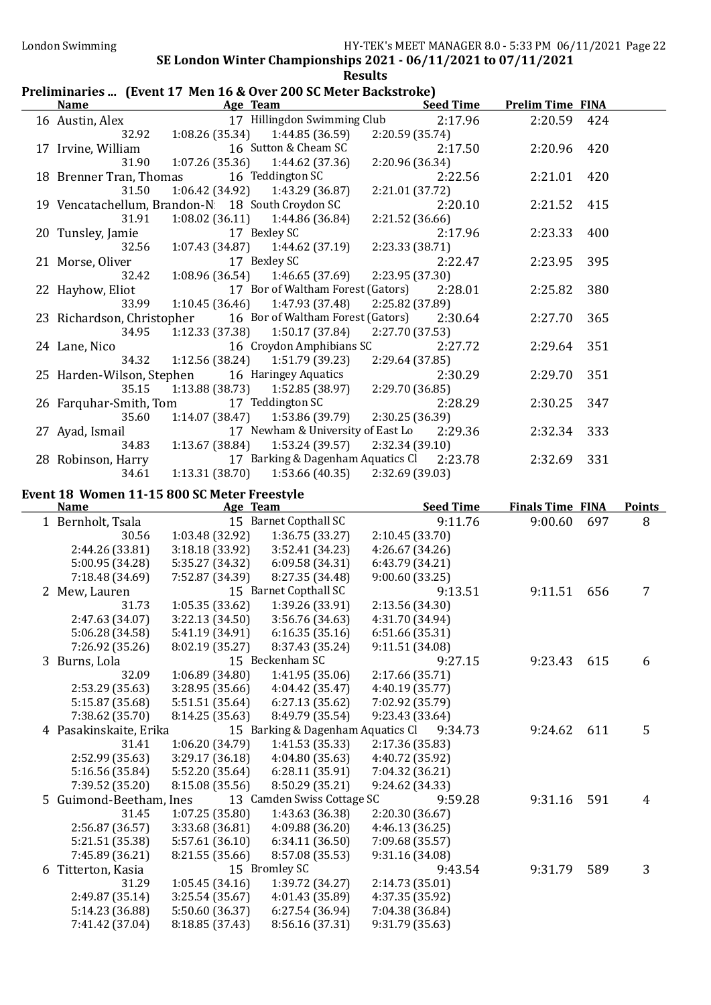## Preliminaries ... (Event 17 Men 16 & Over 200 SC Meter Backstroke)

|                                                   |                                    | Preliminaries  [Event 17] Men 10 & Over 200 SC Meter Backstroke] | <b>Seed Time</b>                  | <b>Prelim Time FINA</b> |     |                |
|---------------------------------------------------|------------------------------------|------------------------------------------------------------------|-----------------------------------|-------------------------|-----|----------------|
| <b>Name</b>                                       | Age Team                           |                                                                  |                                   |                         |     |                |
| 16 Austin, Alex                                   |                                    | 17 Hillingdon Swimming Club                                      | 2:17.96                           | 2:20.59                 | 424 |                |
| 32.92                                             | 1:08.26(35.34)                     | 1:44.85 (36.59)                                                  | 2:20.59 (35.74)                   |                         |     |                |
| 17 Irvine, William                                |                                    | 16 Sutton & Cheam SC                                             | 2:17.50                           | 2:20.96                 | 420 |                |
| 31.90                                             | 1:07.26 (35.36)                    | 1:44.62(37.36)                                                   | 2:20.96 (36.34)                   |                         |     |                |
| 18 Brenner Tran, Thomas                           |                                    | 16 Teddington SC                                                 | 2:22.56                           | 2:21.01                 | 420 |                |
| 31.50                                             | 1:06.42 (34.92)                    | 1:43.29 (36.87)                                                  | 2:21.01 (37.72)                   |                         |     |                |
| 19 Vencatachellum, Brandon-N: 18 South Croydon SC |                                    |                                                                  | 2:20.10                           | 2:21.52                 | 415 |                |
| 31.91                                             |                                    | $1:08.02$ (36.11) $1:44.86$ (36.84)                              | 2:21.52 (36.66)                   |                         |     |                |
| 20 Tunsley, Jamie                                 |                                    | 17 Bexley SC                                                     | 2:17.96                           | 2:23.33                 | 400 |                |
| 32.56                                             |                                    | $1:07.43(34.87)$ $1:44.62(37.19)$                                | 2:23.33 (38.71)                   |                         |     |                |
| 21 Morse, Oliver                                  |                                    | 17 Bexley SC                                                     | 2:22.47                           | 2:23.95                 | 395 |                |
| 32.42                                             | 1:08.96(36.54)                     | 1:46.65 (37.69)                                                  | 2:23.95 (37.30)                   |                         |     |                |
| 22 Hayhow, Eliot                                  |                                    | 17 Bor of Waltham Forest (Gators)                                | 2:28.01                           | 2:25.82                 | 380 |                |
| 33.99                                             | 1:10.45(36.46)                     | 1:47.93 (37.48)                                                  | 2:25.82 (37.89)                   |                         |     |                |
| 23 Richardson, Christopher                        |                                    | 16 Bor of Waltham Forest (Gators)                                | 2:30.64                           | 2:27.70                 | 365 |                |
| 34.95                                             | 1:12.33(37.38)                     | 1:50.17 (37.84)                                                  | 2:27.70 (37.53)                   |                         |     |                |
| 24 Lane, Nico                                     |                                    | 16 Croydon Amphibians SC                                         | 2:27.72                           | 2:29.64                 | 351 |                |
| 34.32                                             | 1:12.56 (38.24)                    | 1:51.79 (39.23)                                                  | 2:29.64 (37.85)                   |                         |     |                |
| 25 Harden-Wilson, Stephen                         |                                    | 16 Haringey Aquatics                                             | 2:30.29                           | 2:29.70                 | 351 |                |
| 35.15                                             | 1:13.88 (38.73)                    | 1:52.85(38.97)                                                   | 2:29.70 (36.85)                   |                         |     |                |
| 26 Farquhar-Smith, Tom                            |                                    | 17 Teddington SC                                                 | 2:28.29                           | 2:30.25                 | 347 |                |
| 35.60                                             | 1:14.07(38.47)                     | 1:53.86 (39.79)                                                  | 2:30.25 (36.39)                   |                         |     |                |
| 27 Ayad, Ismail                                   |                                    | 17 Newham & University of East Lo                                | 2:29.36                           | 2:32.34                 | 333 |                |
| 34.83                                             | 1:13.67 (38.84)                    | 1:53.24(39.57)                                                   | 2:32.34 (39.10)                   |                         |     |                |
| 28 Robinson, Harry                                |                                    | 17 Barking & Dagenham Aquatics Cl                                | 2:23.78                           | 2:32.69                 | 331 |                |
| 34.61                                             | 1:13.31 (38.70)                    | 1:53.66(40.35)                                                   | 2:32.69 (39.03)                   |                         |     |                |
| Event 18 Women 11-15 800 SC Meter Freestyle       |                                    |                                                                  |                                   |                         |     |                |
|                                                   |                                    |                                                                  |                                   |                         |     |                |
|                                                   |                                    |                                                                  |                                   |                         |     |                |
| <b>Name</b>                                       | Age Team                           |                                                                  | <b>Seed Time</b>                  | <b>Finals Time FINA</b> |     | <b>Points</b>  |
| 1 Bernholt, Tsala                                 |                                    | 15 Barnet Copthall SC                                            | 9:11.76                           | 9:00.60                 | 697 | 8              |
| 30.56                                             | 1:03.48 (32.92)                    | 1:36.75 (33.27)                                                  | 2:10.45(33.70)                    |                         |     |                |
| 2:44.26 (33.81)                                   | 3:18.18(33.92)                     | 3:52.41 (34.23)                                                  | 4:26.67 (34.26)                   |                         |     |                |
| 5:00.95 (34.28)                                   | 5:35.27 (34.32)                    | 6:09.58 (34.31)                                                  | 6:43.79 (34.21)                   |                         |     |                |
| 7:18.48 (34.69)                                   | 7:52.87 (34.39)                    | 8:27.35 (34.48)                                                  | 9:00.60(33.25)                    |                         |     |                |
| 2 Mew, Lauren                                     |                                    | 15 Barnet Copthall SC                                            | 9:13.51                           | 9:11.51                 | 656 | 7              |
| 31.73                                             | 1:05.35(33.62)                     | 1:39.26 (33.91)                                                  | 2:13.56 (34.30)                   |                         |     |                |
| 2:47.63 (34.07)                                   | 3:22.13 (34.50)                    | 3:56.76 (34.63)                                                  | 4:31.70 (34.94)                   |                         |     |                |
| 5:06.28 (34.58)                                   | 5:41.19 (34.91)                    | 6:16.35(35.16)                                                   | 6:51.66 (35.31)                   |                         |     |                |
| 7:26.92 (35.26)                                   | 8:02.19 (35.27)                    | 8:37.43 (35.24)                                                  | 9:11.51 (34.08)                   |                         |     |                |
| 3 Burns, Lola                                     |                                    | 15 Beckenham SC                                                  | 9:27.15                           | 9:23.43                 | 615 | 6              |
| 32.09                                             | 1:06.89 (34.80)                    | 1:41.95 (35.06)                                                  | 2:17.66 (35.71)                   |                         |     |                |
| 2:53.29 (35.63)                                   | 3:28.95 (35.66)                    | 4:04.42 (35.47)                                                  | 4:40.19 (35.77)                   |                         |     |                |
| 5:15.87 (35.68)                                   | 5:51.51 (35.64)                    | 6:27.13(35.62)                                                   | 7:02.92 (35.79)                   |                         |     |                |
| 7:38.62 (35.70)                                   | 8:14.25 (35.63)                    | 8:49.79 (35.54)                                                  | 9:23.43 (33.64)                   |                         |     |                |
| 4 Pasakinskaite, Erika                            |                                    | 15 Barking & Dagenham Aquatics Cl                                | 9:34.73                           | 9:24.62                 | 611 | 5              |
| 31.41                                             | 1:06.20 (34.79)                    | 1:41.53 (35.33)                                                  | 2:17.36 (35.83)                   |                         |     |                |
| 2:52.99 (35.63)                                   | 3:29.17 (36.18)                    | 4:04.80 (35.63)                                                  | 4:40.72 (35.92)                   |                         |     |                |
| 5:16.56 (35.84)                                   | 5:52.20 (35.64)                    | 6:28.11(35.91)                                                   | 7:04.32 (36.21)                   |                         |     |                |
| 7:39.52 (35.20)                                   | 8:15.08 (35.56)                    | 8:50.29 (35.21)                                                  | 9:24.62 (34.33)                   |                         |     |                |
| 5 Guimond-Beetham, Ines                           |                                    | 13 Camden Swiss Cottage SC                                       | 9:59.28                           | 9:31.16                 | 591 | $\overline{4}$ |
| 31.45<br>2:56.87 (36.57)                          | 1:07.25 (35.80)<br>3:33.68 (36.81) | 1:43.63 (36.38)<br>4:09.88 (36.20)                               | 2:20.30(36.67)<br>4:46.13 (36.25) |                         |     |                |

6 Titterton, Kasia 15 Bromley SC 9:43.54 9:31.79 589 3<br>31.29 1:05.45 (34.16) 1:39.72 (34.27) 2:14.73 (35.01)

5:21.51 (35.38) 5:57.61 (36.10) 6:34.11 (36.50) 7:09.68 (35.57)

2:49.87 (35.14) 3:25.54 (35.67) 4:01.43 (35.89) 4:37.35 (35.92) 5:14.23 (36.88) 5:50.60 (36.37) 6:27.54 (36.94) 7:04.38 (36.84) 7:41.42 (37.04) 8:18.85 (37.43) 8:56.16 (37.31) 9:31.79 (35.63)

8:21.55 (35.66)

 $31.29 \qquad 1:05.45 \,(34.16)$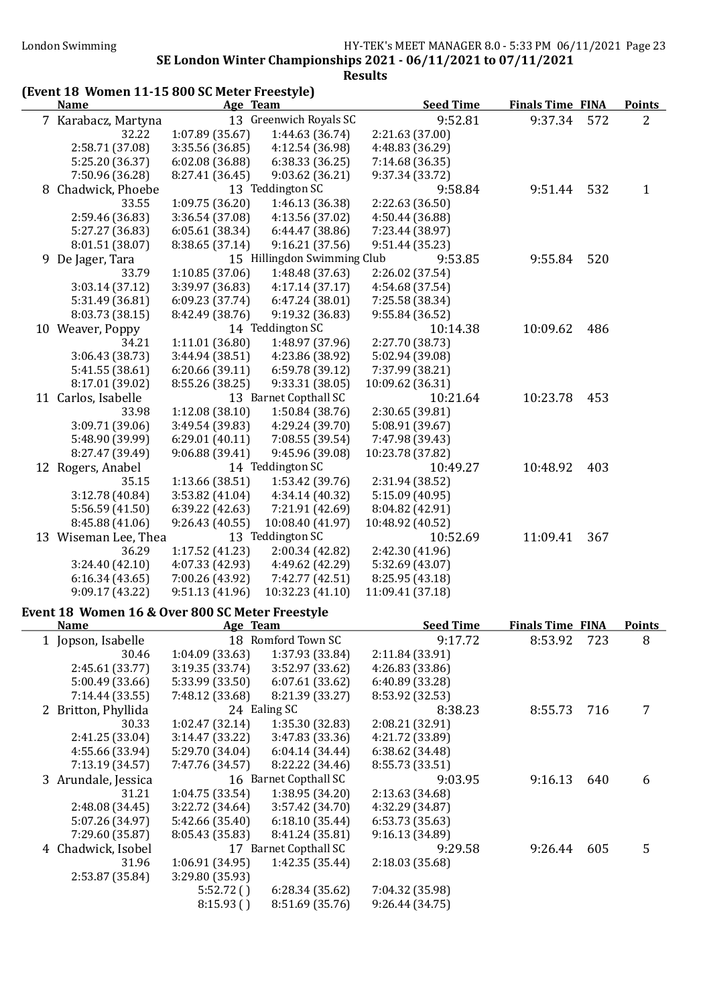## (Event 18 Women 11-15 800 SC Meter Freestyle)

| <b>Name</b>                                     | Age Team        |                             |                  | <b>Seed Time</b> | <b>Finals Time FINA</b> |     | <b>Points</b> |
|-------------------------------------------------|-----------------|-----------------------------|------------------|------------------|-------------------------|-----|---------------|
| 7 Karabacz, Martyna                             |                 | 13 Greenwich Royals SC      |                  | 9:52.81          | 9:37.34                 | 572 | 2             |
| 32.22                                           | 1:07.89(35.67)  | 1:44.63 (36.74)             | 2:21.63 (37.00)  |                  |                         |     |               |
| 2:58.71 (37.08)                                 | 3:35.56 (36.85) | 4:12.54 (36.98)             | 4:48.83 (36.29)  |                  |                         |     |               |
| 5:25.20 (36.37)                                 | 6:02.08(36.88)  | 6:38.33(36.25)              | 7:14.68 (36.35)  |                  |                         |     |               |
| 7:50.96 (36.28)                                 | 8:27.41 (36.45) | 9:03.62(36.21)              | 9:37.34 (33.72)  |                  |                         |     |               |
| 8 Chadwick, Phoebe                              |                 | 13 Teddington SC            |                  | 9:58.84          | 9:51.44                 | 532 | $\mathbf{1}$  |
| 33.55                                           | 1:09.75(36.20)  | 1:46.13 (36.38)             | 2:22.63 (36.50)  |                  |                         |     |               |
| 2:59.46 (36.83)                                 | 3:36.54(37.08)  | 4:13.56 (37.02)             | 4:50.44 (36.88)  |                  |                         |     |               |
| 5:27.27 (36.83)                                 | 6:05.61(38.34)  | 6:44.47 (38.86)             | 7:23.44 (38.97)  |                  |                         |     |               |
| 8:01.51 (38.07)                                 | 8:38.65 (37.14) | 9:16.21(37.56)              | 9:51.44(35.23)   |                  |                         |     |               |
| 9 De Jager, Tara                                |                 | 15 Hillingdon Swimming Club |                  | 9:53.85          | 9:55.84                 | 520 |               |
| 33.79                                           | 1:10.85 (37.06) | 1:48.48 (37.63)             | 2:26.02 (37.54)  |                  |                         |     |               |
| 3:03.14 (37.12)                                 | 3:39.97 (36.83) | 4:17.14(37.17)              | 4:54.68 (37.54)  |                  |                         |     |               |
| 5:31.49 (36.81)                                 | 6:09.23 (37.74) | 6:47.24(38.01)              | 7:25.58 (38.34)  |                  |                         |     |               |
| 8:03.73 (38.15)                                 | 8:42.49 (38.76) | 9:19.32 (36.83)             | 9:55.84 (36.52)  |                  |                         |     |               |
| 10 Weaver, Poppy                                |                 | 14 Teddington SC            |                  | 10:14.38         | 10:09.62                | 486 |               |
| 34.21                                           | 1:11.01(36.80)  | 1:48.97 (37.96)             | 2:27.70 (38.73)  |                  |                         |     |               |
| 3:06.43 (38.73)                                 | 3:44.94(38.51)  | 4:23.86 (38.92)             | 5:02.94 (39.08)  |                  |                         |     |               |
| 5:41.55 (38.61)                                 | 6:20.66(39.11)  | 6:59.78(39.12)              | 7:37.99 (38.21)  |                  |                         |     |               |
| 8:17.01 (39.02)                                 | 8:55.26 (38.25) | 9:33.31 (38.05)             | 10:09.62 (36.31) |                  |                         |     |               |
| 11 Carlos, Isabelle                             |                 | 13 Barnet Copthall SC       |                  | 10:21.64         | 10:23.78                | 453 |               |
| 33.98                                           | 1:12.08(38.10)  | 1:50.84 (38.76)             | 2:30.65 (39.81)  |                  |                         |     |               |
| 3:09.71 (39.06)                                 | 3:49.54 (39.83) | 4:29.24 (39.70)             | 5:08.91 (39.67)  |                  |                         |     |               |
| 5:48.90 (39.99)                                 | 6:29.01(40.11)  | 7:08.55 (39.54)             | 7:47.98 (39.43)  |                  |                         |     |               |
| 8:27.47 (39.49)                                 | 9:06.88(39.41)  | 9:45.96 (39.08)             | 10:23.78 (37.82) |                  |                         |     |               |
| 12 Rogers, Anabel                               |                 | 14 Teddington SC            |                  | 10:49.27         | 10:48.92                | 403 |               |
| 35.15                                           | 1:13.66 (38.51) | 1:53.42 (39.76)             | 2:31.94 (38.52)  |                  |                         |     |               |
| 3:12.78 (40.84)                                 | 3:53.82 (41.04) | 4:34.14 (40.32)             | 5:15.09 (40.95)  |                  |                         |     |               |
| 5:56.59 (41.50)                                 | 6:39.22 (42.63) | 7:21.91 (42.69)             | 8:04.82 (42.91)  |                  |                         |     |               |
| 8:45.88 (41.06)                                 | 9:26.43(40.55)  | 10:08.40 (41.97)            | 10:48.92 (40.52) |                  |                         |     |               |
| 13 Wiseman Lee, Thea                            |                 | 13 Teddington SC            |                  | 10:52.69         | 11:09.41                | 367 |               |
| 36.29                                           | 1:17.52 (41.23) | 2:00.34 (42.82)             | 2:42.30(41.96)   |                  |                         |     |               |
| 3:24.40(42.10)                                  | 4:07.33 (42.93) | 4:49.62 (42.29)             | 5:32.69 (43.07)  |                  |                         |     |               |
| 6:16.34(43.65)                                  | 7:00.26 (43.92) | 7:42.77 (42.51)             | 8:25.95 (43.18)  |                  |                         |     |               |
| 9:09.17 (43.22)                                 | 9:51.13(41.96)  | 10:32.23 (41.10)            | 11:09.41 (37.18) |                  |                         |     |               |
| Event 18 Women 16 & Over 800 SC Meter Freestyle |                 |                             |                  |                  |                         |     |               |
| <b>Name</b>                                     | Age Team        |                             |                  | <b>Seed Time</b> | <b>Finals Time FINA</b> |     | <b>Points</b> |
| 1 Jopson, Isabelle                              |                 | 18 Romford Town SC          |                  | 9:17.72          | 8:53.92                 | 723 | 8             |

| name |                     | $n_{\rm sc}$ really |                       | occu inne       | 1 111419 111116 - 1 1141 |     | 1 VIIILJ |
|------|---------------------|---------------------|-----------------------|-----------------|--------------------------|-----|----------|
|      | 1 Jopson, Isabelle  |                     | 18 Romford Town SC    | 9:17.72         | 8:53.92                  | 723 | 8        |
|      | 30.46               | 1:04.09(33.63)      | 1:37.93 (33.84)       | 2:11.84(33.91)  |                          |     |          |
|      | 2:45.61 (33.77)     | 3:19.35(33.74)      | 3:52.97 (33.62)       | 4:26.83 (33.86) |                          |     |          |
|      | 5:00.49(33.66)      | 5:33.99(33.50)      | 6:07.61(33.62)        | 6:40.89 (33.28) |                          |     |          |
|      | 7:14.44(33.55)      | 7:48.12 (33.68)     | 8:21.39 (33.27)       | 8:53.92 (32.53) |                          |     |          |
|      | 2 Britton, Phyllida |                     | 24 Ealing SC          | 8:38.23         | 8:55.73                  | 716 |          |
|      | 30.33               | 1:02.47(32.14)      | 1:35.30(32.83)        | 2:08.21(32.91)  |                          |     |          |
|      | 2:41.25 (33.04)     | 3:14.47(33.22)      | 3:47.83(33.36)        | 4:21.72 (33.89) |                          |     |          |
|      | 4:55.66 (33.94)     | 5:29.70 (34.04)     | 6:04.14(34.44)        | 6:38.62(34.48)  |                          |     |          |
|      | 7:13.19(34.57)      | 7:47.76 (34.57)     | 8:22.22(34.46)        | 8:55.73 (33.51) |                          |     |          |
|      | 3 Arundale, Jessica |                     | 16 Barnet Copthall SC | 9:03.95         | 9:16.13                  | 640 | 6        |
|      | 31.21               | 1:04.75(33.54)      | 1:38.95(34.20)        | 2:13.63 (34.68) |                          |     |          |
|      | 2:48.08 (34.45)     | 3:22.72(34.64)      | 3:57.42 (34.70)       | 4:32.29 (34.87) |                          |     |          |
|      | 5:07.26 (34.97)     | 5:42.66(35.40)      | 6:18.10(35.44)        | 6:53.73 (35.63) |                          |     |          |
|      | 7:29.60 (35.87)     | 8:05.43 (35.83)     | 8:41.24 (35.81)       | 9:16.13(34.89)  |                          |     |          |
|      | 4 Chadwick, Isobel  |                     | 17 Barnet Copthall SC | 9:29.58         | 9:26.44                  | 605 | 5        |
|      | 31.96               | 1:06.91(34.95)      | 1:42.35(35.44)        | 2:18.03(35.68)  |                          |     |          |
|      | 2:53.87 (35.84)     | 3:29.80 (35.93)     |                       |                 |                          |     |          |
|      |                     | 5:52.72()           | 6:28.34(35.62)        | 7:04.32 (35.98) |                          |     |          |
|      |                     | 8:15.93()           | 8:51.69 (35.76)       | 9:26.44(34.75)  |                          |     |          |